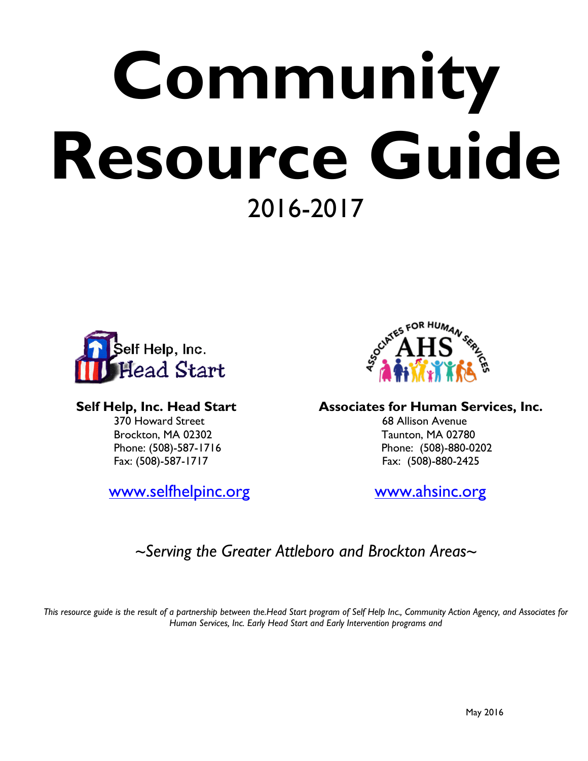# **Community Resource Guide** 2016-2017





370 Howard Street 68 Allison Avenue Brockton, MA 02302 Taunton, MA 02780 Phone: (508)-587-1716 Phone: (508)-880-0202 Fax: (508)-587-1717 Fax: (508)-880-2425

[www.selfhelpinc.org](http://www.selfhelpinc.org/) [www.ahsinc.org](http://www.ahsinc.org/)

Self Help, Inc. Head Start **Associates for Human Services, Inc.** 

# *~Serving the Greater Attleboro and Brockton Areas~*

*This resource guide is the result of a partnership between the.Head Start program of Self Help Inc., Community Action Agency, and Associates for Human Services, Inc. Early Head Start and Early Intervention programs and*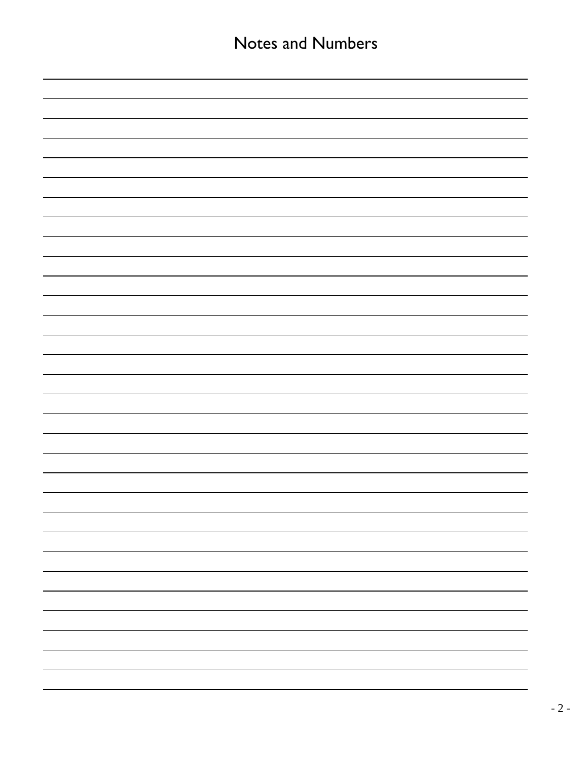| <b>Notes and Numbers</b> |  |  |
|--------------------------|--|--|
|                          |  |  |
|                          |  |  |
|                          |  |  |
|                          |  |  |
|                          |  |  |
|                          |  |  |
|                          |  |  |
|                          |  |  |
|                          |  |  |
|                          |  |  |
|                          |  |  |
|                          |  |  |
|                          |  |  |
|                          |  |  |
|                          |  |  |
|                          |  |  |
|                          |  |  |
|                          |  |  |
|                          |  |  |
|                          |  |  |
|                          |  |  |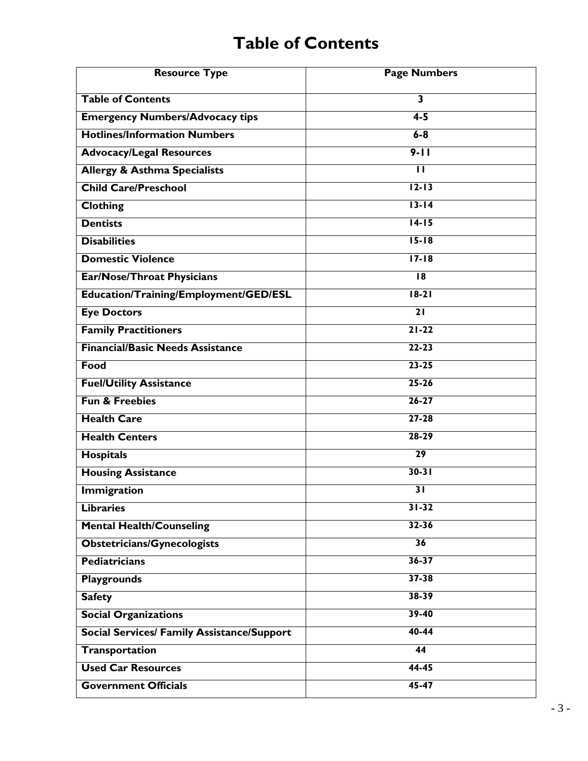# **Table of Contents**

| <b>Resource Type</b>                              | <b>Page Numbers</b>     |
|---------------------------------------------------|-------------------------|
| <b>Table of Contents</b>                          | 3                       |
| <b>Emergency Numbers/Advocacy tips</b>            | $4-5$                   |
| <b>Hotlines/Information Numbers</b>               | $6 - 8$                 |
| <b>Advocacy/Legal Resources</b>                   | $9 - 11$                |
| <b>Allergy &amp; Asthma Specialists</b>           | $\overline{\mathsf{H}}$ |
| <b>Child Care/Preschool</b>                       | $12 - 13$               |
| <b>Clothing</b>                                   | $13 - 14$               |
| <b>Dentists</b>                                   | $14-15$                 |
| <b>Disabilities</b>                               | $15 - 18$               |
| <b>Domestic Violence</b>                          | $17 - 18$               |
| <b>Ear/Nose/Throat Physicians</b>                 | $\overline{18}$         |
| Education/Training/Employment/GED/ESL             | $18-21$                 |
| <b>Eye Doctors</b>                                | $\overline{21}$         |
| <b>Family Practitioners</b>                       | $21 - 22$               |
| <b>Financial/Basic Needs Assistance</b>           | $22 - 23$               |
| Food                                              | $23 - 25$               |
| <b>Fuel/Utility Assistance</b>                    | $25 - 26$               |
| <b>Fun &amp; Freebies</b>                         | $26 - 27$               |
| <b>Health Care</b>                                | $27 - 28$               |
| <b>Health Centers</b>                             | $28 - 29$               |
| <b>Hospitals</b>                                  | $\overline{29}$         |
| <b>Housing Assistance</b>                         | $30-31$                 |
| <b>Immigration</b>                                | $\overline{31}$         |
| <b>Libraries</b>                                  | $31 - 32$               |
| <b>Mental Health/Counseling</b>                   | $32 - 36$               |
| <b>Obstetricians/Gynecologists</b>                | 36                      |
| <b>Pediatricians</b>                              | $36 - 37$               |
| <b>Playgrounds</b>                                | $37 - 38$               |
| <b>Safety</b>                                     | $38 - 39$               |
| <b>Social Organizations</b>                       | $39 - 40$               |
| <b>Social Services/ Family Assistance/Support</b> | $40 - 44$               |
| <b>Transportation</b>                             | 44                      |
| <b>Used Car Resources</b>                         | $44 - 45$               |
| <b>Government Officials</b>                       | $45 - 47$               |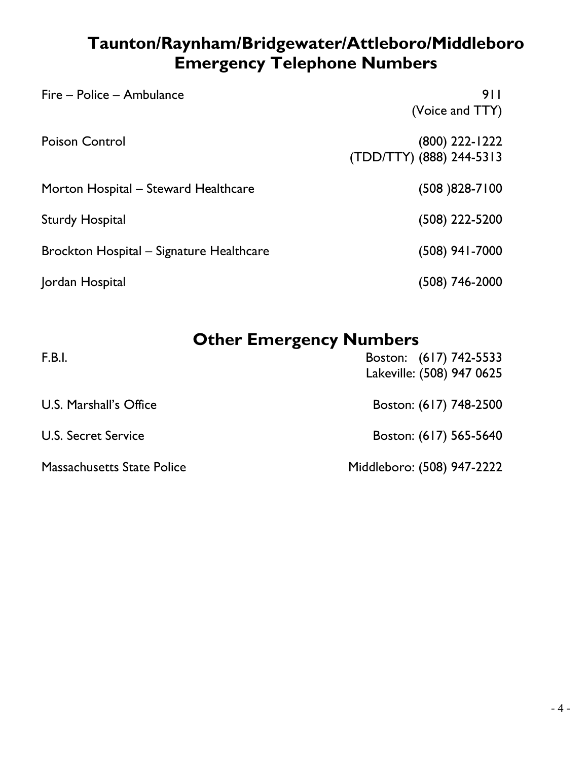# **Taunton/Raynham/Bridgewater/Attleboro/Middleboro Emergency Telephone Numbers**

| Fire - Police - Ambulance                | 911<br>(Voice and TTY)                     |
|------------------------------------------|--------------------------------------------|
| <b>Poison Control</b>                    | (800) 222-1222<br>(TDD/TTY) (888) 244-5313 |
| Morton Hospital – Steward Healthcare     | $(508)828-7100$                            |
| <b>Sturdy Hospital</b>                   | $(508)$ 222-5200                           |
| Brockton Hospital – Signature Healthcare | $(508)$ 941-7000                           |
| Jordan Hospital                          | (508) 746-2000                             |

# **Other Emergency Numbers**

| F.B.l.                            | Boston: (617) 742-5533<br>Lakeville: (508) 947 0625 |
|-----------------------------------|-----------------------------------------------------|
| U.S. Marshall's Office            | Boston: (617) 748-2500                              |
| <b>U.S. Secret Service</b>        | Boston: (617) 565-5640                              |
| <b>Massachusetts State Police</b> | Middleboro: (508) 947-2222                          |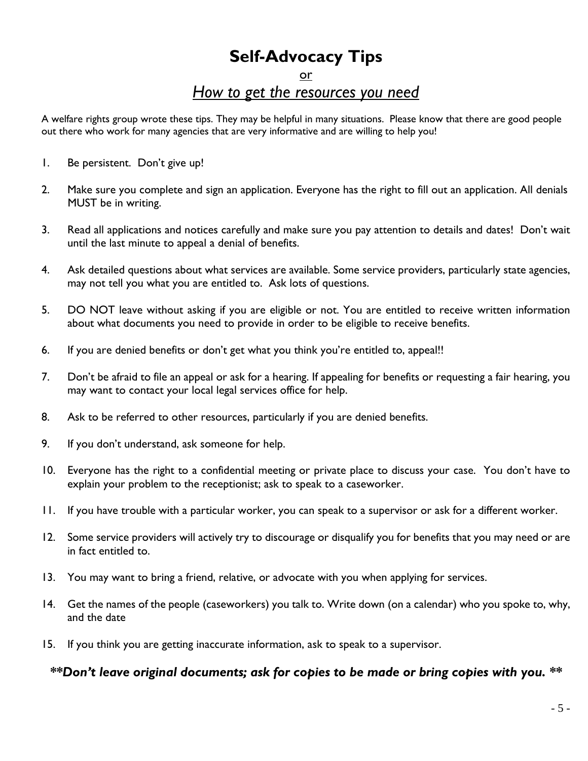# **Self-Advocacy Tips**

### or *How to get the resources you need*

A welfare rights group wrote these tips. They may be helpful in many situations. Please know that there are good people out there who work for many agencies that are very informative and are willing to help you!

- 1. Be persistent. Don't give up!
- 2. Make sure you complete and sign an application. Everyone has the right to fill out an application. All denials MUST be in writing.
- 3. Read all applications and notices carefully and make sure you pay attention to details and dates! Don't wait until the last minute to appeal a denial of benefits.
- 4. Ask detailed questions about what services are available. Some service providers, particularly state agencies, may not tell you what you are entitled to. Ask lots of questions.
- 5. DO NOT leave without asking if you are eligible or not. You are entitled to receive written information about what documents you need to provide in order to be eligible to receive benefits.
- 6. If you are denied benefits or don't get what you think you're entitled to, appeal!!
- 7. Don't be afraid to file an appeal or ask for a hearing. If appealing for benefits or requesting a fair hearing, you may want to contact your local legal services office for help.
- 8. Ask to be referred to other resources, particularly if you are denied benefits.
- 9. If you don't understand, ask someone for help.
- 10. Everyone has the right to a confidential meeting or private place to discuss your case. You don't have to explain your problem to the receptionist; ask to speak to a caseworker.
- 11. If you have trouble with a particular worker, you can speak to a supervisor or ask for a different worker.
- 12. Some service providers will actively try to discourage or disqualify you for benefits that you may need or are in fact entitled to.
- 13. You may want to bring a friend, relative, or advocate with you when applying for services.
- 14. Get the names of the people (caseworkers) you talk to. Write down (on a calendar) who you spoke to, why, and the date
- 15. If you think you are getting inaccurate information, ask to speak to a supervisor.

### *\*\*Don't leave original documents; ask for copies to be made or bring copies with you. \*\**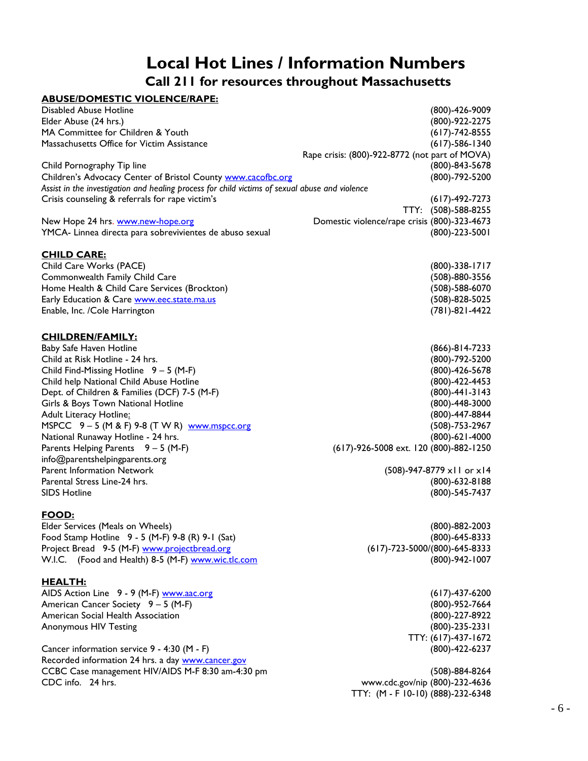## **Local Hot Lines / Information Numbers Call 211 for resources throughout Massachusetts**

| <b>ABUSE/DOMESTIC VIOLENCE/RAPE:</b>                                                           |                                                |
|------------------------------------------------------------------------------------------------|------------------------------------------------|
| <b>Disabled Abuse Hotline</b>                                                                  | (800)-426-9009                                 |
| Elder Abuse (24 hrs.)                                                                          | (800)-922-2275                                 |
| MA Committee for Children & Youth                                                              | $(617) - 742 - 8555$                           |
| Massachusetts Office for Victim Assistance                                                     | $(617) - 586 - 1340$                           |
|                                                                                                | Rape crisis: (800)-922-8772 (not part of MOVA) |
| Child Pornography Tip line                                                                     | (800)-843-5678                                 |
| Children's Advocacy Center of Bristol County www.cacofbc.org                                   | (800)-792-5200                                 |
| Assist in the investigation and healing process for child victims of sexual abuse and violence |                                                |
| Crisis counseling & referrals for rape victim's                                                | $(617) - 492 - 7273$                           |
|                                                                                                | TTY: (508)-588-8255                            |
| New Hope 24 hrs. www.new-hope.org                                                              | Domestic violence/rape crisis (800)-323-4673   |
| YMCA- Linnea directa para sobrevivientes de abuso sexual                                       | $(800) - 223 - 5001$                           |
|                                                                                                |                                                |
| <b>CHILD CARE:</b>                                                                             |                                                |
| Child Care Works (PACE)                                                                        | $(800) - 338 - 1717$                           |
| Commonwealth Family Child Care                                                                 | $(508) - 880 - 3556$                           |
| Home Health & Child Care Services (Brockton)                                                   | $(508) - 588 - 6070$                           |
| Early Education & Care www.eec.state.ma.us                                                     | $(508) - 828 - 5025$                           |
| Enable, Inc. /Cole Harrington                                                                  | (781)-821-4422                                 |
|                                                                                                |                                                |
|                                                                                                |                                                |
| <b>CHILDREN/FAMILY:</b>                                                                        |                                                |
| Baby Safe Haven Hotline                                                                        | (866)-814-7233                                 |
| Child at Risk Hotline - 24 hrs.                                                                | (800)-792-5200                                 |
| Child Find-Missing Hotline $9 - 5$ (M-F)                                                       | (800)-426-5678                                 |
| Child help National Child Abuse Hotline                                                        | (800)-422-4453                                 |
| Dept. of Children & Families (DCF) 7-5 (M-F)                                                   | $(800) - 441 - 3143$                           |
| Girls & Boys Town National Hotline                                                             | $(800) - 448 - 3000$                           |
| Adult Literacy Hotline:                                                                        | (800)-447-8844                                 |
| MSPCC 9-5 (M & F) 9-8 (T W R) www.mspcc.org                                                    | (508)-753-2967                                 |
| National Runaway Hotline - 24 hrs.                                                             | $(800) - 621 - 4000$                           |
| Parents Helping Parents $9 - 5$ (M-F)                                                          | (617)-926-5008 ext. 120 (800)-882-1250         |
| info@parentshelpingparents.org                                                                 |                                                |
| <b>Parent Information Network</b>                                                              | (508)-947-8779 x11 or x14                      |
| Parental Stress Line-24 hrs.                                                                   | $(800) - 632 - 8188$                           |
| <b>SIDS Hotline</b>                                                                            | (800)-545-7437                                 |
|                                                                                                |                                                |
| FOOD:                                                                                          |                                                |
| Elder Services (Meals on Wheels)                                                               | $(800) - 882 - 2003$                           |
| Food Stamp Hotline 9 - 5 (M-F) 9-8 (R) 9-1 (Sat)                                               | (800)-645-8333                                 |
| Project Bread 9-5 (M-F) www.projectbread.org                                                   | (617)-723-5000/(800)-645-8333                  |
| W.I.C. (Food and Health) 8-5 (M-F) www.wic.tlc.com                                             | (800)-942-1007                                 |
|                                                                                                |                                                |
| <u>HEALTH:</u>                                                                                 |                                                |
| AIDS Action Line 9 - 9 (M-F) www.aac.org                                                       | $(617) - 437 - 6200$                           |
| American Cancer Society 9 - 5 (M-F)                                                            | (800)-952-7664                                 |
| American Social Health Association                                                             | (800)-227-8922                                 |
| <b>Anonymous HIV Testing</b>                                                                   | $(800) - 235 - 2331$                           |
|                                                                                                | TTY: (617)-437-1672                            |
| Cancer information service 9 - 4:30 (M - F)                                                    | $(800) - 422 - 6237$                           |
| Recorded information 24 hrs. a day www.cancer.gov                                              |                                                |
| CCBC Case management HIV/AIDS M-F 8:30 am-4:30 pm                                              | $(508) - 884 - 8264$                           |
| CDC info. 24 hrs.                                                                              | www.cdc.gov/nip (800)-232-4636                 |
|                                                                                                | TTY: (M - F 10-10) (888)-232-6348              |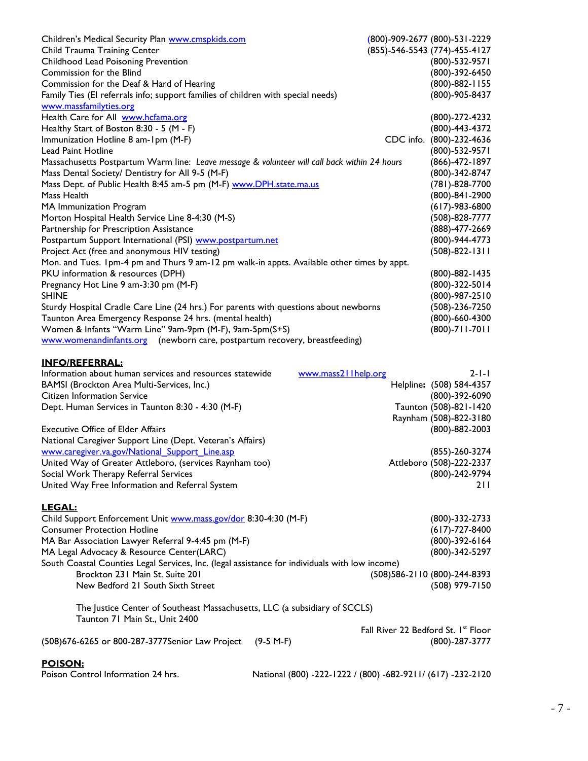| Children's Medical Security Plan www.cmspkids.com                                            | (800)-909-2677 (800)-531-2229                   |
|----------------------------------------------------------------------------------------------|-------------------------------------------------|
| Child Trauma Training Center                                                                 | (855)-546-5543 (774)-455-4127                   |
| Childhood Lead Poisoning Prevention                                                          | (800)-532-9571                                  |
| Commission for the Blind                                                                     | (800)-392-6450                                  |
| Commission for the Deaf & Hard of Hearing                                                    | (800)-882-1155                                  |
| Family Ties (El referrals info; support families of children with special needs)             | (800)-905-8437                                  |
| www.massfamilyties.org                                                                       |                                                 |
| Health Care for All www.hcfama.org                                                           | (800)-272-4232                                  |
| Healthy Start of Boston 8:30 - 5 (M - F)                                                     | (800)-443-4372                                  |
| Immunization Hotline 8 am-1pm (M-F)                                                          | CDC info. (800)-232-4636                        |
| <b>Lead Paint Hotline</b>                                                                    | (800)-532-9571                                  |
| Massachusetts Postpartum Warm line: Leave message & volunteer will call back within 24 hours | (866)-472-1897                                  |
| Mass Dental Society/ Dentistry for All 9-5 (M-F)                                             | (800)-342-8747                                  |
| Mass Dept. of Public Health 8:45 am-5 pm (M-F) www.DPH.state.ma.us                           | (781)-828-7700                                  |
| Mass Health                                                                                  | (800)-841-2900                                  |
| MA Immunization Program                                                                      | $(617) - 983 - 6800$                            |
| Morton Hospital Health Service Line 8-4:30 (M-S)                                             | $(508) - 828 - 7777$                            |
| Partnership for Prescription Assistance                                                      | (888)-477-2669                                  |
| Postpartum Support International (PSI) www.postpartum.net                                    | (800)-944-4773                                  |
| Project Act (free and anonymous HIV testing)                                                 | $(508)-822-1311$                                |
| Mon. and Tues. 1pm-4 pm and Thurs 9 am-12 pm walk-in appts. Available other times by appt.   |                                                 |
| PKU information & resources (DPH)                                                            | $(800) - 882 - 1435$                            |
| Pregnancy Hot Line 9 am-3:30 pm (M-F)                                                        | $(800) - 322 - 5014$                            |
| <b>SHINE</b>                                                                                 | (800)-987-2510                                  |
| Sturdy Hospital Cradle Care Line (24 hrs.) For parents with questions about newborns         | $(508)-236-7250$                                |
| Taunton Area Emergency Response 24 hrs. (mental health)                                      | $(800) - 660 - 4300$                            |
| Women & Infants "Warm Line" 9am-9pm (M-F), 9am-5pm(S+S)                                      | $(800) - 711 - 7011$                            |
| www.womenandinfants.org (newborn care, postpartum recovery, breastfeeding)                   |                                                 |
|                                                                                              |                                                 |
| <b>INFO/REFERRAL:</b>                                                                        |                                                 |
| Information about human services and resources statewide<br>www.mass211help.org              | $2 - 1 - 1$                                     |
| BAMSI (Brockton Area Multi-Services, Inc.)                                                   | Helpline: (508) 584-4357                        |
| Citizen Information Service                                                                  | $(800) - 392 - 6090$                            |
| Dept. Human Services in Taunton 8:30 - 4:30 (M-F)                                            | Taunton (508)-821-1420                          |
|                                                                                              | $D_{\alpha}$ <sub>tham</sub> $(500)$ 000 $2100$ |

|                                                           | Raynham (508)-822-3180   |
|-----------------------------------------------------------|--------------------------|
| <b>Executive Office of Elder Affairs</b>                  | $(800) - 882 - 2003$     |
| National Caregiver Support Line (Dept. Veteran's Affairs) |                          |
| www.caregiver.va.gov/National Support Line.asp            | $(855)-260-3274$         |
| United Way of Greater Attleboro, (services Raynham too)   | Attleboro (508)-222-2337 |
| Social Work Therapy Referral Services                     | (800)-242-9794           |
| United Way Free Information and Referral System           | 211                      |
|                                                           |                          |

### **LEGAL:**

| LEGAL:                                                                                                       |                                                       |
|--------------------------------------------------------------------------------------------------------------|-------------------------------------------------------|
| Child Support Enforcement Unit www.mass.gov/dor 8:30-4:30 (M-F)                                              | (800)-332-2733                                        |
| <b>Consumer Protection Hotline</b>                                                                           | $(617) - 727 - 8400$                                  |
| MA Bar Association Lawyer Referral 9-4:45 pm (M-F)                                                           | $(800) - 392 - 6164$                                  |
| MA Legal Advocacy & Resource Center(LARC)                                                                    | (800)-342-5297                                        |
| South Coastal Counties Legal Services, Inc. (legal assistance for individuals with low income)               |                                                       |
| Brockton 231 Main St. Suite 201                                                                              | (508)586-2110 (800)-244-8393                          |
| New Bedford 21 South Sixth Street                                                                            | (508) 979-7150                                        |
| The Justice Center of Southeast Massachusetts, LLC (a subsidiary of SCCLS)<br>Taunton 71 Main St., Unit 2400 |                                                       |
| (508)676-6265 or 800-287-3777Senior Law Project<br>$(9-5 M-F)$                                               | Fall River 22 Bedford St. 1st Floor<br>(800)-287-3777 |

### **POISON:**

| Poison Control Information 24 hrs. | National (800) -222-1222 / (800) -682-9211/ (617) -232-2120 |
|------------------------------------|-------------------------------------------------------------|
|                                    |                                                             |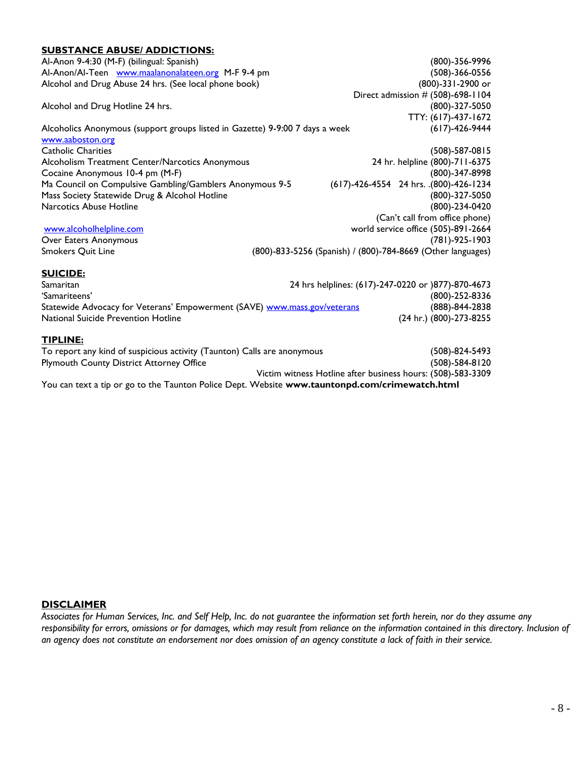### **SUBSTANCE ABUSE/ ADDICTIONS:** Al-Anon 9-4:30 (M-F) (bilingual: Spanish) (800)-356-9996 Al-Anon/Al-Teen [www.maalanonalateen.org](http://www.maalanonalateen.org/) M-F 9-4 pm (508)-366-0556 Alcohol and Drug Abuse 24 hrs. (See local phone book) (800)-331-2900 or Direct admission # (508)-698-1104 Alcohol and Drug Hotline 24 hrs. (800)-327-5050 TTY: (617)-437-1672 Alcoholics Anonymous (support groups listed in Gazette) 9-9:00 7 days a week (617)-426-9444 www.aaboston.org Catholic Charities (508)-587-0815 Alcoholism Treatment Center/Narcotics Anonymous 24 hr. helpline (800)-711-6375 Cocaine Anonymous 10-4 pm (M-F) (800)-347-8998 Ma Council on Compulsive Gambling/Gamblers Anonymous 9-5 (617)-426-4554 24 hrs. .(800)-426-1234 Mass Society Statewide Drug & Alcohol Hotline (800)-327-5050 Narcotics Abuse Hotline (800)-234-0420 (Can't call from office phone) [www.alcoholhelpline.com](http://www.alcoholhelpline.com/) world service office (505)-891-2664 Over Eaters Anonymous (781)-925-1903 Smokers Quit Line (800)-833-5256 (Spanish) / (800)-784-8669 (Other languages) **SUICIDE:** Samaritan 24 hrs helplines: (617)-247-0220 or )877)-870-4673 'Samariteens' (800)-252-8336 Statewide Advocacy for Veterans' Empowerment (SAVE) [www.mass.gov/veterans](http://www.mass.gov/veterans) (888)-844-2838 National Suicide Prevention Hotline (24 hr.) (800)-273-8255 **TIPLINE:** To report any kind of suspicious activity (Taunton) Calls are anonymous (508)-824-5493 Plymouth County District Attorney Office (508)-584-8120 Victim witness Hotline after business hours: (508)-583-3309 You can text a tip or go to the Taunton Police Dept. Website **www.tauntonpd.com/crimewatch.html**

### **DISCLAIMER**

*Associates for Human Services, Inc. and Self Help, Inc. do not guarantee the information set forth herein, nor do they assume any responsibility for errors, omissions or for damages, which may result from reliance on the information contained in this directory. Inclusion of an agency does not constitute an endorsement nor does omission of an agency constitute a lack of faith in their service.*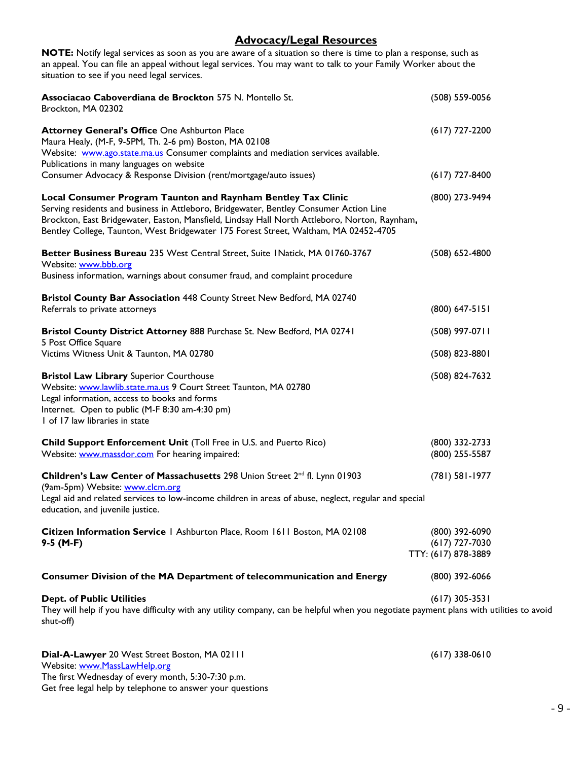### **Advocacy/Legal Resources**

**NOTE:** Notify legal services as soon as you are aware of a situation so there is time to plan a response, such as an appeal. You can file an appeal without legal services. You may want to talk to your Family Worker about the situation to see if you need legal services.

| Associacao Caboverdiana de Brockton 575 N. Montello St.<br>Brockton, MA 02302                                                                                                                                                                                                                                                                    | (508) 559-0056                                            |
|--------------------------------------------------------------------------------------------------------------------------------------------------------------------------------------------------------------------------------------------------------------------------------------------------------------------------------------------------|-----------------------------------------------------------|
| Attorney General's Office One Ashburton Place<br>Maura Healy, (M-F, 9-5PM, Th. 2-6 pm) Boston, MA 02108<br>Website: www.ago.state.ma.us Consumer complaints and mediation services available.<br>Publications in many languages on website                                                                                                       | $(617)$ 727-2200                                          |
| Consumer Advocacy & Response Division (rent/mortgage/auto issues)                                                                                                                                                                                                                                                                                | $(617)$ 727-8400                                          |
| Local Consumer Program Taunton and Raynham Bentley Tax Clinic<br>Serving residents and business in Attleboro, Bridgewater, Bentley Consumer Action Line<br>Brockton, East Bridgewater, Easton, Mansfield, Lindsay Hall North Attleboro, Norton, Raynham,<br>Bentley College, Taunton, West Bridgewater 175 Forest Street, Waltham, MA 02452-4705 | (800) 273-9494                                            |
| Better Business Bureau 235 West Central Street, Suite INatick, MA 01760-3767<br>Website: www.bbb.org<br>Business information, warnings about consumer fraud, and complaint procedure                                                                                                                                                             | $(508) 652 - 4800$                                        |
| Bristol County Bar Association 448 County Street New Bedford, MA 02740<br>Referrals to private attorneys                                                                                                                                                                                                                                         | $(800)$ 647-5151                                          |
| Bristol County District Attorney 888 Purchase St. New Bedford, MA 02741<br>5 Post Office Square                                                                                                                                                                                                                                                  | (508) 997-0711                                            |
| Victims Witness Unit & Taunton, MA 02780                                                                                                                                                                                                                                                                                                         | $(508)$ 823-8801                                          |
| <b>Bristol Law Library Superior Courthouse</b><br>Website: www.lawlib.state.ma.us 9 Court Street Taunton, MA 02780<br>Legal information, access to books and forms<br>Internet. Open to public (M-F 8:30 am-4:30 pm)<br>I of 17 law libraries in state                                                                                           | (508) 824-7632                                            |
| Child Support Enforcement Unit (Toll Free in U.S. and Puerto Rico)<br>Website: www.massdor.com For hearing impaired:                                                                                                                                                                                                                             | (800) 332-2733<br>(800) 255-5587                          |
| Children's Law Center of Massachusetts 298 Union Street 2 <sup>nd</sup> fl. Lynn 01903<br>(9am-5pm) Website: www.clcm.org                                                                                                                                                                                                                        | $(781)$ 581-1977                                          |
| Legal aid and related services to low-income children in areas of abuse, neglect, regular and special<br>education, and juvenile justice.                                                                                                                                                                                                        |                                                           |
| Citizen Information Service   Ashburton Place, Room 1611 Boston, MA 02108<br>$9-5$ (M-F)                                                                                                                                                                                                                                                         | (800) 392-6090<br>$(617)$ 727-7030<br>TTY: (617) 878-3889 |
| <b>Consumer Division of the MA Department of telecommunication and Energy</b>                                                                                                                                                                                                                                                                    | (800) 392-6066                                            |
| <b>Dept. of Public Utilities</b><br>They will help if you have difficulty with any utility company, can be helpful when you negotiate payment plans with utilities to avoid<br>shut-off)                                                                                                                                                         | $(617)$ 305-3531                                          |
| Dial-A-Lawyer 20 West Street Boston, MA 02111<br>Website: www.MassLawHelp.org                                                                                                                                                                                                                                                                    | $(617)$ 338-0610                                          |

The first Wednesday of every month, 5:30-7:30 p.m.

Get free legal help by telephone to answer your questions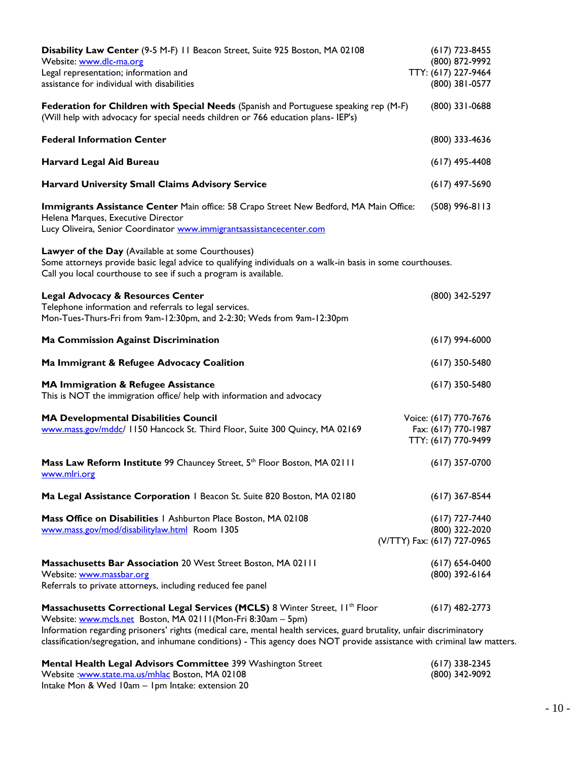| Disability Law Center (9-5 M-F) 11 Beacon Street, Suite 925 Boston, MA 02108<br>Website: www.dlc-ma.org<br>Legal representation; information and<br>assistance for individual with disabilities                                                                                                                                                                                                                |                             | $(617)$ 723-8455<br>(800) 872-9992<br>TTY: (617) 227-9464<br>(800) 381-0577 |
|----------------------------------------------------------------------------------------------------------------------------------------------------------------------------------------------------------------------------------------------------------------------------------------------------------------------------------------------------------------------------------------------------------------|-----------------------------|-----------------------------------------------------------------------------|
| Federation for Children with Special Needs (Spanish and Portuguese speaking rep (M-F)<br>(Will help with advocacy for special needs children or 766 education plans- IEP's)                                                                                                                                                                                                                                    |                             | $(800)$ 331-0688                                                            |
| <b>Federal Information Center</b>                                                                                                                                                                                                                                                                                                                                                                              |                             | (800) 333-4636                                                              |
| Harvard Legal Aid Bureau                                                                                                                                                                                                                                                                                                                                                                                       |                             | $(617)$ 495-4408                                                            |
| <b>Harvard University Small Claims Advisory Service</b>                                                                                                                                                                                                                                                                                                                                                        |                             | $(617)$ 497-5690                                                            |
| Immigrants Assistance Center Main office: 58 Crapo Street New Bedford, MA Main Office:<br>Helena Marques, Executive Director<br>Lucy Oliveira, Senior Coordinator www.immigrantsassistancecenter.com                                                                                                                                                                                                           |                             | $(508)$ 996-8113                                                            |
| Lawyer of the Day (Available at some Courthouses)<br>Some attorneys provide basic legal advice to qualifying individuals on a walk-in basis in some courthouses.<br>Call you local courthouse to see if such a program is available.                                                                                                                                                                           |                             |                                                                             |
| <b>Legal Advocacy &amp; Resources Center</b><br>Telephone information and referrals to legal services.<br>Mon-Tues-Thurs-Fri from 9am-12:30pm, and 2-2:30; Weds from 9am-12:30pm                                                                                                                                                                                                                               |                             | (800) 342-5297                                                              |
| <b>Ma Commission Against Discrimination</b>                                                                                                                                                                                                                                                                                                                                                                    |                             | $(617)$ 994-6000                                                            |
| Ma Immigrant & Refugee Advocacy Coalition                                                                                                                                                                                                                                                                                                                                                                      |                             | $(617)$ 350-5480                                                            |
| MA Immigration & Refugee Assistance<br>This is NOT the immigration office/ help with information and advocacy                                                                                                                                                                                                                                                                                                  |                             | $(617)$ 350-5480                                                            |
| <b>MA Developmental Disabilities Council</b><br>www.mass.gov/mddc/ 1150 Hancock St. Third Floor, Suite 300 Quincy, MA 02169                                                                                                                                                                                                                                                                                    |                             | Voice: (617) 770-7676<br>Fax: (617) 770-1987<br>TTY: (617) 770-9499         |
| Mass Law Reform Institute 99 Chauncey Street, 5th Floor Boston, MA 02111<br>www.mlri.org                                                                                                                                                                                                                                                                                                                       |                             | $(617)$ 357-0700                                                            |
| Ma Legal Assistance Corporation   Beacon St. Suite 820 Boston, MA 02180                                                                                                                                                                                                                                                                                                                                        |                             | $(617)$ 367-8544                                                            |
| Mass Office on Disabilities   Ashburton Place Boston, MA 02108<br>www.mass.gov/mod/disabilitylaw.html Room 1305                                                                                                                                                                                                                                                                                                | (V/TTY) Fax: (617) 727-0965 | $(617)$ 727-7440<br>(800) 322-2020                                          |
| Massachusetts Bar Association 20 West Street Boston, MA 02111<br>Website: www.massbar.org<br>Referrals to private attorneys, including reduced fee panel                                                                                                                                                                                                                                                       |                             | $(617) 654-0400$<br>(800) 392-6164                                          |
| Massachusetts Correctional Legal Services (MCLS) 8 Winter Street, II <sup>th</sup> Floor<br>Website: www.mcls.net Boston, MA 02111(Mon-Fri 8:30am - 5pm)<br>Information regarding prisoners' rights (medical care, mental health services, guard brutality, unfair discriminatory<br>classification/segregation, and inhumane conditions) - This agency does NOT provide assistance with criminal law matters. |                             | $(617)$ 482-2773                                                            |
| Mental Health Legal Advisors Committee 399 Washington Street<br>Website : www.state.ma.us/mhlac Boston, MA 02108                                                                                                                                                                                                                                                                                               |                             | $(617)$ 338-2345<br>(800) 342-9092                                          |

Intake Mon & Wed 10am – 1pm Intake: extension 20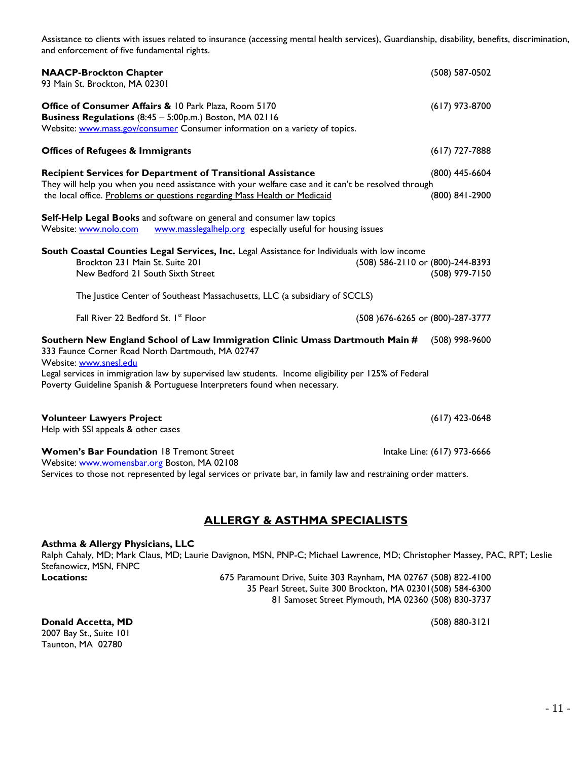Assistance to clients with issues related to insurance (accessing mental health services), Guardianship, disability, benefits, discrimination, and enforcement of five fundamental rights.

| <b>NAACP-Brockton Chapter</b><br>93 Main St. Brockton, MA 02301                                                                                                                                                                                                                                                                                 | (508) 587-0502                                     |
|-------------------------------------------------------------------------------------------------------------------------------------------------------------------------------------------------------------------------------------------------------------------------------------------------------------------------------------------------|----------------------------------------------------|
| Office of Consumer Affairs & 10 Park Plaza, Room 5170<br>Business Regulations (8:45 - 5:00p.m.) Boston, MA 02116<br>Website: www.mass.gov/consumer Consumer information on a variety of topics.                                                                                                                                                 | $(617)$ 973-8700                                   |
| <b>Offices of Refugees &amp; Immigrants</b>                                                                                                                                                                                                                                                                                                     | $(617)$ 727-7888                                   |
| <b>Recipient Services for Department of Transitional Assistance</b>                                                                                                                                                                                                                                                                             | $(800)$ 445-6604                                   |
| They will help you when you need assistance with your welfare case and it can't be resolved through<br>the local office. Problems or questions regarding Mass Health or Medicaid                                                                                                                                                                | (800) 841-2900                                     |
| Self-Help Legal Books and software on general and consumer law topics<br>www.masslegalhelp.org especially useful for housing issues<br>Website: www.nolo.com                                                                                                                                                                                    |                                                    |
| South Coastal Counties Legal Services, Inc. Legal Assistance for Individuals with low income<br>Brockton 231 Main St. Suite 201<br>New Bedford 21 South Sixth Street                                                                                                                                                                            | (508) 586-2110 or (800)-244-8393<br>(508) 979-7150 |
| The Justice Center of Southeast Massachusetts, LLC (a subsidiary of SCCLS)                                                                                                                                                                                                                                                                      |                                                    |
| Fall River 22 Bedford St. 1st Floor                                                                                                                                                                                                                                                                                                             | (508) 676-6265 or (800)-287-3777                   |
| Southern New England School of Law Immigration Clinic Umass Dartmouth Main #<br>333 Faunce Corner Road North Dartmouth, MA 02747<br>Website: www.snesl.edu<br>Legal services in immigration law by supervised law students. Income eligibility per 125% of Federal<br>Poverty Guideline Spanish & Portuguese Interpreters found when necessary. | $(508)$ 998-9600                                   |
| <b>Volunteer Lawyers Project</b><br>Help with SSI appeals & other cases                                                                                                                                                                                                                                                                         | $(617)$ 423-0648                                   |
| <b>Women's Bar Foundation 18 Tremont Street</b>                                                                                                                                                                                                                                                                                                 | Intake Line: (617) 973-6666                        |

Website: [www.womensbar.org](http://www.womensbar.org/) Boston, MA 02108

Services to those not represented by legal services or private bar, in family law and restraining order matters.

### **ALLERGY & ASTHMA SPECIALISTS**

### **Asthma & Allergy Physicians, LLC**

Ralph Cahaly, MD; Mark Claus, MD; Laurie Davignon, MSN, PNP-C; Michael Lawrence, MD; Christopher Massey, PAC, RPT; Leslie Stefanowicz, MSN, FNPC<br>**Locations: Locations:** 675 Paramount Drive, Suite 303 Raynham, MA 02767 (508) 822-4100

35 Pearl Street, Suite 300 Brockton, MA 02301(508) 584-6300 81 Samoset Street Plymouth, MA 02360 (508) 830-3737

**Donald Accetta, MD** (508) 880-3121 2007 Bay St., Suite 101 Taunton, MA 02780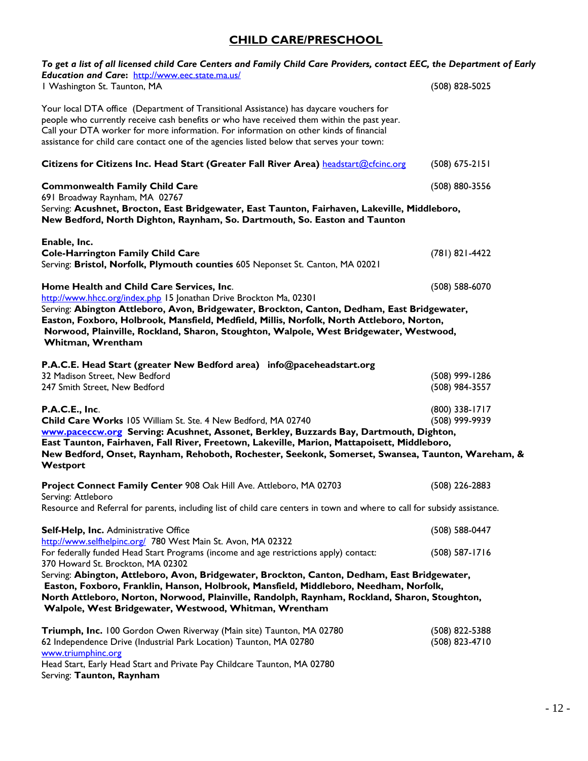### **CHILD CARE/PRESCHOOL**

| To get a list of all licensed child Care Centers and Family Child Care Providers, contact EEC, the Department of Early<br>Education and Care: http://www.eec.state.ma.us/                                                                                                                                                                                                                 |                                  |
|-------------------------------------------------------------------------------------------------------------------------------------------------------------------------------------------------------------------------------------------------------------------------------------------------------------------------------------------------------------------------------------------|----------------------------------|
| I Washington St. Taunton, MA                                                                                                                                                                                                                                                                                                                                                              | (508) 828-5025                   |
| Your local DTA office (Department of Transitional Assistance) has daycare vouchers for<br>people who currently receive cash benefits or who have received them within the past year.<br>Call your DTA worker for more information. For information on other kinds of financial<br>assistance for child care contact one of the agencies listed below that serves your town:               |                                  |
| Citizens for Citizens Inc. Head Start (Greater Fall River Area) headstart@cfcinc.org                                                                                                                                                                                                                                                                                                      | $(508)$ 675-2151                 |
| <b>Commonwealth Family Child Care</b><br>691 Broadway Raynham, MA 02767                                                                                                                                                                                                                                                                                                                   | (508) 880-3556                   |
| Serving: Acushnet, Brocton, East Bridgewater, East Taunton, Fairhaven, Lakeville, Middleboro,<br>New Bedford, North Dighton, Raynham, So. Dartmouth, So. Easton and Taunton                                                                                                                                                                                                               |                                  |
| Enable, Inc.<br><b>Cole-Harrington Family Child Care</b><br>Serving: Bristol, Norfolk, Plymouth counties 605 Neponset St. Canton, MA 02021                                                                                                                                                                                                                                                | (781) 821-4422                   |
| Home Health and Child Care Services, Inc.<br>http://www.hhcc.org/index.php 15 Jonathan Drive Brockton Ma, 02301                                                                                                                                                                                                                                                                           | (508) 588-6070                   |
| Serving: Abington Attleboro, Avon, Bridgewater, Brockton, Canton, Dedham, East Bridgewater,<br>Easton, Foxboro, Holbrook, Mansfield, Medfield, Millis, Norfolk, North Attleboro, Norton,<br>Norwood, Plainville, Rockland, Sharon, Stoughton, Walpole, West Bridgewater, Westwood,<br>Whitman, Wrentham                                                                                   |                                  |
| P.A.C.E. Head Start (greater New Bedford area) info@paceheadstart.org<br>32 Madison Street, New Bedford<br>247 Smith Street, New Bedford                                                                                                                                                                                                                                                  | (508) 999-1286<br>(508) 984-3557 |
| P.A.C.E., Inc.<br>Child Care Works 105 William St. Ste. 4 New Bedford, MA 02740<br>www.paceccw.org Serving: Acushnet, Assonet, Berkley, Buzzards Bay, Dartmouth, Dighton,<br>East Taunton, Fairhaven, Fall River, Freetown, Lakeville, Marion, Mattapoisett, Middleboro,<br>New Bedford, Onset, Raynham, Rehoboth, Rochester, Seekonk, Somerset, Swansea, Taunton, Wareham, &<br>Westport | (800) 338-1717<br>(508) 999-9939 |
| Project Connect Family Center 908 Oak Hill Ave. Attleboro, MA 02703<br>Serving: Attleboro                                                                                                                                                                                                                                                                                                 | (508) 226-2883                   |
| Resource and Referral for parents, including list of child care centers in town and where to call for subsidy assistance.                                                                                                                                                                                                                                                                 |                                  |
| Self-Help, Inc. Administrative Office<br>http://www.selfhelpinc.org/ 780 West Main St. Avon, MA 02322                                                                                                                                                                                                                                                                                     | (508) 588-0447                   |
| For federally funded Head Start Programs (income and age restrictions apply) contact:<br>370 Howard St. Brockton, MA 02302                                                                                                                                                                                                                                                                | $(508) 587 - 1716$               |
| Serving: Abington, Attleboro, Avon, Bridgewater, Brockton, Canton, Dedham, East Bridgewater,<br>Easton, Foxboro, Franklin, Hanson, Holbrook, Mansfield, Middleboro, Needham, Norfolk,<br>North Attleboro, Norton, Norwood, Plainville, Randolph, Raynham, Rockland, Sharon, Stoughton,<br>Walpole, West Bridgewater, Westwood, Whitman, Wrentham                                          |                                  |
| Triumph, Inc. 100 Gordon Owen Riverway (Main site) Taunton, MA 02780<br>62 Independence Drive (Industrial Park Location) Taunton, MA 02780<br>www.triumphinc.org<br>Head Start, Early Head Start and Private Pay Childcare Taunton, MA 02780<br>Serving: Taunton, Raynham                                                                                                                 | (508) 822-5388<br>(508) 823-4710 |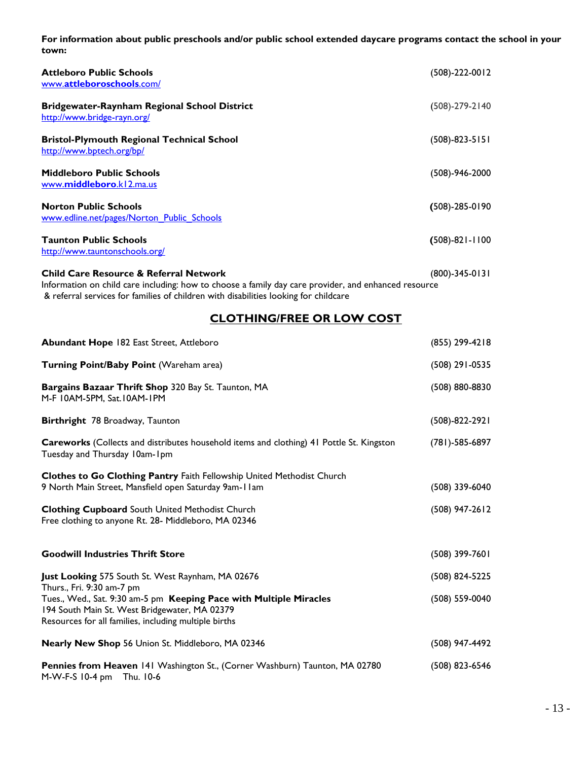**For information about public preschools and/or public school extended daycare programs contact the school in your town:**

| <b>Attleboro Public Schools</b><br>www.attleboroschools.com/                       | (508)-222-0012       |
|------------------------------------------------------------------------------------|----------------------|
| <b>Bridgewater-Raynham Regional School District</b><br>http://www.bridge-rayn.org/ | $(508)-279-2140$     |
| <b>Bristol-Plymouth Regional Technical School</b><br>http://www.bptech.org/bp/     | $(508) - 823 - 5151$ |
| <b>Middleboro Public Schools</b><br>www.middleboro.kl2.ma.us                       | (508)-946-2000       |
| <b>Norton Public Schools</b><br>www.edline.net/pages/Norton Public Schools         | $(508)-285-0190$     |
| <b>Taunton Public Schools</b><br>http://www.tauntonschools.org/                    | $(508)-821-1100$     |
| <b>Child Care Resource &amp; Referral Network</b>                                  | (800)-345-0131       |

Information on child care including: how to choose a family day care provider, and enhanced resource & referral services for families of children with disabilities looking for childcare

### **CLOTHING/FREE OR LOW COST**

| <b>Abundant Hope 182 East Street, Attleboro</b>                                                                                                                              | (855) 299-4218       |
|------------------------------------------------------------------------------------------------------------------------------------------------------------------------------|----------------------|
| Turning Point/Baby Point (Wareham area)                                                                                                                                      | (508) 291-0535       |
| Bargains Bazaar Thrift Shop 320 Bay St. Taunton, MA<br>M-F 10AM-5PM, Sat.10AM-1PM                                                                                            | (508) 880-8830       |
| Birthright 78 Broadway, Taunton                                                                                                                                              | (508)-822-2921       |
| <b>Careworks</b> (Collects and distributes household items and clothing) 41 Pottle St. Kingston<br>Tuesday and Thursday 10am-1pm                                             | $(781) - 585 - 6897$ |
| Clothes to Go Clothing Pantry Faith Fellowship United Methodist Church<br>9 North Main Street, Mansfield open Saturday 9am-11am                                              | $(508)$ 339-6040     |
| <b>Clothing Cupboard South United Methodist Church</b><br>Free clothing to anyone Rt. 28- Middleboro, MA 02346                                                               | $(508)$ 947-2612     |
| <b>Goodwill Industries Thrift Store</b>                                                                                                                                      | $(508)$ 399-7601     |
| Just Looking 575 South St. West Raynham, MA 02676<br>Thurs., Fri. 9:30 am-7 pm                                                                                               | (508) 824-5225       |
| Tues., Wed., Sat. 9:30 am-5 pm Keeping Pace with Multiple Miracles<br>194 South Main St. West Bridgewater, MA 02379<br>Resources for all families, including multiple births | (508) 559-0040       |
| Nearly New Shop 56 Union St. Middleboro, MA 02346                                                                                                                            | (508) 947-4492       |
| Pennies from Heaven 141 Washington St., (Corner Washburn) Taunton, MA 02780<br>M-W-F-S 10-4 pm Thu. 10-6                                                                     | $(508)$ 823-6546     |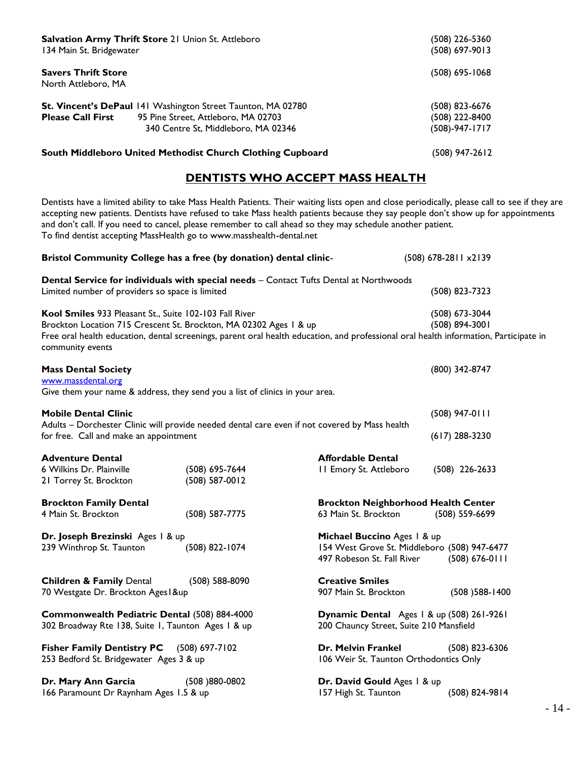| Salvation Army Thrift Store 21 Union St. Attleboro<br>134 Main St. Bridgewater                                                                                                                                                                                                                                                                                                                                                                                           | (508) 226-5360<br>(508) 697-9013                     |
|--------------------------------------------------------------------------------------------------------------------------------------------------------------------------------------------------------------------------------------------------------------------------------------------------------------------------------------------------------------------------------------------------------------------------------------------------------------------------|------------------------------------------------------|
| <b>Savers Thrift Store</b><br>North Attleboro, MA                                                                                                                                                                                                                                                                                                                                                                                                                        | (508) 695-1068                                       |
| St. Vincent's DePaul 141 Washington Street Taunton, MA 02780<br><b>Please Call First</b><br>95 Pine Street, Attleboro, MA 02703<br>340 Centre St, Middleboro, MA 02346                                                                                                                                                                                                                                                                                                   | (508) 823-6676<br>(508) 222-8400<br>$(508)-947-1717$ |
| South Middleboro United Methodist Church Clothing Cupboard                                                                                                                                                                                                                                                                                                                                                                                                               | $(508)$ 947-2612                                     |
| DENTISTS WHO ACCEPT MASS HEALTH                                                                                                                                                                                                                                                                                                                                                                                                                                          |                                                      |
| Dentists have a limited ability to take Mass Health Patients. Their waiting lists open and close periodically, please call to see if they are<br>accepting new patients. Dentists have refused to take Mass health patients because they say people don't show up for appointments<br>and don't call. If you need to cancel, please remember to call ahead so they may schedule another patient.<br>To find dentist accepting MassHealth go to www.masshealth-dental.net |                                                      |
| Bristol Community College has a free (by donation) dental clinic-                                                                                                                                                                                                                                                                                                                                                                                                        | (508) 678-2811 x2139                                 |
| Dental Service for individuals with special needs - Contact Tufts Dental at Northwoods<br>Limited number of providers so space is limited                                                                                                                                                                                                                                                                                                                                | (508) 823-7323                                       |
| Kool Smiles 933 Pleasant St., Suite 102-103 Fall River<br>Brockton Location 715 Crescent St. Brockton, MA 02302 Ages 1 & up<br>Free oral health education, dental screenings, parent oral health education, and professional oral health information, Participate in<br>community events                                                                                                                                                                                 | (508) 673-3044<br>(508) 894-3001                     |
| <b>Mass Dental Society</b><br>www.massdental.org<br>Give them your name & address, they send you a list of clinics in your area.                                                                                                                                                                                                                                                                                                                                         | (800) 342-8747                                       |
| <b>Mobile Dental Clinic</b><br>Adults - Dorchester Clinic will provide needed dental care even if not covered by Mass health                                                                                                                                                                                                                                                                                                                                             | $(508)$ 947-0111                                     |

| <b>Adventure Dental</b><br>6 Wilkins Dr. Plainville<br>21 Torrey St. Brockton                      | (508) 695-7644<br>(508) 587-0012 | <b>Affordable Dental</b><br>II Emory St. Attleboro                                                        | $(508)$ 226-2633   |
|----------------------------------------------------------------------------------------------------|----------------------------------|-----------------------------------------------------------------------------------------------------------|--------------------|
| <b>Brockton Family Dental</b><br>4 Main St. Brockton                                               | (508) 587-7775                   | <b>Brockton Neighborhood Health Center</b><br>63 Main St. Brockton                                        | $(508) 559-6699$   |
| Dr. Joseph Brezinski Ages   & up<br>239 Winthrop St. Taunton                                       | (508) 822-1074                   | Michael Buccino Ages   & up<br>154 West Grove St. Middleboro (508) 947-6477<br>497 Robeson St. Fall River | $(508) 676 - 0111$ |
| <b>Children &amp; Family Dental</b><br>70 Westgate Dr. Brockton Ages   &up                         | $(508) 588 - 8090$               | <b>Creative Smiles</b><br>907 Main St. Brockton                                                           | $(508)$ 588-1400   |
| Commonwealth Pediatric Dental (508) 884-4000<br>302 Broadway Rte 138, Suite 1, Taunton Ages 1 & up |                                  | Dynamic Dental Ages   & up (508) 261-9261<br>200 Chauncy Street, Suite 210 Mansfield                      |                    |
| Fisher Family Dentistry PC (508) 697-7102<br>253 Bedford St. Bridgewater Ages 3 & up               |                                  | Dr. Melvin Frankel<br>106 Weir St. Taunton Orthodontics Only                                              | $(508)$ 823-6306   |
| Dr. Mary Ann Garcia                                                                                | (508)880-0802                    | Dr. David Gould Ages   & up                                                                               |                    |

for free. Call and make an appointment (617) 288-3230

166 Paramount Dr Raynham Ages 1.5 & up 157 High St. Taunton (508) 824-9814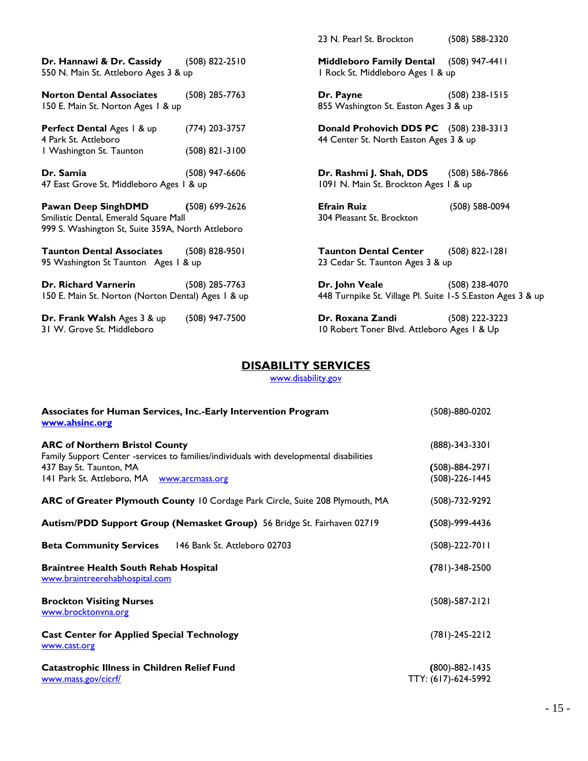|                                                                                                                          |                                    | 23 N. Pearl St. Brockton                                                         | (508) 588-2320     |
|--------------------------------------------------------------------------------------------------------------------------|------------------------------------|----------------------------------------------------------------------------------|--------------------|
| Dr. Hannawi & Dr. Cassidy<br>550 N. Main St. Attleboro Ages 3 & up                                                       | $(508)$ 822-2510                   | Middleboro Family Dental (508) 947-4411<br>I Rock St. Middleboro Ages I & up     |                    |
| <b>Norton Dental Associates</b><br>150 E. Main St. Norton Ages 1 & up                                                    | $(508)$ 285-7763                   | Dr. Payne<br>855 Washington St. Easton Ages 3 & up                               | $(508)$ 238-1515   |
| Perfect Dental Ages   & up<br>4 Park St. Attleboro<br>I Washington St. Taunton                                           | (774) 203-3757<br>$(508)$ 821-3100 | Donald Prohovich DDS PC (508) 238-3313<br>44 Center St. North Easton Ages 3 & up |                    |
| Dr. Samia<br>47 East Grove St. Middleboro Ages 1 & up                                                                    | $(508)$ 947-6606                   | Dr. Rashmi J. Shah, DDS<br>1091 N. Main St. Brockton Ages 1 & up                 | $(508) 586 - 7866$ |
| <b>Pawan Deep SinghDMD</b><br>Smilistic Dental, Emerald Square Mall<br>999 S. Washington St, Suite 359A, North Attleboro | $(508) 699 - 2626$                 | <b>Efrain Ruiz</b><br>304 Pleasant St. Brockton                                  | (508) 588-0094     |
| <b>Taunton Dental Associates</b><br>95 Washington St Taunton Ages 1 & up                                                 | $(508)$ 828-9501                   | <b>Taunton Dental Center</b><br>23 Cedar St. Taunton Ages 3 & up                 | $(508) 822 - 1281$ |
| Dr. Richard Varnerin<br>150 E. Main St. Norton (Norton Dental) Ages 1 & up                                               | $(508)$ 285-7763                   | Dr. John Veale<br>448 Turnpike St. Village Pl. Suite 1-5 S.Easton Ages 3 & up    | (508) 238-4070     |
| Dr. Frank Walsh Ages 3 & up<br>31 W. Grove St. Middleboro                                                                | (508) 947-7500                     | Dr. Roxana Zandi<br>10 Robert Toner Blvd. Attleboro Ages 1 & Up                  | (508) 222-3223     |

### **DISABILITY SERVICES**

[www.disability.gov](http://www.disability.gov/)

| Associates for Human Services, Inc.-Early Intervention Program<br>www.ahsinc.org                                                 | (508)-880-0202                              |
|----------------------------------------------------------------------------------------------------------------------------------|---------------------------------------------|
| <b>ARC of Northern Bristol County</b><br>Family Support Center -services to families/individuals with developmental disabilities | $(888) - 343 - 3301$                        |
| 437 Bay St. Taunton, MA<br>141 Park St. Attleboro, MA www.arcmass.org                                                            | $(508) - 884 - 2971$<br>$(508)-226-1445$    |
| <b>ARC of Greater Plymouth County 10 Cordage Park Circle, Suite 208 Plymouth, MA</b>                                             | $(508) - 732 - 9292$                        |
| Autism/PDD Support Group (Nemasket Group) 56 Bridge St. Fairhaven 02719                                                          | $(508) - 999 - 4436$                        |
| <b>Beta Community Services</b><br>146 Bank St. Attleboro 02703                                                                   | $(508)-222-7011$                            |
| <b>Braintree Health South Rehab Hospital</b><br>www.braintreerehabhospital.com                                                   | $(781) - 348 - 2500$                        |
| <b>Brockton Visiting Nurses</b><br>www.brocktonvna.org                                                                           | $(508)-587-2121$                            |
| <b>Cast Center for Applied Special Technology</b><br>www.cast.org                                                                | $(781)-245-2212$                            |
| <b>Catastrophic Illness in Children Relief Fund</b><br>www.mass.gov/cicrf/                                                       | $(800) - 882 - 1435$<br>TTY: (617)-624-5992 |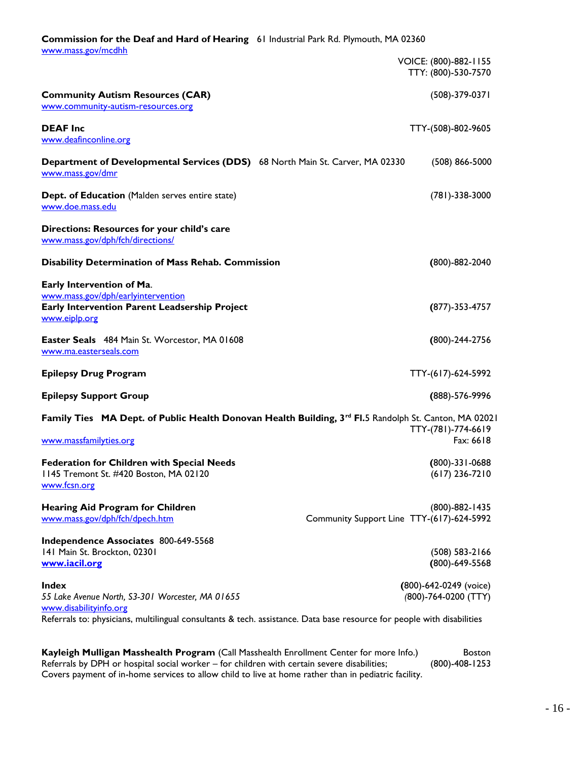| Commission for the Deaf and Hard of Hearing 61 Industrial Park Rd. Plymouth, MA 02360                                             |                                           |                                                |
|-----------------------------------------------------------------------------------------------------------------------------------|-------------------------------------------|------------------------------------------------|
| www.mass.gov/mcdhh                                                                                                                |                                           | VOICE: (800)-882-1155<br>TTY: (800)-530-7570   |
| <b>Community Autism Resources (CAR)</b><br>www.community-autism-resources.org                                                     |                                           | (508)-379-0371                                 |
| <b>DEAF</b> Inc<br>www.deafinconline.org                                                                                          |                                           | TTY-(508)-802-9605                             |
| Department of Developmental Services (DDS) 68 North Main St. Carver, MA 02330<br>www.mass.gov/dmr                                 |                                           | $(508) 866 - 5000$                             |
| Dept. of Education (Malden serves entire state)<br>www.doe.mass.edu                                                               |                                           | $(781) - 338 - 3000$                           |
| Directions: Resources for your child's care<br>www.mass.gov/dph/fch/directions/                                                   |                                           |                                                |
| Disability Determination of Mass Rehab. Commission                                                                                |                                           | $(800) - 882 - 2040$                           |
| Early Intervention of Ma.<br>www.mass.gov/dph/earlyintervention<br>Early Intervention Parent Leadsership Project<br>www.eiplp.org |                                           | $(877) - 353 - 4757$                           |
| Easter Seals 484 Main St. Worcestor, MA 01608<br>www.ma.easterseals.com                                                           |                                           | (800)-244-2756                                 |
| <b>Epilepsy Drug Program</b>                                                                                                      |                                           | TTY-(617)-624-5992                             |
| <b>Epilepsy Support Group</b>                                                                                                     |                                           | (888)-576-9996                                 |
| Family Ties MA Dept. of Public Health Donovan Health Building, 3rd FI.5 Randolph St. Canton, MA 02021<br>www.massfamilyties.org   |                                           | TTY-(781)-774-6619<br>Fax: 6618                |
| <b>Federation for Children with Special Needs</b><br>1145 Tremont St. #420 Boston, MA 02120<br>www.fcsn.org                       |                                           | $(800) - 331 - 0688$<br>$(617)$ 236-7210       |
| <b>Hearing Aid Program for Children</b><br>www.mass.gov/dph/fch/dpech.htm                                                         | Community Support Line TTY-(617)-624-5992 | (800)-882-1435                                 |
| Independence Associates 800-649-5568<br>141 Main St. Brockton, 02301<br>www.iacil.org                                             |                                           | (508) 583-2166<br>(800)-649-5568               |
| <b>Index</b><br>55 Lake Avenue North, S3-301 Worcester, MA 01655<br>www.disabilityinfo.org                                        |                                           | (800)-642-0249 (voice)<br>(800)-764-0200 (TTY) |

Referrals to: physicians, multilingual consultants & tech. assistance. Data base resource for people with disabilities

**Kayleigh Mulligan Masshealth Program** (Call Masshealth Enrollment Center for more Info.) Boston Referrals by DPH or hospital social worker – for children with certain severe disabilities; (800)-408-1253 Covers payment of in-home services to allow child to live at home rather than in pediatric facility.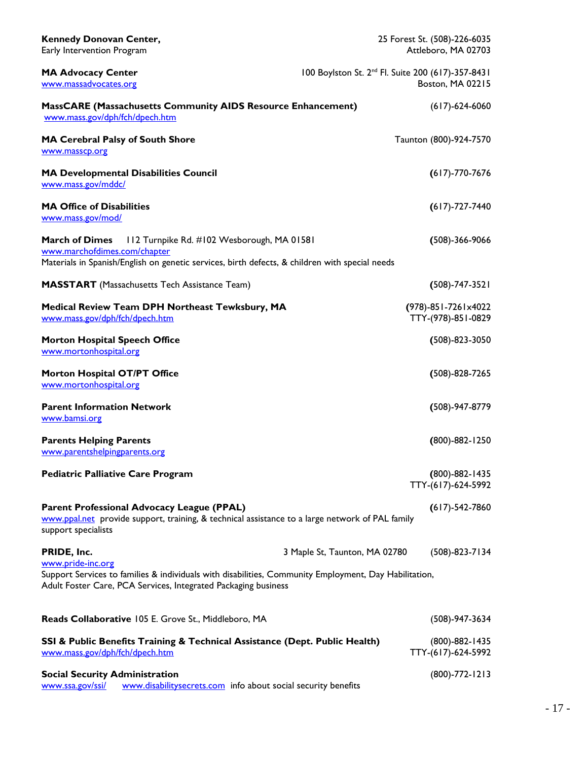| <b>Kennedy Donovan Center,</b><br>Early Intervention Program                                                                                                                                 |                                                               | 25 Forest St. (508)-226-6035<br>Attleboro, MA 02703 |
|----------------------------------------------------------------------------------------------------------------------------------------------------------------------------------------------|---------------------------------------------------------------|-----------------------------------------------------|
| <b>MA Advocacy Center</b><br>www.massadvocates.org                                                                                                                                           | 100 Boylston St. 2 <sup>nd</sup> Fl. Suite 200 (617)-357-8431 | Boston, MA 02215                                    |
| <b>MassCARE (Massachusetts Community AIDS Resource Enhancement)</b><br>www.mass.gov/dph/fch/dpech.htm                                                                                        |                                                               | $(617) - 624 - 6060$                                |
| MA Cerebral Palsy of South Shore<br>www.masscp.org                                                                                                                                           |                                                               | Taunton (800)-924-7570                              |
| <b>MA Developmental Disabilities Council</b><br>www.mass.gov/mddc/                                                                                                                           |                                                               | $(617) - 770 - 7676$                                |
| <b>MA Office of Disabilities</b><br>www.mass.gov/mod/                                                                                                                                        |                                                               | $(617) - 727 - 7440$                                |
| <b>March of Dimes</b><br>112 Turnpike Rd. #102 Wesborough, MA 01581<br>www.marchofdimes.com/chapter                                                                                          |                                                               | $(508)-366-9066$                                    |
| Materials in Spanish/English on genetic services, birth defects, & children with special needs                                                                                               |                                                               |                                                     |
| <b>MASSTART</b> (Massachusetts Tech Assistance Team)                                                                                                                                         |                                                               | $(508) - 747 - 3521$                                |
| Medical Review Team DPH Northeast Tewksbury, MA<br>www.mass.gov/dph/fch/dpech.htm                                                                                                            |                                                               | (978)-851-7261x4022<br>TTY-(978)-851-0829           |
| <b>Morton Hospital Speech Office</b><br>www.mortonhospital.org                                                                                                                               |                                                               | $(508) - 823 - 3050$                                |
| Morton Hospital OT/PT Office<br>www.mortonhospital.org                                                                                                                                       |                                                               | $(508) - 828 - 7265$                                |
| <b>Parent Information Network</b><br>www.bamsi.org                                                                                                                                           |                                                               | (508)-947-8779                                      |
| <b>Parents Helping Parents</b><br>www.parentshelpingparents.org                                                                                                                              |                                                               | (800)-882-1250                                      |
| <b>Pediatric Palliative Care Program</b>                                                                                                                                                     |                                                               | $(800) - 882 - 1435$<br>TTY-(617)-624-5992          |
| <b>Parent Professional Advocacy League (PPAL)</b><br>www.ppal.net provide support, training, & technical assistance to a large network of PAL family<br>support specialists                  |                                                               | $(617) - 542 - 7860$                                |
| PRIDE, Inc.                                                                                                                                                                                  | 3 Maple St, Taunton, MA 02780                                 | $(508) - 823 - 7134$                                |
| www.pride-inc.org<br>Support Services to families & individuals with disabilities, Community Employment, Day Habilitation,<br>Adult Foster Care, PCA Services, Integrated Packaging business |                                                               |                                                     |
| Reads Collaborative 105 E. Grove St., Middleboro, MA                                                                                                                                         |                                                               | $(508)-947-3634$                                    |
| SSI & Public Benefits Training & Technical Assistance (Dept. Public Health)<br>www.mass.gov/dph/fch/dpech.htm                                                                                |                                                               | (800)-882-1435<br>TTY-(617)-624-5992                |
| <b>Social Security Administration</b><br>www.ssa.gov/ssi/<br>www.disabilitysecrets.com info about social security benefits                                                                   |                                                               | $(800) - 772 - 1213$                                |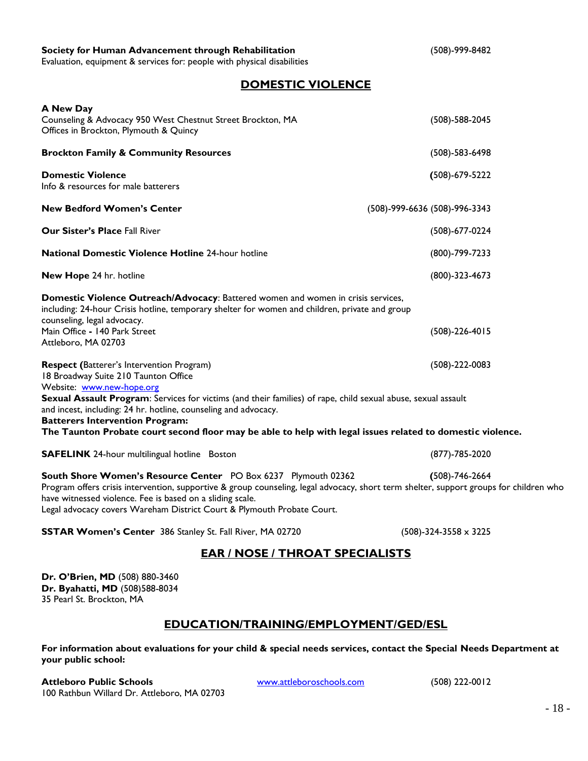### **Society for Human Advancement through Rehabilitation** (508)-999-8482

Evaluation, equipment & services for: people with physical disabilities

### **DOMESTIC VIOLENCE**

| <b>A New Day</b><br>Counseling & Advocacy 950 West Chestnut Street Brockton, MA<br>Offices in Brockton, Plymouth & Quincy                                                                                                                                                                                                                                                                                                                                         | $(508) - 588 - 2045$             |
|-------------------------------------------------------------------------------------------------------------------------------------------------------------------------------------------------------------------------------------------------------------------------------------------------------------------------------------------------------------------------------------------------------------------------------------------------------------------|----------------------------------|
| <b>Brockton Family &amp; Community Resources</b>                                                                                                                                                                                                                                                                                                                                                                                                                  | $(508) - 583 - 6498$             |
| <b>Domestic Violence</b><br>Info & resources for male batterers                                                                                                                                                                                                                                                                                                                                                                                                   | $(508)-679-5222$                 |
| <b>New Bedford Women's Center</b>                                                                                                                                                                                                                                                                                                                                                                                                                                 | (508)-999-6636 (508)-996-3343    |
| <b>Our Sister's Place Fall River</b>                                                                                                                                                                                                                                                                                                                                                                                                                              | $(508)-677-0224$                 |
| <b>National Domestic Violence Hotline 24-hour hotline</b>                                                                                                                                                                                                                                                                                                                                                                                                         | (800)-799-7233                   |
| New Hope 24 hr. hotline                                                                                                                                                                                                                                                                                                                                                                                                                                           | $(800) - 323 - 4673$             |
| Domestic Violence Outreach/Advocacy: Battered women and women in crisis services,<br>including: 24-hour Crisis hotline, temporary shelter for women and children, private and group<br>counseling, legal advocacy.                                                                                                                                                                                                                                                |                                  |
| Main Office - 140 Park Street<br>Attleboro, MA 02703                                                                                                                                                                                                                                                                                                                                                                                                              | $(508) - 226 - 4015$             |
| <b>Respect (Batterer's Intervention Program)</b><br>18 Broadway Suite 210 Taunton Office<br>Website: www.new-hope.org<br>Sexual Assault Program: Services for victims (and their families) of rape, child sexual abuse, sexual assault<br>and incest, including: 24 hr. hotline, counseling and advocacy.<br><b>Batterers Intervention Program:</b><br>The Taunton Probate court second floor may be able to help with legal issues related to domestic violence. | $(508)-222-0083$                 |
| <b>SAFELINK</b> 24-hour multilingual hotline Boston                                                                                                                                                                                                                                                                                                                                                                                                               | $(877) - 785 - 2020$             |
| South Shore Women's Resource Center PO Box 6237 Plymouth 02362<br>Program offers crisis intervention, supportive & group counseling, legal advocacy, short term shelter, support groups for children who<br>have witnessed violence. Fee is based on a sliding scale.<br>Legal advocacy covers Wareham District Court & Plymouth Probate Court.                                                                                                                   | $(508) - 746 - 2664$             |
| <b>SSTAR Women's Center</b> 386 Stanley St. Fall River, MA 02720                                                                                                                                                                                                                                                                                                                                                                                                  | $(508) - 324 - 3558 \times 3225$ |
| <b>EAR / NOSE / THROAT SPECIALISTS</b>                                                                                                                                                                                                                                                                                                                                                                                                                            |                                  |
| Dr. O'Brien, MD (508) 880-3460<br>Dr. Byahatti, MD (508)588-8034<br>35 Pearl St. Brockton, MA                                                                                                                                                                                                                                                                                                                                                                     |                                  |

### **EDUCATION/TRAINING/EMPLOYMENT/GED/ESL**

**For information about evaluations for your child & special needs services, contact the Special Needs Department at your public school:**

**Attleboro Public Schools** [www.attleboroschools.com](http://www.attleboroschools.com/) (508) 222-0012 100 Rathbun Willard Dr. Attleboro, MA 02703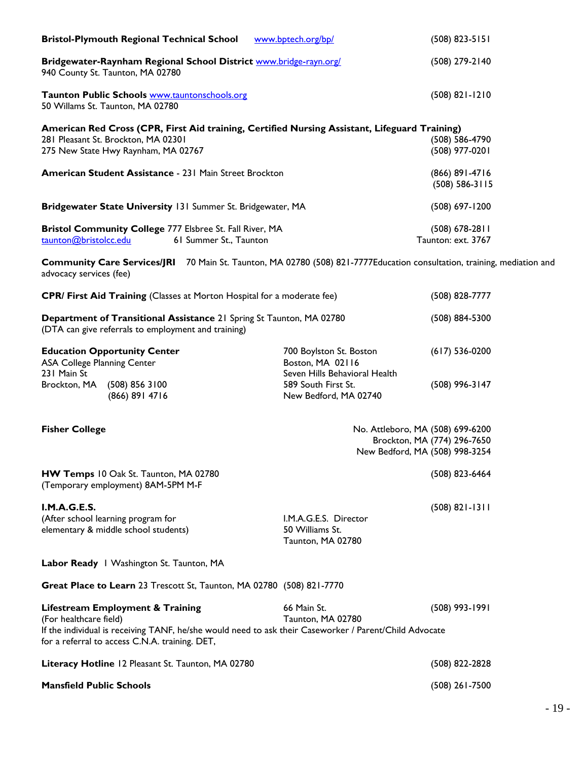| <b>Bristol-Plymouth Regional Technical School</b>                                                                                                                                                                      | www.bptech.org/bp/                                                           | $(508) 823 - 5151$                                              |
|------------------------------------------------------------------------------------------------------------------------------------------------------------------------------------------------------------------------|------------------------------------------------------------------------------|-----------------------------------------------------------------|
| Bridgewater-Raynham Regional School District www.bridge-rayn.org/<br>940 County St. Taunton, MA 02780                                                                                                                  |                                                                              | (508) 279-2140                                                  |
| Taunton Public Schools www.tauntonschools.org<br>50 Willams St. Taunton, MA 02780                                                                                                                                      |                                                                              | $(508) 821 - 1210$                                              |
| American Red Cross (CPR, First Aid training, Certified Nursing Assistant, Lifeguard Training)<br>281 Pleasant St. Brockton, MA 02301                                                                                   |                                                                              | (508) 586-4790                                                  |
| 275 New State Hwy Raynham, MA 02767                                                                                                                                                                                    |                                                                              | (508) 977-0201                                                  |
| American Student Assistance - 231 Main Street Brockton                                                                                                                                                                 |                                                                              | (866) 891-4716<br>$(508)$ 586-3115                              |
| Bridgewater State University 131 Summer St. Bridgewater, MA                                                                                                                                                            |                                                                              | (508) 697-1200                                                  |
| Bristol Community College 777 Elsbree St. Fall River, MA<br><u>taunton@bristolcc.edu</u><br>61 Summer St., Taunton                                                                                                     |                                                                              | $(508)$ 678-2811<br>Taunton: ext. 3767                          |
| Community Care Services/JRI 70 Main St. Taunton, MA 02780 (508) 821-7777Education consultation, training, mediation and<br>advocacy services (fee)                                                                     |                                                                              |                                                                 |
| <b>CPR/ First Aid Training</b> (Classes at Morton Hospital for a moderate fee)                                                                                                                                         |                                                                              | (508) 828-7777                                                  |
| Department of Transitional Assistance 21 Spring St Taunton, MA 02780<br>(DTA can give referrals to employment and training)                                                                                            |                                                                              | (508) 884-5300                                                  |
| <b>Education Opportunity Center</b><br>ASA College Planning Center<br>231 Main St                                                                                                                                      | 700 Boylston St. Boston<br>Boston, MA 02116<br>Seven Hills Behavioral Health | $(617) 536-0200$                                                |
| Brockton, MA (508) 856 3100<br>(866) 891 4716                                                                                                                                                                          | 589 South First St.<br>New Bedford, MA 02740                                 | $(508)$ 996-3147                                                |
| <b>Fisher College</b>                                                                                                                                                                                                  |                                                                              | No. Attleboro, MA (508) 699-6200<br>Brockton, MA (774) 296-7650 |
|                                                                                                                                                                                                                        |                                                                              | New Bedford, MA (508) 998-3254                                  |
| HW Temps 10 Oak St. Taunton, MA 02780<br>(Temporary employment) 8AM-5PM M-F                                                                                                                                            |                                                                              | (508) 823-6464                                                  |
| I.M.A.G.E.S.<br>(After school learning program for<br>elementary & middle school students)                                                                                                                             | I.M.A.G.E.S. Director<br>50 Williams St.<br>Taunton, MA 02780                | $(508) 821 - 1311$                                              |
| Labor Ready   Washington St. Taunton, MA                                                                                                                                                                               |                                                                              |                                                                 |
| Great Place to Learn 23 Trescott St, Taunton, MA 02780 (508) 821-7770                                                                                                                                                  |                                                                              |                                                                 |
| Lifestream Employment & Training<br>(For healthcare field)<br>If the individual is receiving TANF, he/she would need to ask their Caseworker / Parent/Child Advocate<br>for a referral to access C.N.A. training. DET, | 66 Main St.<br>Taunton, MA 02780                                             | $(508)$ 993-1991                                                |
| Literacy Hotline 12 Pleasant St. Taunton, MA 02780                                                                                                                                                                     |                                                                              | (508) 822-2828                                                  |
| <b>Mansfield Public Schools</b>                                                                                                                                                                                        |                                                                              | $(508)$ 261-7500                                                |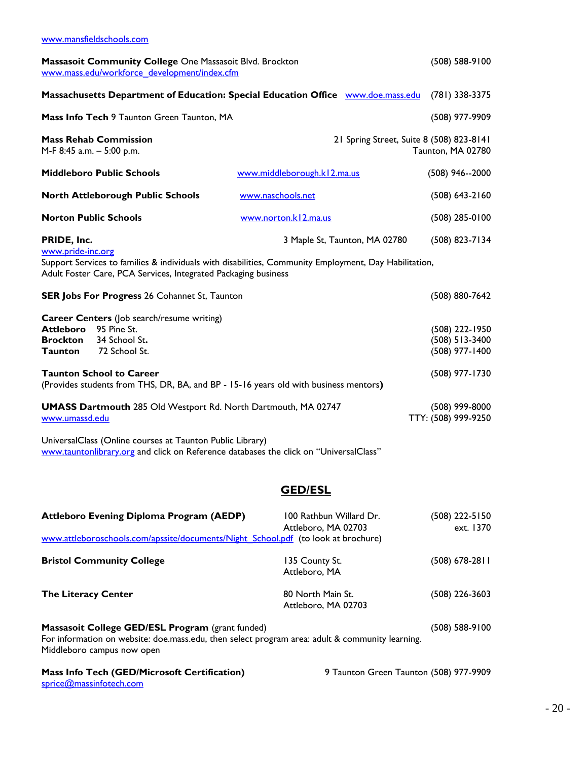| Massasoit Community College One Massasoit Blvd. Brockton<br>www.mass.edu/workforce_development/index.cfm                                                                                                                                                                                                                                                                                                                                                                                                                                                                                                                                                     | $(508) 588-9100$                               |                                                               |  |  |
|--------------------------------------------------------------------------------------------------------------------------------------------------------------------------------------------------------------------------------------------------------------------------------------------------------------------------------------------------------------------------------------------------------------------------------------------------------------------------------------------------------------------------------------------------------------------------------------------------------------------------------------------------------------|------------------------------------------------|---------------------------------------------------------------|--|--|
| Massachusetts Department of Education: Special Education Office www.doe.mass.edu<br>$(781)$ 338-3375                                                                                                                                                                                                                                                                                                                                                                                                                                                                                                                                                         |                                                |                                                               |  |  |
| Mass Info Tech 9 Taunton Green Taunton, MA                                                                                                                                                                                                                                                                                                                                                                                                                                                                                                                                                                                                                   |                                                | (508) 977-9909                                                |  |  |
| <b>Mass Rehab Commission</b><br>M-F 8:45 a.m. - 5:00 p.m.                                                                                                                                                                                                                                                                                                                                                                                                                                                                                                                                                                                                    |                                                | 21 Spring Street, Suite 8 (508) 823-8141<br>Taunton, MA 02780 |  |  |
| <b>Middleboro Public Schools</b>                                                                                                                                                                                                                                                                                                                                                                                                                                                                                                                                                                                                                             | www.middleborough.kl2.ma.us                    | $(508)$ 946--2000                                             |  |  |
| <b>North Attleborough Public Schools</b>                                                                                                                                                                                                                                                                                                                                                                                                                                                                                                                                                                                                                     | www.naschools.net                              | $(508) 643 - 2160$                                            |  |  |
| <b>Norton Public Schools</b>                                                                                                                                                                                                                                                                                                                                                                                                                                                                                                                                                                                                                                 | www.norton.kl2.ma.us                           | $(508)$ 285-0100                                              |  |  |
| PRIDE, Inc.                                                                                                                                                                                                                                                                                                                                                                                                                                                                                                                                                                                                                                                  | 3 Maple St, Taunton, MA 02780                  | (508) 823-7134                                                |  |  |
| www.pride-inc.org<br>Support Services to families & individuals with disabilities, Community Employment, Day Habilitation,<br>Adult Foster Care, PCA Services, Integrated Packaging business                                                                                                                                                                                                                                                                                                                                                                                                                                                                 |                                                |                                                               |  |  |
| <b>SER Jobs For Progress 26 Cohannet St, Taunton</b>                                                                                                                                                                                                                                                                                                                                                                                                                                                                                                                                                                                                         |                                                | (508) 880-7642                                                |  |  |
| <b>Career Centers</b> (Job search/resume writing)<br>95 Pine St.<br><b>Attleboro</b><br>(508) 222-1950<br><b>Brockton</b><br>34 School St.<br>$(508)$ 513-3400<br>72 School St.<br>(508) 977-1400<br><b>Taunton</b><br><b>Taunton School to Career</b><br>(508) 977-1730<br>(Provides students from THS, DR, BA, and BP - 15-16 years old with business mentors)<br><b>UMASS Dartmouth 285 Old Westport Rd. North Dartmouth, MA 02747</b><br>$(508)$ 999-8000<br>TTY: (508) 999-9250<br>www.umassd.edu<br>UniversalClass (Online courses at Taunton Public Library)<br>www.tauntonlibrary.org and click on Reference databases the click on "UniversalClass" |                                                |                                                               |  |  |
| <b>GED/ESL</b>                                                                                                                                                                                                                                                                                                                                                                                                                                                                                                                                                                                                                                               |                                                |                                                               |  |  |
| <b>Attleboro Evening Diploma Program (AEDP)</b><br>www.attleboroschools.com/apssite/documents/Night_School.pdf (to look at brochure)                                                                                                                                                                                                                                                                                                                                                                                                                                                                                                                         | 100 Rathbun Willard Dr.<br>Attleboro, MA 02703 | (508) 222-5150<br>ext. 1370                                   |  |  |
| <b>Bristol Community College</b><br>135 County St.<br>$(508)$ 678-2811<br>Attleboro, MA                                                                                                                                                                                                                                                                                                                                                                                                                                                                                                                                                                      |                                                |                                                               |  |  |
| <b>The Literacy Center</b>                                                                                                                                                                                                                                                                                                                                                                                                                                                                                                                                                                                                                                   | 80 North Main St.                              | (508) 226-3603                                                |  |  |

**Massasoit College GED/ESL Program** (grant funded) (508) 588-9100 For information on website: doe mass edu, then select program area: adult & community learning. Middleboro campus now open

Attleboro, MA 02703

# **Mass Info Tech (GED/Microsoft Certification)** 9 Taunton Green Taunton (508) 977-9909

[sprice@massinfotech.com](mailto:sprice@massinfotech.com)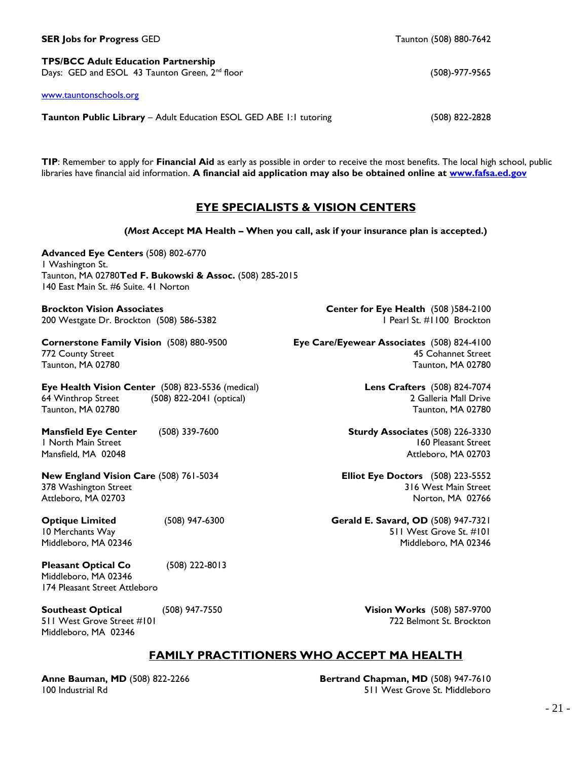**TPS/BCC Adult Education Partnership**  Days: GED and ESOL 43 Taunton Green, 2<sup>nd</sup> floor (508)-977-9565 (508)-977-9565

[www.tauntonschools.org](http://www.tauntonschools.org/)

**Taunton Public Library** – Adult Education ESOL GED ABE 1:1 tutoring (508) 822-2828

**TIP**: Remember to apply for **Financial Aid** as early as possible in order to receive the most benefits. The local high school, public libraries have financial aid information. **A financial aid application may also be obtained online at [www.fafsa.ed.gov](http://www.fafsa.ed.gov/)** 

### **EYE SPECIALISTS & VISION CENTERS**

**(***Most* **Accept MA Health – When you call, ask if your insurance plan is accepted.) Advanced Eye Centers** (508) 802-6770 1 Washington St. Taunton, MA 02780**Ted F. Bukowski & Assoc.** (508) 285-2015 140 East Main St. #6 Suite. 41 Norton **Brockton Vision Associates Center for Eye Health** (508 )584-2100 200 Westgate Dr. Brockton (508) 586-5382 1 200 Nestgate Dr. Brockton 1 Pearl St. #1100 Brockton **Cornerstone Family Vision** (508) 880-9500 **Eye Care/Eyewear Associates** (508) 824-4100 772 County Street 45 Cohannet Street Taunton, MA 02780 Taunton, MA 02780 **Eye Health Vision Center** (508) 823-5536 (medical) **Lens Crafters** (508) 824-7074 64 Winthrop Street (508) 822-2041 (optical) 2 Galleria Mall Drive Taunton, MA 02780 Taunton, MA 02780 **Mansfield Eye Center** (508) 339-7600 **Sturdy Associates** (508) 226-3330 1 North Main Street 160 Pleasant Street Mansfield, MA 02048 Attleboro, MA 02703 **New England Vision Care** (508) 761-5034 **Elliot Eye Doctors** (508) 223-5552 378 Washington Street 316 West Main Street Attleboro, MA 02703 Norton, MA 02766 **Optique Limited** (508) 947-6300 **Gerald E. Savard, OD** (508) 947-7321 10 Merchants Way 511 West Grove St. #101 Middleboro, MA 02346 Middleboro, MA 02346 **Southeast Optical** (508) 947-7550 **Vision Works** (508) 587-9700 511 West Grove Street #101 722 Belmont St. Brockton Middleboro, MA 02346

### **FAMILY PRACTITIONERS WHO ACCEPT MA HEALTH**

**Anne Bauman, MD** (508) 822-2266 **Bertrand Chapman, MD** (508) 947-7610 100 Industrial Rd 511 West Grove St. Middleboro

### **SER Jobs for Progress** GED **Taunton (508) 880-7642**

**Pleasant Optical Co** (508) 222-8013 Middleboro, MA 02346 174 Pleasant Street Attleboro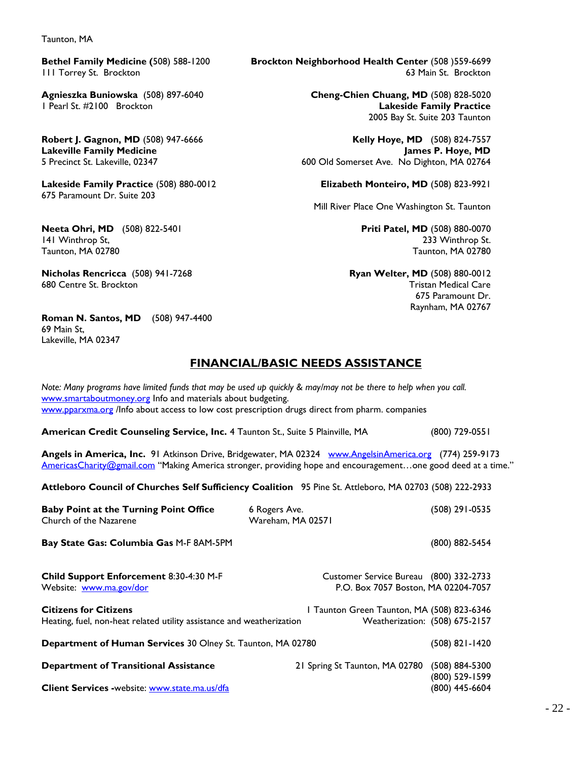Taunton, MA

**Lakeside Family Practice** (508) 880-0012 **Elizabeth Monteiro, MD** (508) 823-9921 675 Paramount Dr. Suite 203

**Neeta Ohri, MD** (508) 822-5401 **Priti Patel, MD** (508) 880-0070 141 Winthrop St, 233 Winthrop St. Taunton, MA 02780 Taunton, MA 02780

**Nicholas Rencricca** (508) 941-7268 **Ryan Welter, MD** (508) 880-0012 680 Centre St. Brockton Tristan Medical Care

**Roman N. Santos, MD** (508) 947-4400 69 Main St, Lakeville, MA 02347

**Bethel Family Medicine (**508) 588-1200 **Brockton Neighborhood Health Center** (508 )559-6699 111 Torrey St. Brockton **111 Torrey St. Brockton** 

**Agnieszka Buniowska** (508) 897-6040 **Cheng-Chien Chuang, MD** (508) 828-5020 1 Pearl St. #2100 Brockton **Lakeside Family Practice** 2005 Bay St. Suite 203 Taunton

**Robert J. Gagnon, MD** (508) 947-6666 **Kelly Hoye, MD** (508) 824-7557 **Lakeville Family Medicine James P. Hoye, MD** 600 Old Somerset Ave. No Dighton, MA 02764

Mill River Place One Washington St. Taunton

675 Paramount Dr. Raynham, MA 02767

### **FINANCIAL/BASIC NEEDS ASSISTANCE**

| Note: Many programs have limited funds that may be used up quickly & may/may not be there to help when you call.<br>www.smartaboutmoney.org Info and materials about budgeting.<br>www.pparxma.org /Info about access to low cost prescription drugs direct from pharm. companies |                                                                               |                                  |
|-----------------------------------------------------------------------------------------------------------------------------------------------------------------------------------------------------------------------------------------------------------------------------------|-------------------------------------------------------------------------------|----------------------------------|
| American Credit Counseling Service, Inc. 4 Taunton St., Suite 5 Plainville, MA                                                                                                                                                                                                    |                                                                               | (800) 729-0551                   |
| Angels in America, Inc. 91 Atkinson Drive, Bridgewater, MA 02324 www.AngelsinAmerica.org (774) 259-9173<br>AmericasCharity@gmail.com "Making America stronger, providing hope and encouragementone good deed at a time."                                                          |                                                                               |                                  |
| Attleboro Council of Churches Self Sufficiency Coalition 95 Pine St. Attleboro, MA 02703 (508) 222-2933                                                                                                                                                                           |                                                                               |                                  |
| <b>Baby Point at the Turning Point Office</b><br>Church of the Nazarene                                                                                                                                                                                                           | 6 Rogers Ave.<br>Wareham, MA 02571                                            | (508) 291-0535                   |
| Bay State Gas: Columbia Gas M-F 8AM-5PM                                                                                                                                                                                                                                           |                                                                               | (800) 882-5454                   |
| Child Support Enforcement 8:30-4:30 M-F<br>Website: www.ma.gov/dor                                                                                                                                                                                                                | Customer Service Bureau (800) 332-2733<br>P.O. Box 7057 Boston, MA 02204-7057 |                                  |
| <b>Citizens for Citizens</b><br>Heating, fuel, non-heat related utility assistance and weatherization                                                                                                                                                                             | I Taunton Green Taunton, MA (508) 823-6346                                    | Weatherization: (508) 675-2157   |
| Department of Human Services 30 Olney St. Taunton, MA 02780                                                                                                                                                                                                                       |                                                                               | $(508)$ 821-1420                 |
| <b>Department of Transitional Assistance</b>                                                                                                                                                                                                                                      | 21 Spring St Taunton, MA 02780                                                | (508) 884-5300<br>(800) 529-1599 |
| Client Services -website: www.state.ma.us/dfa                                                                                                                                                                                                                                     |                                                                               | (800) 445-6604                   |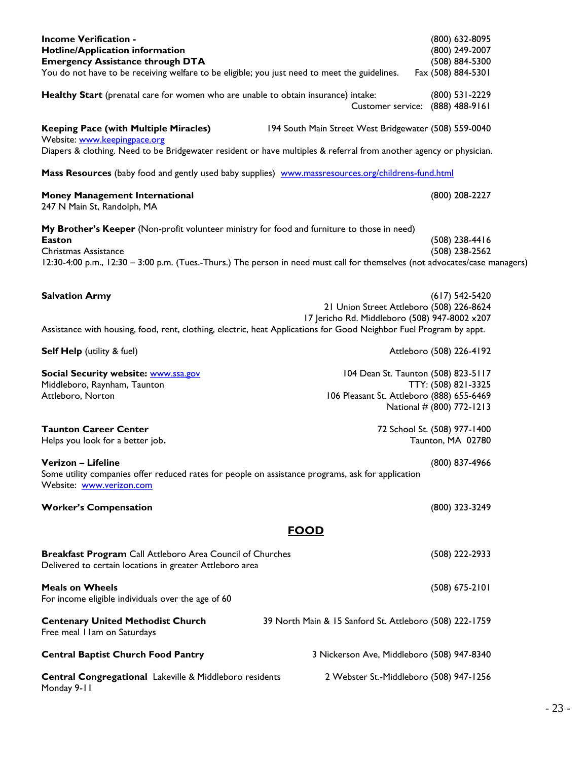| Central Congregational Lakeville & Middleboro residents<br>Monday 9-11                                                                              |                                                         | 2 Webster St.-Middleboro (508) 947-1256                                |
|-----------------------------------------------------------------------------------------------------------------------------------------------------|---------------------------------------------------------|------------------------------------------------------------------------|
| <b>Central Baptist Church Food Pantry</b>                                                                                                           | 3 Nickerson Ave, Middleboro (508) 947-8340              |                                                                        |
| <b>Centenary United Methodist Church</b><br>Free meal I I am on Saturdays                                                                           | 39 North Main & 15 Sanford St. Attleboro (508) 222-1759 |                                                                        |
| <b>Meals on Wheels</b><br>For income eligible individuals over the age of 60                                                                        |                                                         | $(508) 675 - 2101$                                                     |
| <b>Breakfast Program</b> Call Attleboro Area Council of Churches<br>Delivered to certain locations in greater Attleboro area                        |                                                         | (508) 222-2933                                                         |
|                                                                                                                                                     | <u>FOOD</u>                                             |                                                                        |
| <b>Worker's Compensation</b>                                                                                                                        |                                                         | (800) 323-3249                                                         |
| Some utility companies offer reduced rates for people on assistance programs, ask for application<br>Website: www.verizon.com                       |                                                         |                                                                        |
| Verizon - Lifeline                                                                                                                                  |                                                         | (800) 837-4966                                                         |
| <b>Taunton Career Center</b><br>Helps you look for a better job.                                                                                    |                                                         | 72 School St. (508) 977-1400<br>Taunton, MA 02780                      |
| Attleboro, Norton                                                                                                                                   |                                                         | 106 Pleasant St. Attleboro (888) 655-6469<br>National # (800) 772-1213 |
| Social Security website: www.ssa.gov<br>Middleboro, Raynham, Taunton                                                                                |                                                         | 104 Dean St. Taunton (508) 823-5117<br>TTY: (508) 821-3325             |
| <b>Self Help</b> (utility & fuel)                                                                                                                   |                                                         | Attleboro (508) 226-4192                                               |
| Assistance with housing, food, rent, clothing, electric, heat Applications for Good Neighbor Fuel Program by appt.                                  | 17 Jericho Rd. Middleboro (508) 947-8002 x207           |                                                                        |
| <b>Salvation Army</b>                                                                                                                               |                                                         | $(617) 542 - 5420$<br>21 Union Street Attleboro (508) 226-8624         |
| Christmas Assistance<br>12:30-4:00 p.m., 12:30 - 3:00 p.m. (Tues.-Thurs.) The person in need must call for themselves (not advocates/case managers) |                                                         | (508) 238-2562                                                         |
| My Brother's Keeper (Non-profit volunteer ministry for food and furniture to those in need)<br><b>Easton</b>                                        |                                                         | (508) 238-4416                                                         |
| <b>Money Management International</b><br>247 N Main St, Randolph, MA                                                                                |                                                         | (800) 208-2227                                                         |
| Mass Resources (baby food and gently used baby supplies) www.massresources.org/childrens-fund.html                                                  |                                                         |                                                                        |
| Website: www.keepingpace.org<br>Diapers & clothing. Need to be Bridgewater resident or have multiples & referral from another agency or physician.  |                                                         |                                                                        |
| <b>Keeping Pace (with Multiple Miracles)</b>                                                                                                        | 194 South Main Street West Bridgewater (508) 559-0040   |                                                                        |
| Healthy Start (prenatal care for women who are unable to obtain insurance) intake:                                                                  | <b>Customer service:</b>                                | (800) 531-2229<br>(888) 488-9161                                       |
| You do not have to be receiving welfare to be eligible; you just need to meet the guidelines.                                                       |                                                         | Fax (508) 884-5301                                                     |
| <b>Hotline/Application information</b><br><b>Emergency Assistance through DTA</b>                                                                   |                                                         | (800) 249-2007<br>(508) 884-5300                                       |
| <b>Income Verification -</b>                                                                                                                        |                                                         | (800) 632-8095                                                         |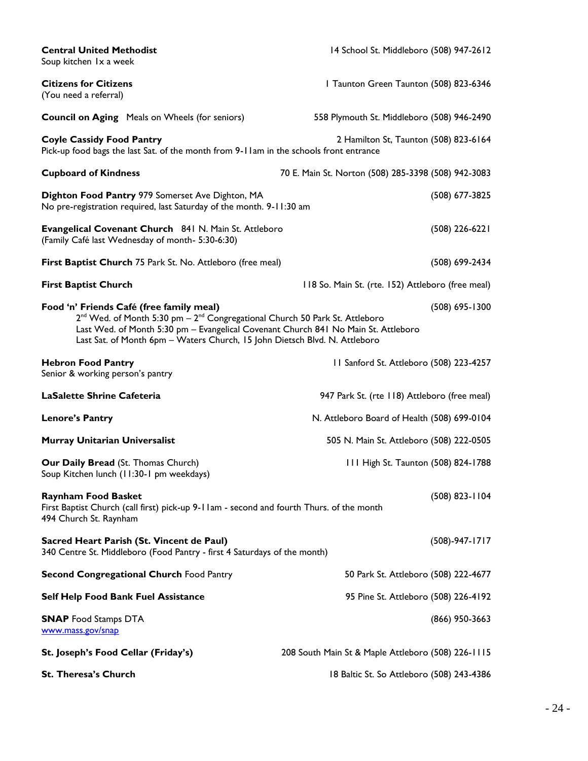| <b>Central United Methodist</b><br>Soup kitchen 1x a week                                                                                                                                                                                                                                                           | 14 School St. Middleboro (508) 947-2612             |
|---------------------------------------------------------------------------------------------------------------------------------------------------------------------------------------------------------------------------------------------------------------------------------------------------------------------|-----------------------------------------------------|
| <b>Citizens for Citizens</b><br>(You need a referral)                                                                                                                                                                                                                                                               | I Taunton Green Taunton (508) 823-6346              |
| <b>Council on Aging</b> Meals on Wheels (for seniors)                                                                                                                                                                                                                                                               | 558 Plymouth St. Middleboro (508) 946-2490          |
| <b>Coyle Cassidy Food Pantry</b><br>Pick-up food bags the last Sat. of the month from 9-11am in the schools front entrance                                                                                                                                                                                          | 2 Hamilton St, Taunton (508) 823-6164               |
| <b>Cupboard of Kindness</b>                                                                                                                                                                                                                                                                                         | 70 E. Main St. Norton (508) 285-3398 (508) 942-3083 |
| Dighton Food Pantry 979 Somerset Ave Dighton, MA<br>No pre-registration required, last Saturday of the month. 9-11:30 am                                                                                                                                                                                            | (508) 677-3825                                      |
| Evangelical Covenant Church 841 N. Main St. Attleboro<br>(Family Café last Wednesday of month- 5:30-6:30)                                                                                                                                                                                                           | $(508)$ 226-6221                                    |
| First Baptist Church 75 Park St. No. Attleboro (free meal)                                                                                                                                                                                                                                                          | (508) 699-2434                                      |
| <b>First Baptist Church</b>                                                                                                                                                                                                                                                                                         | 118 So. Main St. (rte. 152) Attleboro (free meal)   |
| Food 'n' Friends Café (free family meal)<br>2 <sup>nd</sup> Wed. of Month 5:30 pm - 2 <sup>nd</sup> Congregational Church 50 Park St. Attleboro<br>Last Wed. of Month 5:30 pm - Evangelical Covenant Church 841 No Main St. Attleboro<br>Last Sat. of Month 6pm - Waters Church, 15 John Dietsch Blvd. N. Attleboro | $(508)$ 695-1300                                    |
| <b>Hebron Food Pantry</b><br>Senior & working person's pantry                                                                                                                                                                                                                                                       | II Sanford St. Attleboro (508) 223-4257             |
| <b>LaSalette Shrine Cafeteria</b>                                                                                                                                                                                                                                                                                   | 947 Park St. (rte 118) Attleboro (free meal)        |
| <b>Lenore's Pantry</b>                                                                                                                                                                                                                                                                                              | N. Attleboro Board of Health (508) 699-0104         |
| <b>Murray Unitarian Universalist</b>                                                                                                                                                                                                                                                                                | 505 N. Main St. Attleboro (508) 222-0505            |
| Our Daily Bread (St. Thomas Church)<br>Soup Kitchen lunch (11:30-1 pm weekdays)                                                                                                                                                                                                                                     | 111 High St. Taunton (508) 824-1788                 |
| <b>Raynham Food Basket</b><br>First Baptist Church (call first) pick-up 9-11am - second and fourth Thurs. of the month<br>494 Church St. Raynham                                                                                                                                                                    | $(508)$ 823-1104                                    |
| Sacred Heart Parish (St. Vincent de Paul)<br>340 Centre St. Middleboro (Food Pantry - first 4 Saturdays of the month)                                                                                                                                                                                               | $(508)-947-1717$                                    |
| <b>Second Congregational Church Food Pantry</b>                                                                                                                                                                                                                                                                     | 50 Park St. Attleboro (508) 222-4677                |
| <b>Self Help Food Bank Fuel Assistance</b>                                                                                                                                                                                                                                                                          | 95 Pine St. Attleboro (508) 226-4192                |
| <b>SNAP</b> Food Stamps DTA<br>www.mass.gov/snap                                                                                                                                                                                                                                                                    | $(866)$ 950-3663                                    |
| St. Joseph's Food Cellar (Friday's)                                                                                                                                                                                                                                                                                 | 208 South Main St & Maple Attleboro (508) 226-1115  |
| St. Theresa's Church                                                                                                                                                                                                                                                                                                | 18 Baltic St. So Attleboro (508) 243-4386           |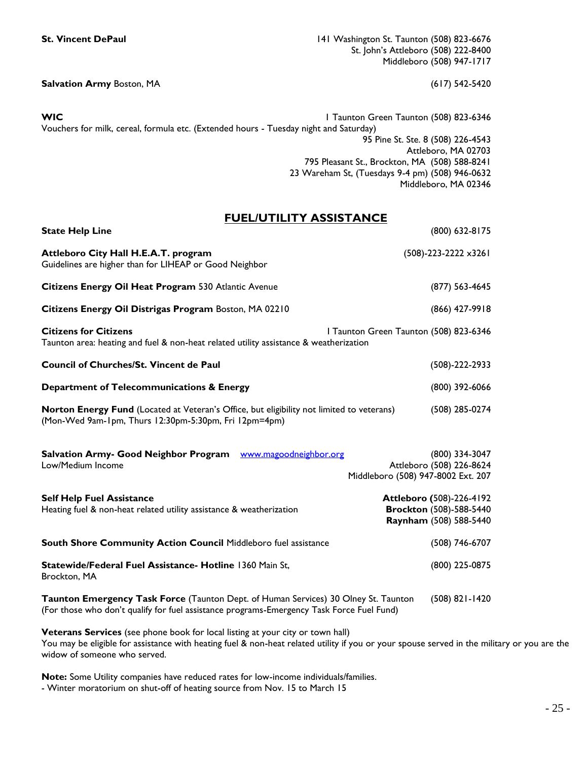**St. Vincent DePaul** 141 Washington St. Taunton (508) 823-6676 St. John's Attleboro (508) 222-8400 Middleboro (508) 947-1717

**Salvation Army Boston, MA** (617) 542-5420

**WIC** 1 Taunton Green Taunton (508) 823-6346 Vouchers for milk, cereal, formula etc. (Extended hours - Tuesday night and Saturday) 95 Pine St. Ste. 8 (508) 226-4543 Attleboro, MA 02703 795 Pleasant St., Brockton, MA (508) 588-8241 23 Wareham St, (Tuesdays 9-4 pm) (508) 946-0632 Middleboro, MA 02346

### **FUEL/UTILITY ASSISTANCE**

| <b>State Help Line</b>                                                                                                                                                           | (800) 632-8175                                                                       |
|----------------------------------------------------------------------------------------------------------------------------------------------------------------------------------|--------------------------------------------------------------------------------------|
| Attleboro City Hall H.E.A.T. program<br>Guidelines are higher than for LIHEAP or Good Neighbor                                                                                   | (508)-223-2222 x3261                                                                 |
| Citizens Energy Oil Heat Program 530 Atlantic Avenue                                                                                                                             | (877) 563-4645                                                                       |
| Citizens Energy Oil Distrigas Program Boston, MA 02210                                                                                                                           | (866) 427-9918                                                                       |
| <b>Citizens for Citizens</b><br>Taunton area: heating and fuel & non-heat related utility assistance & weatherization                                                            | I Taunton Green Taunton (508) 823-6346                                               |
| <b>Council of Churches/St. Vincent de Paul</b>                                                                                                                                   | $(508)-222-2933$                                                                     |
| Department of Telecommunications & Energy                                                                                                                                        | (800) 392-6066                                                                       |
| Norton Energy Fund (Located at Veteran's Office, but eligibility not limited to veterans)<br>(Mon-Wed 9am-1pm, Thurs 12:30pm-5:30pm, Fri 12pm=4pm)                               | (508) 285-0274                                                                       |
| Salvation Army- Good Neighbor Program <b>WWW.magoodneighbor.org</b><br>Low/Medium Income                                                                                         | (800) 334-3047<br>Attleboro (508) 226-8624<br>Middleboro (508) 947-8002 Ext. 207     |
| <b>Self Help Fuel Assistance</b><br>Heating fuel & non-heat related utility assistance & weatherization                                                                          | Attleboro (508)-226-4192<br><b>Brockton (508)-588-5440</b><br>Raynham (508) 588-5440 |
| South Shore Community Action Council Middleboro fuel assistance                                                                                                                  | (508) 746-6707                                                                       |
| Statewide/Federal Fuel Assistance- Hotline 1360 Main St,<br>Brockton, MA                                                                                                         | (800) 225-0875                                                                       |
| Taunton Emergency Task Force (Taunton Dept. of Human Services) 30 Olney St. Taunton<br>(For those who don't qualify for fuel assistance programs-Emergency Task Force Fuel Fund) | $(508)$ 821-1420                                                                     |

**Veterans Services** (see phone book for local listing at your city or town hall) You may be eligible for assistance with heating fuel & non-heat related utility if you or your spouse served in the military or you are the widow of someone who served.

**Note:** Some Utility companies have reduced rates for low-income individuals/families.

- Winter moratorium on shut-off of heating source from Nov. 15 to March 15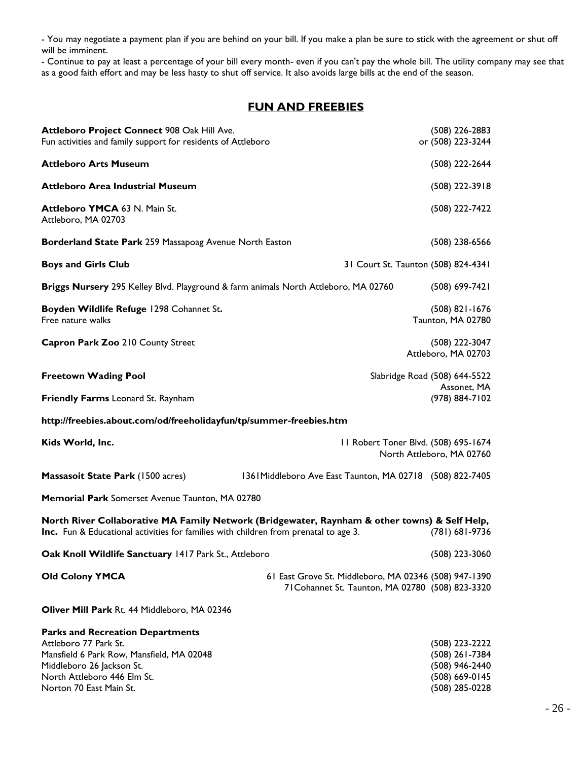- You may negotiate a payment plan if you are behind on your bill. If you make a plan be sure to stick with the agreement or shut off will be imminent.

- Continue to pay at least a percentage of your bill every month- even if you can't pay the whole bill. The utility company may see that as a good faith effort and may be less hasty to shut off service. It also avoids large bills at the end of the season.

### **FUN AND FREEBIES**

| Attleboro Project Connect 908 Oak Hill Ave.<br>Fun activities and family support for residents of Attleboro                                                                           |                                                                                                           | (508) 226-2883<br>or (508) 223-3244                               |
|---------------------------------------------------------------------------------------------------------------------------------------------------------------------------------------|-----------------------------------------------------------------------------------------------------------|-------------------------------------------------------------------|
| <b>Attleboro Arts Museum</b>                                                                                                                                                          |                                                                                                           | (508) 222-2644                                                    |
| <b>Attleboro Area Industrial Museum</b>                                                                                                                                               |                                                                                                           | (508) 222-3918                                                    |
| <b>Attleboro YMCA 63 N. Main St.</b><br>Attleboro, MA 02703                                                                                                                           |                                                                                                           | (508) 222-7422                                                    |
| Borderland State Park 259 Massapoag Avenue North Easton                                                                                                                               |                                                                                                           | $(508)$ 238-6566                                                  |
| <b>Boys and Girls Club</b>                                                                                                                                                            |                                                                                                           | 31 Court St. Taunton (508) 824-4341                               |
| Briggs Nursery 295 Kelley Blvd. Playground & farm animals North Attleboro, MA 02760                                                                                                   |                                                                                                           | (508) 699-7421                                                    |
| Boyden Wildlife Refuge 1298 Cohannet St.<br>Free nature walks                                                                                                                         |                                                                                                           | $(508)$ 821-1676<br>Taunton, MA 02780                             |
| Capron Park Zoo 210 County Street                                                                                                                                                     |                                                                                                           | (508) 222-3047<br>Attleboro, MA 02703                             |
| <b>Freetown Wading Pool</b>                                                                                                                                                           |                                                                                                           | Slabridge Road (508) 644-5522                                     |
| Friendly Farms Leonard St. Raynham                                                                                                                                                    |                                                                                                           | Assonet, MA<br>(978) 884-7102                                     |
| http://freebies.about.com/od/freeholidayfun/tp/summer-freebies.htm                                                                                                                    |                                                                                                           |                                                                   |
| Kids World, Inc.                                                                                                                                                                      |                                                                                                           | 11 Robert Toner Blvd. (508) 695-1674<br>North Attleboro, MA 02760 |
| <b>Massasoit State Park (1500 acres)</b>                                                                                                                                              | 1361Middleboro Ave East Taunton, MA 02718 (508) 822-7405                                                  |                                                                   |
| Memorial Park Somerset Avenue Taunton, MA 02780                                                                                                                                       |                                                                                                           |                                                                   |
| North River Collaborative MA Family Network (Bridgewater, Raynham & other towns) & Self Help,<br>Inc. Fun & Educational activities for families with children from prenatal to age 3. |                                                                                                           | (781) 681-9736                                                    |
| Oak Knoll Wildlife Sanctuary 1417 Park St., Attleboro                                                                                                                                 |                                                                                                           | (508) 223-3060                                                    |
| <b>Old Colony YMCA</b>                                                                                                                                                                | 61 East Grove St. Middleboro, MA 02346 (508) 947-1390<br>71 Cohannet St. Taunton, MA 02780 (508) 823-3320 |                                                                   |
| Oliver Mill Park Rt. 44 Middleboro, MA 02346                                                                                                                                          |                                                                                                           |                                                                   |
| <b>Parks and Recreation Departments</b><br>Attleboro 77 Park St.<br>Mansfield 6 Park Row, Mansfield, MA 02048<br>Middleboro 26 Jackson St.                                            |                                                                                                           | (508) 223-2222<br>(508) 261-7384                                  |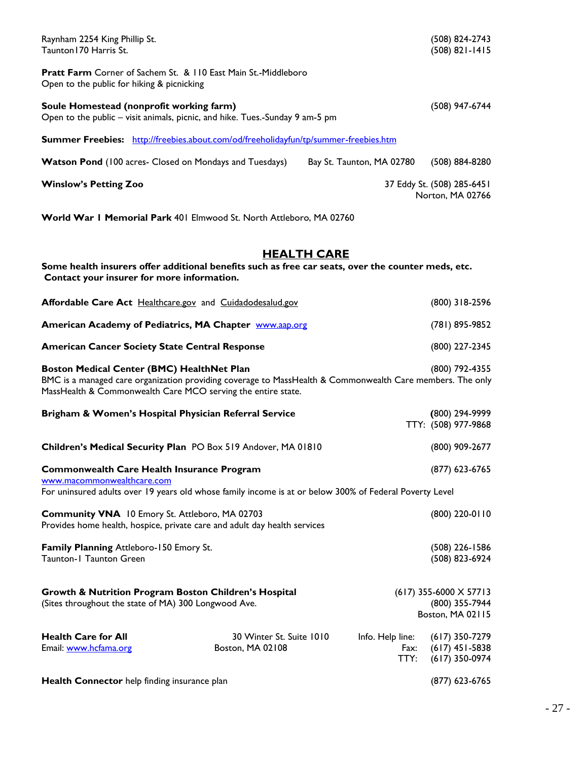| Raynham 2254 King Phillip St.<br>Taunton I 70 Harris St.                                                                                                                                                                |                                              |                           |                                  | (508) 824-2743<br>$(508) 821 - 1415$                                  |
|-------------------------------------------------------------------------------------------------------------------------------------------------------------------------------------------------------------------------|----------------------------------------------|---------------------------|----------------------------------|-----------------------------------------------------------------------|
| Pratt Farm Corner of Sachem St. & 110 East Main St.-Middleboro<br>Open to the public for hiking & picnicking                                                                                                            |                                              |                           |                                  |                                                                       |
| Soule Homestead (nonprofit working farm)<br>Open to the public – visit animals, picnic, and hike. Tues.-Sunday 9 am-5 pm                                                                                                |                                              |                           |                                  | (508) 947-6744                                                        |
| Summer Freebies: http://freebies.about.com/od/freeholidayfun/tp/summer-freebies.htm                                                                                                                                     |                                              |                           |                                  |                                                                       |
| Watson Pond (100 acres- Closed on Mondays and Tuesdays)                                                                                                                                                                 |                                              | Bay St. Taunton, MA 02780 |                                  | (508) 884-8280                                                        |
| <b>Winslow's Petting Zoo</b>                                                                                                                                                                                            |                                              |                           |                                  | 37 Eddy St. (508) 285-6451<br>Norton, MA 02766                        |
| World War I Memorial Park 401 Elmwood St. North Attleboro, MA 02760                                                                                                                                                     |                                              |                           |                                  |                                                                       |
|                                                                                                                                                                                                                         |                                              |                           |                                  |                                                                       |
| Some health insurers offer additional benefits such as free car seats, over the counter meds, etc.                                                                                                                      |                                              | <b>HEALTH CARE</b>        |                                  |                                                                       |
| Contact your insurer for more information.                                                                                                                                                                              |                                              |                           |                                  |                                                                       |
| Affordable Care Act Healthcare.gov and Cuidadodesalud.gov                                                                                                                                                               |                                              |                           |                                  | (800) 318-2596                                                        |
| <b>American Academy of Pediatrics, MA Chapter WWW.aap.org</b>                                                                                                                                                           |                                              |                           |                                  | (781) 895-9852                                                        |
| <b>American Cancer Society State Central Response</b>                                                                                                                                                                   |                                              |                           |                                  | (800) 227-2345                                                        |
| Boston Medical Center (BMC) HealthNet Plan<br>BMC is a managed care organization providing coverage to MassHealth & Commonwealth Care members. The only<br>MassHealth & Commonwealth Care MCO serving the entire state. |                                              |                           |                                  | (800) 792-4355                                                        |
| Brigham & Women's Hospital Physician Referral Service                                                                                                                                                                   |                                              |                           |                                  | (800) 294-9999<br>TTY: (508) 977-9868                                 |
| Children's Medical Security Plan PO Box 519 Andover, MA 01810                                                                                                                                                           |                                              |                           |                                  | (800) 909-2677                                                        |
| <b>Commonwealth Care Health Insurance Program</b><br>www.macommonwealthcare.com                                                                                                                                         |                                              |                           |                                  | (877) 623-6765                                                        |
| For uninsured adults over 19 years old whose family income is at or below 300% of Federal Poverty Level                                                                                                                 |                                              |                           |                                  |                                                                       |
| Community VNA 10 Emory St. Attleboro, MA 02703<br>Provides home health, hospice, private care and adult day health services                                                                                             |                                              |                           |                                  | (800) 220-0110                                                        |
| Family Planning Attleboro-150 Emory St.<br>Taunton-1 Taunton Green                                                                                                                                                      |                                              |                           |                                  | $(508)$ 226-1586<br>(508) 823-6924                                    |
| Growth & Nutrition Program Boston Children's Hospital<br>(Sites throughout the state of MA) 300 Longwood Ave.                                                                                                           |                                              |                           |                                  | $(617)$ 355-6000 $\times$ 57713<br>(800) 355-7944<br>Boston, MA 02115 |
| <b>Health Care for All</b><br>Email: www.hcfama.org                                                                                                                                                                     | 30 Winter St. Suite 1010<br>Boston, MA 02108 |                           | Info. Help line:<br>Fax:<br>TTY: | $(617)$ 350-7279<br>$(617)$ 451-5838<br>$(617)$ 350-0974              |
| Health Connector help finding insurance plan                                                                                                                                                                            |                                              |                           |                                  | $(877)$ 623-6765                                                      |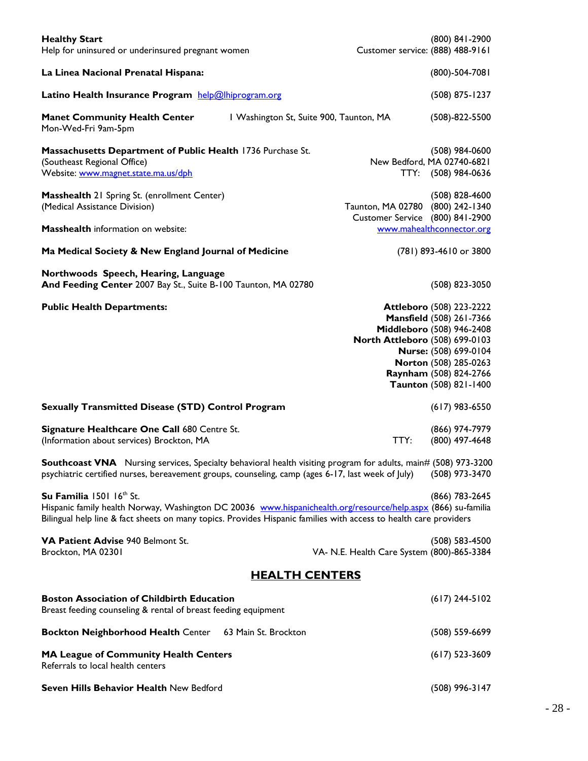| <b>Healthy Start</b><br>Help for uninsured or underinsured pregnant women                                                                                                                                                                                      |                                         | Customer service: (888) 488-9161                                                                                                                                                                                                 | $(800)$ 841-2900                        |
|----------------------------------------------------------------------------------------------------------------------------------------------------------------------------------------------------------------------------------------------------------------|-----------------------------------------|----------------------------------------------------------------------------------------------------------------------------------------------------------------------------------------------------------------------------------|-----------------------------------------|
| La Linea Nacional Prenatal Hispana:                                                                                                                                                                                                                            |                                         |                                                                                                                                                                                                                                  | $(800) - 504 - 7081$                    |
| Latino Health Insurance Program help@lhiprogram.org                                                                                                                                                                                                            |                                         |                                                                                                                                                                                                                                  | (508) 875-1237                          |
| <b>Manet Community Health Center</b><br>Mon-Wed-Fri 9am-5pm                                                                                                                                                                                                    | I Washington St, Suite 900, Taunton, MA |                                                                                                                                                                                                                                  | $(508)-822-5500$                        |
| Massachusetts Department of Public Health 1736 Purchase St.<br>(Southeast Regional Office)<br>Website: www.magnet.state.ma.us/dph                                                                                                                              |                                         | New Bedford, MA 02740-6821                                                                                                                                                                                                       | $(508)$ 984-0600<br>TTY: (508) 984-0636 |
| Masshealth 21 Spring St. (enrollment Center)<br>(Medical Assistance Division)<br><b>Masshealth</b> information on website:                                                                                                                                     |                                         | Taunton, MA 02780 (800) 242-1340<br>Customer Service (800) 841-2900<br>www.mahealthconnector.org                                                                                                                                 | $(508)$ 828-4600                        |
| Ma Medical Society & New England Journal of Medicine                                                                                                                                                                                                           |                                         | (781) 893-4610 or 3800                                                                                                                                                                                                           |                                         |
|                                                                                                                                                                                                                                                                |                                         |                                                                                                                                                                                                                                  |                                         |
| Northwoods Speech, Hearing, Language<br>And Feeding Center 2007 Bay St., Suite B-100 Taunton, MA 02780                                                                                                                                                         |                                         |                                                                                                                                                                                                                                  | (508) 823-3050                          |
| <b>Public Health Departments:</b>                                                                                                                                                                                                                              |                                         | <b>Attleboro (508) 223-2222</b><br>Mansfield (508) 261-7366<br>Middleboro (508) 946-2408<br>North Attleboro (508) 699-0103<br>Nurse: (508) 699-0104<br>Norton (508) 285-0263<br>Raynham (508) 824-2766<br>Taunton (508) 821-1400 |                                         |
| <b>Sexually Transmitted Disease (STD) Control Program</b>                                                                                                                                                                                                      |                                         |                                                                                                                                                                                                                                  | $(617)$ 983-6550                        |
| Signature Healthcare One Call 680 Centre St.<br>(Information about services) Brockton, MA                                                                                                                                                                      |                                         | TTY:                                                                                                                                                                                                                             | (866) 974-7979<br>(800) 497-4648        |
| <b>Southcoast VNA</b> Nursing services, Specialty behavioral health visiting program for adults, main# (508) 973-3200<br>psychiatric certified nurses, bereavement groups, counseling, camp (ages 6-17, last week of July)                                     |                                         |                                                                                                                                                                                                                                  | (508) 973-3470                          |
| Su Familia 1501 16th St.<br>Hispanic family health Norway, Washington DC 20036 www.hispanichealth.org/resource/help.aspx (866) su-familia<br>Bilingual help line & fact sheets on many topics. Provides Hispanic families with access to health care providers |                                         |                                                                                                                                                                                                                                  | (866) 783-2645                          |
| VA Patient Advise 940 Belmont St.<br>Brockton, MA 02301                                                                                                                                                                                                        |                                         | VA- N.E. Health Care System (800)-865-3384                                                                                                                                                                                       | $(508) 583 - 4500$                      |
|                                                                                                                                                                                                                                                                | <b>HEALTH CENTERS</b>                   |                                                                                                                                                                                                                                  |                                         |
| <b>Boston Association of Childbirth Education</b><br>Breast feeding counseling & rental of breast feeding equipment                                                                                                                                            |                                         |                                                                                                                                                                                                                                  | $(617)$ 244-5102                        |
| Bockton Neighborhood Health Center 63 Main St. Brockton                                                                                                                                                                                                        |                                         |                                                                                                                                                                                                                                  | $(508) 559-6699$                        |
| MA League of Community Health Centers<br>Referrals to local health centers                                                                                                                                                                                     |                                         |                                                                                                                                                                                                                                  | $(617)$ 523-3609                        |
| Seven Hills Behavior Health New Bedford                                                                                                                                                                                                                        |                                         |                                                                                                                                                                                                                                  | $(508)$ 996-3147                        |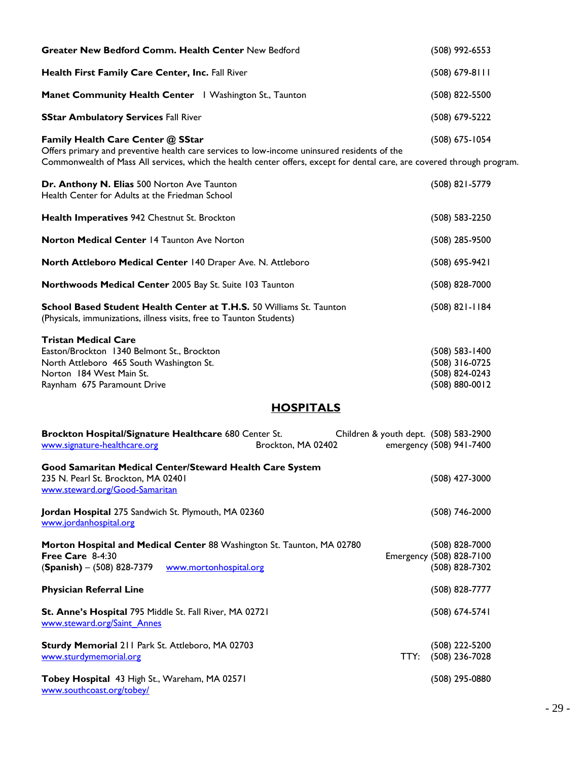| Greater New Bedford Comm. Health Center New Bedford                                                                                                                                                                                                         | (508) 992-6553                                                         |
|-------------------------------------------------------------------------------------------------------------------------------------------------------------------------------------------------------------------------------------------------------------|------------------------------------------------------------------------|
| Health First Family Care Center, Inc. Fall River                                                                                                                                                                                                            | $(508)$ 679-8111                                                       |
| Manet Community Health Center   Washington St., Taunton                                                                                                                                                                                                     | (508) 822-5500                                                         |
| <b>SStar Ambulatory Services Fall River</b>                                                                                                                                                                                                                 | (508) 679-5222                                                         |
| Family Health Care Center @ SStar<br>Offers primary and preventive health care services to low-income uninsured residents of the<br>Commonwealth of Mass All services, which the health center offers, except for dental care, are covered through program. | (508) 675-1054                                                         |
| Dr. Anthony N. Elias 500 Norton Ave Taunton<br>Health Center for Adults at the Friedman School                                                                                                                                                              | (508) 821-5779                                                         |
| Health Imperatives 942 Chestnut St. Brockton                                                                                                                                                                                                                | (508) 583-2250                                                         |
| Norton Medical Center 14 Taunton Ave Norton                                                                                                                                                                                                                 | (508) 285-9500                                                         |
| North Attleboro Medical Center 140 Draper Ave. N. Attleboro                                                                                                                                                                                                 | (508) 695-9421                                                         |
| Northwoods Medical Center 2005 Bay St. Suite 103 Taunton                                                                                                                                                                                                    | (508) 828-7000                                                         |
| School Based Student Health Center at T.H.S. 50 Williams St. Taunton<br>(Physicals, immunizations, illness visits, free to Taunton Students)                                                                                                                | $(508)$ 821-1184                                                       |
| <b>Tristan Medical Care</b><br>Easton/Brockton 1340 Belmont St., Brockton<br>North Attleboro 465 South Washington St.<br>Norton 184 West Main St.<br>Raynham 675 Paramount Drive                                                                            | $(508)$ 583-1400<br>(508) 316-0725<br>(508) 824-0243<br>(508) 880-0012 |
| <b>HOSPITALS</b>                                                                                                                                                                                                                                            |                                                                        |
| Brockton Hospital/Signature Healthcare 680 Center St.<br>Children & youth dept. (508) 583-2900<br>www.signature-healthcare.org<br>Brockton, MA 02402                                                                                                        | emergency (508) 941-7400                                               |
| Good Samaritan Medical Center/Steward Health Care System<br>235 N. Pearl St. Brockton, MA 02401<br>www.steward.org/Good-Samaritan                                                                                                                           | (508) 427-3000                                                         |
| Jordan Hospital 275 Sandwich St. Plymouth, MA 02360<br>www.jordanhospital.org                                                                                                                                                                               | $(508)$ 746-2000                                                       |
| Morton Hospital and Medical Center 88 Washington St. Taunton, MA 02780<br>Free Care 8-4:30<br>$(Spanish) - (508) 828-7379$<br>www.mortonhospital.org                                                                                                        | (508) 828-7000<br>Emergency (508) 828-7100<br>(508) 828-7302           |
| <b>Physician Referral Line</b>                                                                                                                                                                                                                              | (508) 828-7777                                                         |
| St. Anne's Hospital 795 Middle St. Fall River, MA 02721<br>www.steward.org/Saint Annes                                                                                                                                                                      | (508) 674-5741                                                         |
| Sturdy Memorial 211 Park St. Attleboro, MA 02703<br>www.sturdymemorial.org<br>TTY:                                                                                                                                                                          | (508) 222-5200<br>(508) 236-7028                                       |
| Tobey Hospital 43 High St., Wareham, MA 02571<br>www.southcoast.org/tobey/                                                                                                                                                                                  | (508) 295-0880                                                         |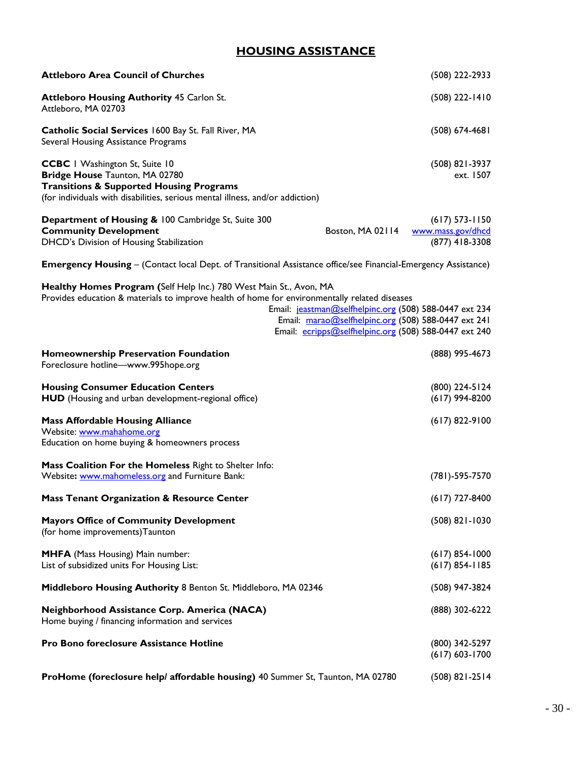### **HOUSING ASSISTANCE**

| <b>Attleboro Area Council of Churches</b>                                                                                                                                                                       |                                                                                                                                                                        | (508) 222-2933                                          |
|-----------------------------------------------------------------------------------------------------------------------------------------------------------------------------------------------------------------|------------------------------------------------------------------------------------------------------------------------------------------------------------------------|---------------------------------------------------------|
| <b>Attleboro Housing Authority 45 Carlon St.</b><br>Attleboro, MA 02703                                                                                                                                         |                                                                                                                                                                        | $(508)$ 222-1410                                        |
| Catholic Social Services 1600 Bay St. Fall River, MA<br>Several Housing Assistance Programs                                                                                                                     |                                                                                                                                                                        | $(508) 674-4681$                                        |
| <b>CCBC</b>   Washington St, Suite 10<br>Bridge House Taunton, MA 02780<br><b>Transitions &amp; Supported Housing Programs</b><br>(for individuals with disabilities, serious mental illness, and/or addiction) |                                                                                                                                                                        | (508) 821-3937<br>ext. 1507                             |
| Department of Housing & 100 Cambridge St, Suite 300<br><b>Community Development</b><br>DHCD's Division of Housing Stabilization                                                                                 | Boston, MA 02114                                                                                                                                                       | $(617)$ 573-1150<br>www.mass.gov/dhcd<br>(877) 418-3308 |
| <b>Emergency Housing</b> – (Contact local Dept. of Transitional Assistance office/see Financial-Emergency Assistance)                                                                                           |                                                                                                                                                                        |                                                         |
| Healthy Homes Program (Self Help Inc.) 780 West Main St., Avon, MA<br>Provides education & materials to improve health of home for environmentally related diseases                                             | Email: jeastman@selfhelpinc.org (508) 588-0447 ext 234<br>Email: marao@selfhelpinc.org (508) 588-0447 ext 241<br>Email: ecripps@selfhelpinc.org (508) 588-0447 ext 240 |                                                         |
| <b>Homeownership Preservation Foundation</b><br>Foreclosure hotline-www.995hope.org                                                                                                                             |                                                                                                                                                                        | (888) 995-4673                                          |
| <b>Housing Consumer Education Centers</b><br>HUD (Housing and urban development-regional office)                                                                                                                |                                                                                                                                                                        | (800) 224-5124<br>$(617)$ 994-8200                      |
| <b>Mass Affordable Housing Alliance</b><br>Website: www.mahahome.org<br>Education on home buying & homeowners process                                                                                           |                                                                                                                                                                        | $(617)$ 822-9100                                        |
| Mass Coalition For the Homeless Right to Shelter Info:<br>Website: www.mahomeless.org and Furniture Bank:                                                                                                       |                                                                                                                                                                        | $(781) - 595 - 7570$                                    |
| <b>Mass Tenant Organization &amp; Resource Center</b>                                                                                                                                                           |                                                                                                                                                                        | $(617)$ 727-8400                                        |
| <b>Mayors Office of Community Development</b><br>(for home improvements) Taunton                                                                                                                                |                                                                                                                                                                        | $(508)$ 821-1030                                        |
| <b>MHFA</b> (Mass Housing) Main number:<br>List of subsidized units For Housing List:                                                                                                                           |                                                                                                                                                                        | $(617)$ 854-1000<br>$(617) 854 - 1185$                  |
| Middleboro Housing Authority 8 Benton St. Middleboro, MA 02346                                                                                                                                                  |                                                                                                                                                                        | (508) 947-3824                                          |
| Neighborhood Assistance Corp. America (NACA)<br>Home buying / financing information and services                                                                                                                |                                                                                                                                                                        | (888) 302-6222                                          |
| Pro Bono foreclosure Assistance Hotline                                                                                                                                                                         |                                                                                                                                                                        | (800) 342-5297<br>$(617) 603 - 1700$                    |
| ProHome (foreclosure help/ affordable housing) 40 Summer St, Taunton, MA 02780                                                                                                                                  |                                                                                                                                                                        | $(508)$ 821-2514                                        |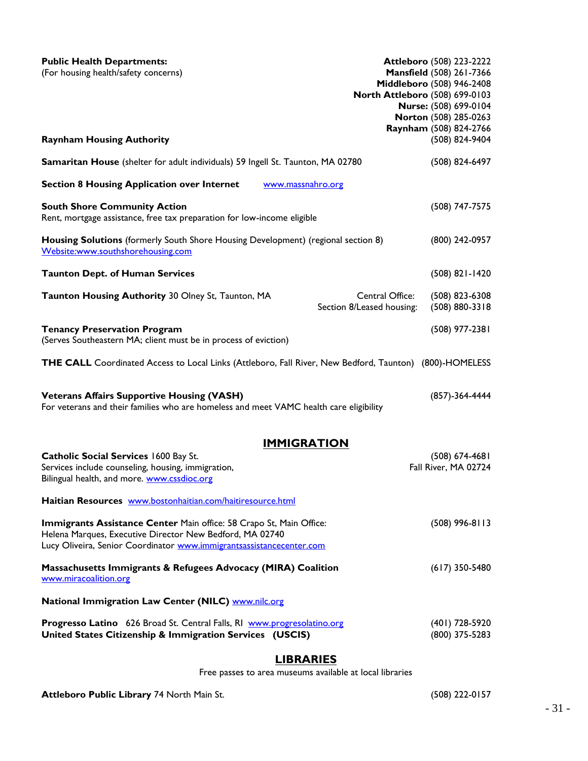| <b>Public Health Departments:</b><br>(For housing health/safety concerns)<br><b>Raynham Housing Authority</b>                                                                                           | <b>Attleboro (508) 223-2222</b><br>Mansfield (508) 261-7366<br>Middleboro (508) 946-2408<br>North Attleboro (508) 699-0103<br>Nurse: (508) 699-0104<br>Norton (508) 285-0263<br>Raynham (508) 824-2766<br>(508) 824-9404 |
|---------------------------------------------------------------------------------------------------------------------------------------------------------------------------------------------------------|--------------------------------------------------------------------------------------------------------------------------------------------------------------------------------------------------------------------------|
| Samaritan House (shelter for adult individuals) 59 Ingell St. Taunton, MA 02780                                                                                                                         | (508) 824-6497                                                                                                                                                                                                           |
| <b>Section 8 Housing Application over Internet</b><br>www.massnahro.org                                                                                                                                 |                                                                                                                                                                                                                          |
| <b>South Shore Community Action</b><br>Rent, mortgage assistance, free tax preparation for low-income eligible                                                                                          | (508) 747-7575                                                                                                                                                                                                           |
| Housing Solutions (formerly South Shore Housing Development) (regional section 8)<br>Website:www.southshorehousing.com                                                                                  | (800) 242-0957                                                                                                                                                                                                           |
| <b>Taunton Dept. of Human Services</b>                                                                                                                                                                  | $(508)$ 821-1420                                                                                                                                                                                                         |
| Taunton Housing Authority 30 Olney St, Taunton, MA                                                                                                                                                      | Central Office:<br>$(508)$ 823-6308<br>Section 8/Leased housing:<br>$(508) 880 - 3318$                                                                                                                                   |
| <b>Tenancy Preservation Program</b><br>(Serves Southeastern MA; client must be in process of eviction)                                                                                                  | (508) 977-2381                                                                                                                                                                                                           |
| THE CALL Coordinated Access to Local Links (Attleboro, Fall River, New Bedford, Taunton) (800)-HOMELESS                                                                                                 |                                                                                                                                                                                                                          |
| <b>Veterans Affairs Supportive Housing (VASH)</b><br>For veterans and their families who are homeless and meet VAMC health care eligibility                                                             | (857)-364-4444                                                                                                                                                                                                           |
| <u>IMMIGRATION</u>                                                                                                                                                                                      |                                                                                                                                                                                                                          |
| Catholic Social Services 1600 Bay St.<br>Services include counseling, housing, immigration,<br>Bilingual health, and more. www.cssdioc.org                                                              | $(508) 674-4681$<br>Fall River, MA 02724                                                                                                                                                                                 |
| Haitian Resources www.bostonhaitian.com/haitiresource.html                                                                                                                                              |                                                                                                                                                                                                                          |
| Immigrants Assistance Center Main office: 58 Crapo St, Main Office:<br>Helena Marques, Executive Director New Bedford, MA 02740<br>Lucy Oliveira, Senior Coordinator www.immigrantsassistancecenter.com | $(508)$ 996-8113                                                                                                                                                                                                         |
| Massachusetts Immigrants & Refugees Advocacy (MIRA) Coalition<br>www.miracoalition.org                                                                                                                  | $(617)$ 350-5480                                                                                                                                                                                                         |
| National Immigration Law Center (NILC) www.nilc.org                                                                                                                                                     |                                                                                                                                                                                                                          |
| Progresso Latino 626 Broad St. Central Falls, RI www.progresolatino.org<br>United States Citizenship & Immigration Services (USCIS)                                                                     | (401) 728-5920<br>(800) 375-5283                                                                                                                                                                                         |
| <b>LIBRARIES</b>                                                                                                                                                                                        |                                                                                                                                                                                                                          |

Free passes to area museums available at local libraries

**Attleboro Public Library** 74 North Main St. (508) 222-0157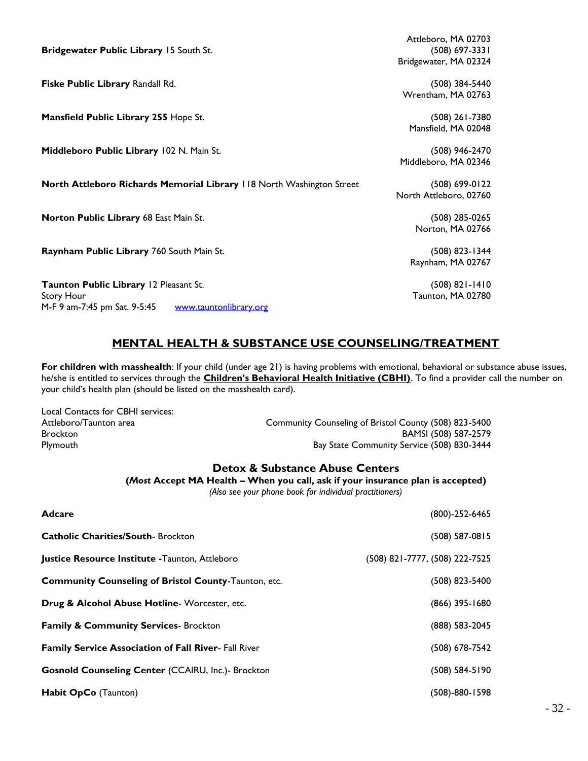| Bridgewater Public Library 15 South St.                               | Attleboro, MA 02703<br>$(508)$ 697-3331 |
|-----------------------------------------------------------------------|-----------------------------------------|
|                                                                       | Bridgewater, MA 02324                   |
| Fiske Public Library Randall Rd.                                      | $(508)$ 384-5440                        |
|                                                                       | Wrentham, MA 02763                      |
| Mansfield Public Library 255 Hope St.                                 | $(508)$ 261-7380                        |
|                                                                       | Mansfield, MA 02048                     |
| Middleboro Public Library 102 N. Main St.                             | $(508)$ 946-2470                        |
|                                                                       | Middleboro, MA 02346                    |
| North Attleboro Richards Memorial Library 118 North Washington Street | (508) 699-0122                          |
|                                                                       | North Attleboro, 02760                  |
| Norton Public Library 68 East Main St.                                | $(508)$ 285-0265                        |
|                                                                       | Norton, MA 02766                        |
| Raynham Public Library 760 South Main St.                             | (508) 823-1344                          |
|                                                                       | Raynham, MA 02767                       |
| Taunton Public Library 12 Pleasant St.                                | $(508) 821 - 1410$                      |
| Story Hour                                                            | Taunton, MA 02780                       |
| M-F 9 am-7:45 pm Sat. 9-5:45<br>www.tauntonlibrary.org                |                                         |

### **MENTAL HEALTH & SUBSTANCE USE COUNSELING/TREATMENT**

**For children with masshealth**: If your child (under age 21) is having problems with emotional, behavioral or substance abuse issues, he/she is entitled to services through the **Children's Behavioral Health Initiative (CBHI)**. To find a provider call the number on your child's health plan (should be listed on the masshealth card).

| Local Contacts for CBHI services: |                                                       |
|-----------------------------------|-------------------------------------------------------|
| Attleboro/Taunton area            | Community Counseling of Bristol County (508) 823-5400 |
| <b>Brockton</b>                   | BAMSI (508) 587-2579                                  |
| Plymouth                          | Bay State Community Service (508) 830-3444            |

### **Detox & Substance Abuse Centers**

**(***Most* **Accept MA Health – When you call, ask if your insurance plan is accepted)**

*(Also see your phone book for individual practitioners)*

| <b>Adcare</b>                                               | (800)-252-6465                 |
|-------------------------------------------------------------|--------------------------------|
| <b>Catholic Charities/South-Brockton</b>                    | (508) 587-0815                 |
| Justice Resource Institute - Taunton, Attleboro             | (508) 821-7777, (508) 222-7525 |
| <b>Community Counseling of Bristol County-Taunton, etc.</b> | (508) 823-5400                 |
| Drug & Alcohol Abuse Hotline-Worcester, etc.                | (866) 395-1680                 |
| <b>Family &amp; Community Services-Brockton</b>             | (888) 583-2045                 |
| <b>Family Service Association of Fall River- Fall River</b> | (508) 678-7542                 |
| <b>Gosnold Counseling Center (CCAIRU, Inc.)- Brockton</b>   | $(508) 584 - 5190$             |
| Habit OpCo (Taunton)                                        | (508)-880-1598                 |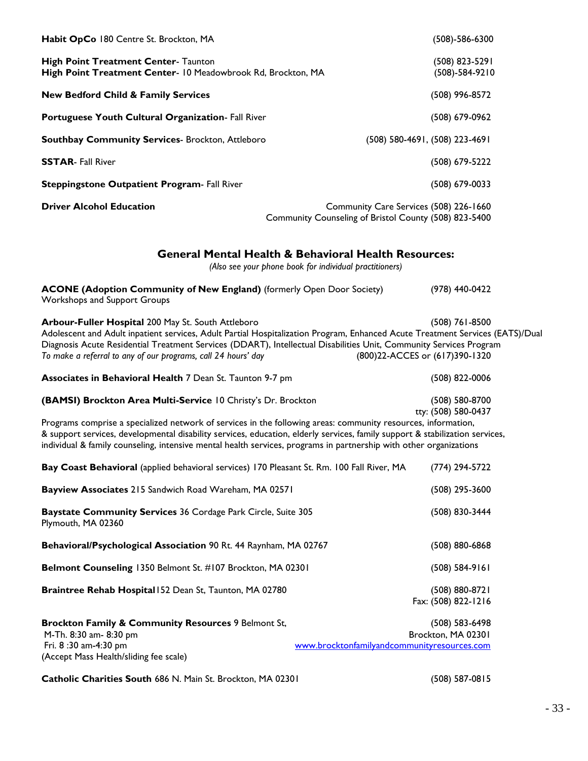| Habit OpCo 180 Centre St. Brockton, MA                                                                                                                                                                                                                                                                                                                                                                                               | $(508)-586-6300$                                                                                                           |
|--------------------------------------------------------------------------------------------------------------------------------------------------------------------------------------------------------------------------------------------------------------------------------------------------------------------------------------------------------------------------------------------------------------------------------------|----------------------------------------------------------------------------------------------------------------------------|
| <b>High Point Treatment Center- Taunton</b><br>High Point Treatment Center- 10 Meadowbrook Rd, Brockton, MA                                                                                                                                                                                                                                                                                                                          | (508) 823-5291<br>$(508)-584-9210$                                                                                         |
| <b>New Bedford Child &amp; Family Services</b>                                                                                                                                                                                                                                                                                                                                                                                       | (508) 996-8572                                                                                                             |
| Portuguese Youth Cultural Organization- Fall River                                                                                                                                                                                                                                                                                                                                                                                   | (508) 679-0962                                                                                                             |
| <b>Southbay Community Services- Brockton, Attleboro</b>                                                                                                                                                                                                                                                                                                                                                                              | (508) 580-4691, (508) 223-4691                                                                                             |
| <b>SSTAR-Fall River</b>                                                                                                                                                                                                                                                                                                                                                                                                              | $(508)$ 679-5222                                                                                                           |
| <b>Steppingstone Outpatient Program- Fall River</b>                                                                                                                                                                                                                                                                                                                                                                                  | $(508) 679 - 0033$                                                                                                         |
| <b>Driver Alcohol Education</b>                                                                                                                                                                                                                                                                                                                                                                                                      | Community Care Services (508) 226-1660<br>Community Counseling of Bristol County (508) 823-5400                            |
|                                                                                                                                                                                                                                                                                                                                                                                                                                      | <b>General Mental Health &amp; Behavioral Health Resources:</b><br>(Also see your phone book for individual practitioners) |
| <b>ACONE (Adoption Community of New England)</b> (formerly Open Door Society)<br>Workshops and Support Groups                                                                                                                                                                                                                                                                                                                        | (978) 440-0422                                                                                                             |
| Arbour-Fuller Hospital 200 May St. South Attleboro<br>Adolescent and Adult inpatient services, Adult Partial Hospitalization Program, Enhanced Acute Treatment Services (EATS)/Dual<br>Diagnosis Acute Residential Treatment Services (DDART), Intellectual Disabilities Unit, Community Services Program<br>To make a referral to any of our programs, call 24 hours' day                                                           | $(508)$ 761-8500<br>(800)22-ACCES or (617)390-1320                                                                         |
| Associates in Behavioral Health 7 Dean St. Taunton 9-7 pm                                                                                                                                                                                                                                                                                                                                                                            | (508) 822-0006                                                                                                             |
| (BAMSI) Brockton Area Multi-Service 10 Christy's Dr. Brockton<br>Programs comprise a specialized network of services in the following areas: community resources, information,<br>& support services, developmental disability services, education, elderly services, family support & stabilization services,<br>individual & family counseling, intensive mental health services, programs in partnership with other organizations | (508) 580-8700<br>tty: (508) 580-0437                                                                                      |
| Bay Coast Behavioral (applied behavioral services) 170 Pleasant St. Rm. 100 Fall River, MA                                                                                                                                                                                                                                                                                                                                           | $(774)$ 294-5722                                                                                                           |
| Bayview Associates 215 Sandwich Road Wareham, MA 02571                                                                                                                                                                                                                                                                                                                                                                               | $(508)$ 295-3600                                                                                                           |
| Baystate Community Services 36 Cordage Park Circle, Suite 305<br>Plymouth, MA 02360                                                                                                                                                                                                                                                                                                                                                  | (508) 830-3444                                                                                                             |
| Behavioral/Psychological Association 90 Rt. 44 Raynham, MA 02767                                                                                                                                                                                                                                                                                                                                                                     | $(508) 880 - 6868$                                                                                                         |
| Belmont Counseling 1350 Belmont St. #107 Brockton, MA 02301                                                                                                                                                                                                                                                                                                                                                                          | $(508) 584-9161$                                                                                                           |
| Braintree Rehab Hospital 152 Dean St, Taunton, MA 02780                                                                                                                                                                                                                                                                                                                                                                              | $(508) 880 - 8721$<br>Fax: (508) 822-1216                                                                                  |
| Brockton Family & Community Resources 9 Belmont St,<br>M-Th. 8:30 am- 8:30 pm<br>Fri. 8:30 am-4:30 pm<br>(Accept Mass Health/sliding fee scale)                                                                                                                                                                                                                                                                                      | $(508) 583 - 6498$<br>Brockton, MA 02301<br>www.brocktonfamilyandcommunityresources.com                                    |
|                                                                                                                                                                                                                                                                                                                                                                                                                                      |                                                                                                                            |

**Catholic Charities South** 686 N. Main St. Brockton, MA 02301 (508) 587-0815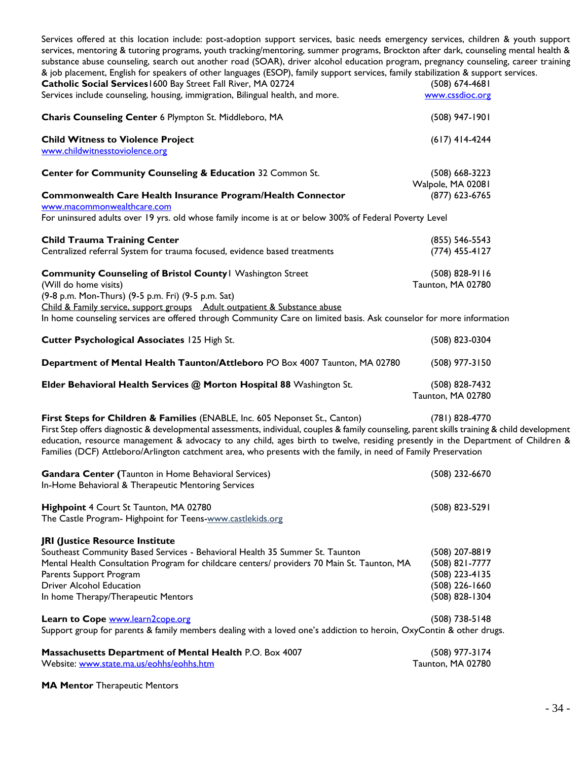Services offered at this location include: post-adoption support services, basic needs emergency services, children & youth support services, mentoring & tutoring programs, youth tracking/mentoring, summer programs, Brockton after dark, counseling mental health & substance abuse counseling, search out another road (SOAR), driver alcohol education program, pregnancy counseling, career training & job placement, English for speakers of other languages (ESOP), family support services, family stabilization & support services.

| Catholic Social Services 1600 Bay Street Fall River, MA 02724<br>Services include counseling, housing, immigration, Bilingual health, and more.                                                                                                                                                                                                                                                                                                                                     | $(508) 674 - 4681$<br>www.cssdioc.org                                                    |
|-------------------------------------------------------------------------------------------------------------------------------------------------------------------------------------------------------------------------------------------------------------------------------------------------------------------------------------------------------------------------------------------------------------------------------------------------------------------------------------|------------------------------------------------------------------------------------------|
| Charis Counseling Center 6 Plympton St. Middleboro, MA                                                                                                                                                                                                                                                                                                                                                                                                                              | (508) 947-1901                                                                           |
| <b>Child Witness to Violence Project</b><br>www.childwitnesstoviolence.org                                                                                                                                                                                                                                                                                                                                                                                                          | $(617)$ 414-4244                                                                         |
| Center for Community Counseling & Education 32 Common St.                                                                                                                                                                                                                                                                                                                                                                                                                           | $(508) 668 - 3223$<br>Walpole, MA 02081                                                  |
| Commonwealth Care Health Insurance Program/Health Connector<br>www.macommonwealthcare.com                                                                                                                                                                                                                                                                                                                                                                                           | (877) 623-6765                                                                           |
| For uninsured adults over 19 yrs. old whose family income is at or below 300% of Federal Poverty Level                                                                                                                                                                                                                                                                                                                                                                              |                                                                                          |
| <b>Child Trauma Training Center</b><br>Centralized referral System for trauma focused, evidence based treatments                                                                                                                                                                                                                                                                                                                                                                    | $(855) 546 - 5543$<br>$(774)$ 455-4127                                                   |
| <b>Community Counseling of Bristol County   Washington Street</b><br>(Will do home visits)<br>(9-8 p.m. Mon-Thurs) (9-5 p.m. Fri) (9-5 p.m. Sat)<br>Child & Family service, support groups Adult outpatient & Substance abuse                                                                                                                                                                                                                                                       | $(508)$ 828-9116<br>Taunton, MA 02780                                                    |
| In home counseling services are offered through Community Care on limited basis. Ask counselor for more information                                                                                                                                                                                                                                                                                                                                                                 |                                                                                          |
| Cutter Psychological Associates 125 High St.                                                                                                                                                                                                                                                                                                                                                                                                                                        | (508) 823-0304                                                                           |
| Department of Mental Health Taunton/Attleboro PO Box 4007 Taunton, MA 02780                                                                                                                                                                                                                                                                                                                                                                                                         | (508) 977-3150                                                                           |
| Elder Behavioral Health Services @ Morton Hospital 88 Washington St.                                                                                                                                                                                                                                                                                                                                                                                                                | (508) 828-7432<br>Taunton, MA 02780                                                      |
| First Steps for Children & Families (ENABLE, Inc. 605 Neponset St., Canton)<br>First Step offers diagnostic & developmental assessments, individual, couples & family counseling, parent skills training & child development<br>education, resource management & advocacy to any child, ages birth to twelve, residing presently in the Department of Children &<br>Families (DCF) Attleboro/Arlington catchment area, who presents with the family, in need of Family Preservation | (781) 828-4770                                                                           |
| Gandara Center (Taunton in Home Behavioral Services)<br>In-Home Behavioral & Therapeutic Mentoring Services                                                                                                                                                                                                                                                                                                                                                                         | (508) 232-6670                                                                           |
| Highpoint 4 Court St Taunton, MA 02780<br>The Castle Program- Highpoint for Teens-www.castlekids.org                                                                                                                                                                                                                                                                                                                                                                                | $(508)$ 823-5291                                                                         |
| JRI (Justice Resource Institute<br>Southeast Community Based Services - Behavioral Health 35 Summer St. Taunton<br>Mental Health Consultation Program for childcare centers/ providers 70 Main St. Taunton, MA<br>Parents Support Program<br><b>Driver Alcohol Education</b><br>In home Therapy/Therapeutic Mentors                                                                                                                                                                 | (508) 207-8819<br>(508) 821-7777<br>(508) 223-4135<br>(508) 226-1660<br>$(508)$ 828-1304 |
| Learn to Cope www.learn2cope.org<br>Support group for parents & family members dealing with a loved one's addiction to heroin, OxyContin & other drugs.                                                                                                                                                                                                                                                                                                                             | $(508)$ 738-5148                                                                         |
| Massachusetts Department of Mental Health P.O. Box 4007<br>Website: www.state.ma.us/eohhs/eohhs.htm                                                                                                                                                                                                                                                                                                                                                                                 | (508) 977-3174<br>Taunton, MA 02780                                                      |

**MA Mentor** Therapeutic Mentors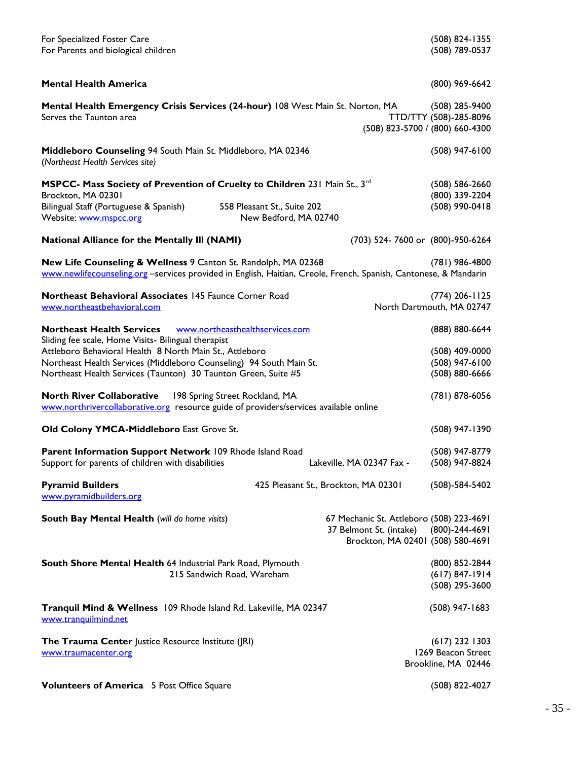| For Specialized Foster Care<br>For Parents and biological children                                                                                                                 |                                                      |                                                                     | (508) 824-1355<br>(508) 789-0537                                              |
|------------------------------------------------------------------------------------------------------------------------------------------------------------------------------------|------------------------------------------------------|---------------------------------------------------------------------|-------------------------------------------------------------------------------|
| <b>Mental Health America</b>                                                                                                                                                       |                                                      |                                                                     | (800) 969-6642                                                                |
| Mental Health Emergency Crisis Services (24-hour) 108 West Main St. Norton, MA<br>Serves the Taunton area                                                                          |                                                      |                                                                     | $(508)$ 285-9400<br>TTD/TTY (508)-285-8096<br>(508) 823-5700 / (800) 660-4300 |
| Middleboro Counseling 94 South Main St. Middleboro, MA 02346<br>(Northeast Health Services site)                                                                                   |                                                      |                                                                     | $(508)$ 947-6100                                                              |
| MSPCC- Mass Society of Prevention of Cruelty to Children 231 Main St., 3rd<br>Brockton, MA 02301                                                                                   |                                                      |                                                                     | $(508) 586 - 2660$<br>(800) 339-2204                                          |
| Bilingual Staff (Portuguese & Spanish)<br>Website: www.mspcc.org                                                                                                                   | 558 Pleasant St., Suite 202<br>New Bedford, MA 02740 |                                                                     | (508) 990-0418                                                                |
| <b>National Alliance for the Mentally III (NAMI)</b>                                                                                                                               |                                                      |                                                                     | (703) 524-7600 or (800)-950-6264                                              |
| New Life Counseling & Wellness 9 Canton St. Randolph, MA 02368<br>www.newlifecounseling.org -services provided in English, Haitian, Creole, French, Spanish, Cantonese, & Mandarin |                                                      |                                                                     | (781) 986-4800                                                                |
| Northeast Behavioral Associates 145 Faunce Corner Road<br>www.northeastbehavioral.com                                                                                              |                                                      |                                                                     | $(774)$ 206-1125<br>North Dartmouth, MA 02747                                 |
| <b>Northeast Health Services</b>                                                                                                                                                   | www.northeasthealthservices.com                      |                                                                     | (888) 880-6644                                                                |
| Sliding fee scale, Home Visits- Bilingual therapist<br>Attleboro Behavioral Health 8 North Main St., Attleboro                                                                     |                                                      |                                                                     | $(508)$ 409-0000                                                              |
| Northeast Health Services (Middleboro Counseling) 94 South Main St.                                                                                                                |                                                      |                                                                     | $(508)$ 947-6100                                                              |
| Northeast Health Services (Taunton) 30 Taunton Green, Suite #5                                                                                                                     |                                                      |                                                                     | $(508) 880 - 6666$                                                            |
| <b>North River Collaborative</b><br>www.northrivercollaborative.org resource guide of providers/services available online                                                          | 198 Spring Street Rockland, MA                       |                                                                     | (781) 878-6056                                                                |
| Old Colony YMCA-Middleboro East Grove St.                                                                                                                                          |                                                      |                                                                     | (508) 947-1390                                                                |
| Parent Information Support Network 109 Rhode Island Road<br>Support for parents of children with disabilities                                                                      |                                                      | Lakeville, MA 02347 Fax -                                           | (508) 947-8779<br>$(508)$ 947-8824                                            |
| <b>Pyramid Builders</b><br>www.pyramidbuilders.org                                                                                                                                 |                                                      | 425 Pleasant St., Brockton, MA 02301                                | $(508) - 584 - 5402$                                                          |
| South Bay Mental Health (will do home visits)                                                                                                                                      |                                                      | 67 Mechanic St. Attleboro (508) 223-4691<br>37 Belmont St. (intake) | $(800) - 244 - 4691$<br>Brockton, MA 02401 (508) 580-4691                     |
| <b>South Shore Mental Health 64 Industrial Park Road, Plymouth</b>                                                                                                                 | 215 Sandwich Road, Wareham                           |                                                                     | (800) 852-2844<br>$(617) 847 - 1914$<br>(508) 295-3600                        |
| Tranquil Mind & Wellness 109 Rhode Island Rd. Lakeville, MA 02347<br>www.tranquilmind.net                                                                                          |                                                      |                                                                     | $(508)$ 947-1683                                                              |
| The Trauma Center Justice Resource Institute (JRI)<br>www.traumacenter.org                                                                                                         |                                                      |                                                                     | $(617)$ 232 1303<br>1269 Beacon Street<br>Brookline, MA 02446                 |
| <b>Volunteers of America</b> 5 Post Office Square                                                                                                                                  |                                                      |                                                                     | (508) 822-4027                                                                |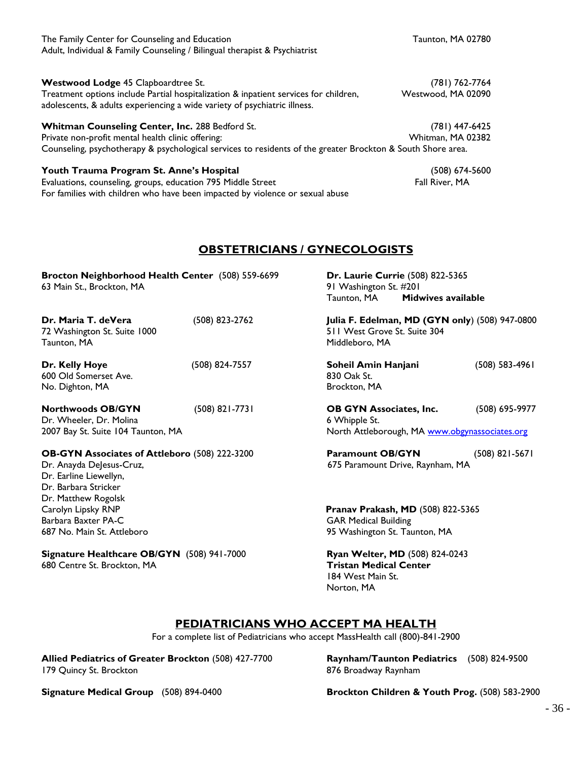| The Family Center for Counseling and Education<br>Adult, Individual & Family Counseling / Bilingual therapist & Psychiatrist                                      | Taunton, MA 02780  |
|-------------------------------------------------------------------------------------------------------------------------------------------------------------------|--------------------|
| <b>Westwood Lodge 45 Clapboardtree St.</b>                                                                                                                        | (781) 762-7764     |
| Treatment options include Partial hospitalization & inpatient services for children,<br>adolescents, & adults experiencing a wide variety of psychiatric illness. | Westwood, MA 02090 |
| Whitman Counseling Center, Inc. 288 Bedford St.                                                                                                                   | (781) 447-6425     |
| Private non-profit mental health clinic offering:                                                                                                                 | Whitman, MA 02382  |
| Counseling, psychotherapy & psychological services to residents of the greater Brockton & South Shore area.                                                       |                    |
| Youth Trauma Program St. Anne's Hospital                                                                                                                          | (508) 674-5600     |
| Evaluations, counseling, groups, education 795 Middle Street<br>For families with children who have been impacted by violence or sexual abuse                     | Fall River, MA     |

### **OBSTETRICIANS / GYNECOLOGISTS**

| Brocton Neighborhood Health Center (508) 559-6699<br>63 Main St., Brockton, MA                                                                            |                | Dr. Laurie Currie (508) 822-5365<br>91 Washington St. #201<br><b>Midwives available</b><br>Taunton, MA |                    |
|-----------------------------------------------------------------------------------------------------------------------------------------------------------|----------------|--------------------------------------------------------------------------------------------------------|--------------------|
| Dr. Maria T. deVera<br>72 Washington St. Suite 1000<br>Taunton, MA                                                                                        | (508) 823-2762 | Julia F. Edelman, MD (GYN only) (508) 947-0800<br>511 West Grove St. Suite 304<br>Middleboro, MA       |                    |
| Dr. Kelly Hoye<br>600 Old Somerset Ave.<br>No. Dighton, MA                                                                                                | (508) 824-7557 | Soheil Amin Hanjani<br>830 Oak St.<br>Brockton, MA                                                     | $(508) 583 - 4961$ |
| <b>Northwoods OB/GYN</b><br>Dr. Wheeler, Dr. Molina<br>2007 Bay St. Suite 104 Taunton, MA                                                                 | (508) 821-7731 | <b>OB GYN Associates, Inc.</b><br>6 Whipple St.<br>North Attleborough, MA www.obgynassociates.org      | (508) 695-9977     |
| <b>OB-GYN Associates of Attleboro</b> (508) 222-3200<br>Dr. Anayda DeJesus-Cruz,<br>Dr. Earline Liewellyn,<br>Dr. Barbara Stricker<br>Dr. Matthew Rogolsk |                | <b>Paramount OB/GYN</b><br>675 Paramount Drive, Raynham, MA                                            | $(508)$ 821-5671   |
| Carolyn Lipsky RNP<br>Barbara Baxter PA-C<br>687 No. Main St. Attleboro                                                                                   |                | Pranav Prakash, MD (508) 822-5365<br><b>GAR Medical Building</b><br>95 Washington St. Taunton, MA      |                    |
| Signature Healthcare OB/GYN (508) 941-7000<br>680 Centre St. Brockton, MA                                                                                 |                | Ryan Welter, MD (508) 824-0243<br><b>Tristan Medical Center</b><br>184 West Main St.<br>Norton, MA     |                    |

### **PEDIATRICIANS WHO ACCEPT MA HEALTH**

For a complete list of Pediatricians who accept MassHealth call (800)-841-2900

**Allied Pediatrics of Greater Brockton** (508) 427-7700 **Raynham/Taunton Pediatrics** (508) 824-9500 179 Quincy St. Brockton **876 Broadway Raynham** 

**Signature Medical Group** (508) 894-0400 **Brockton Children & Youth Prog.** (508) 583-2900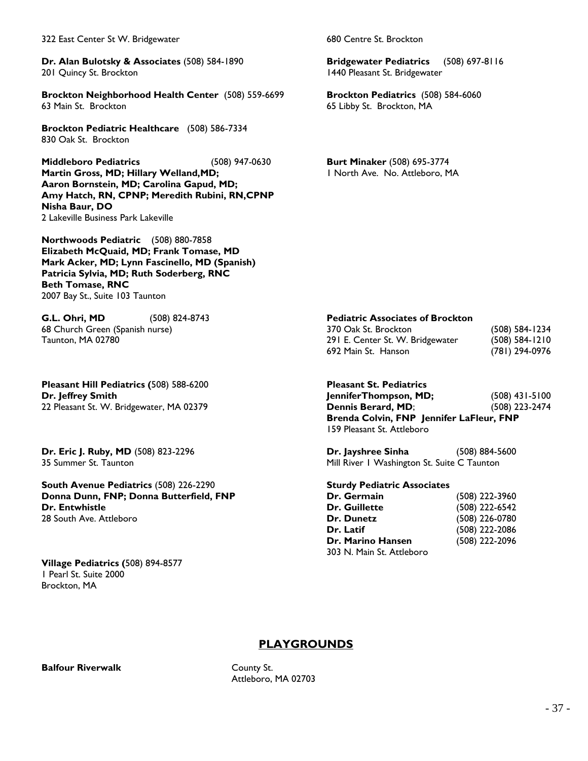322 East Center St W. Bridgewater 680 Centre St. Brockton

**Dr. Alan Bulotsky & Associates** (508) 584-1890 **Bridgewater Pediatrics** (508) 697-8116 201 Quincy St. Brockton 1440 Pleasant St. Bridgewater

**Brockton Neighborhood Health Center** (508) 559-6699 **Brockton Pediatrics** (508) 584-6060 63 Main St. Brockton 65 Libby St. Brockton, MA

**Brockton Pediatric Healthcare** (508) 586-7334 830 Oak St. Brockton

**Middleboro Pediatrics** (508) 947-0630 **Burt Minaker** (508) 695-3774 **Martin Gross, MD; Hillary Welland, MD;** 1 North Ave. No. Attleboro, MA **Aaron Bornstein, MD; Carolina Gapud, MD; Amy Hatch, RN, CPNP; Meredith Rubini, RN,CPNP Nisha Baur, DO** 2 Lakeville Business Park Lakeville

**Northwoods Pediatric** (508) 880-7858 **Elizabeth McQuaid, MD; Frank Tomase, MD Mark Acker, MD; Lynn Fascinello, MD (Spanish) Patricia Sylvia, MD; Ruth Soderberg, RNC Beth Tomase, RNC** 2007 Bay St., Suite 103 Taunton

**G.L. Ohri, MD** (508) 824-8743 **Pediatric Associates of Brockton** 68 Church Green (Spanish nurse) 370 Oak St. Brockton (508) 584-1234

**Pleasant Hill Pediatrics (**508) 588-6200 **Pleasant St. Pediatrics**

**South Avenue Pediatrics** (508) 226-2290 **Sturdy Pediatric Associates Donna Dunn, FNP; Donna Butterfield, FNP Dr. Entwhistle** 28 South Ave. Attleboro

**Village Pediatrics (**508) 894-8577 1 Pearl St. Suite 2000 Brockton, MA

Taunton, MA 02780 291 E. Center St. W. Bridgewater (508) 584-1210 692 Main St. Hanson (781) 294-0976

**Dr. Jeffrey Smith JenniferThompson, MD;** (508) 431-5100 22 Pleasant St. W. Bridgewater, MA 02379 **Dennis Berard, MD**; (508) 223-2474 **Brenda Colvin, FNP Jennifer LaFleur, FNP** 159 Pleasant St. Attleboro

**Dr. Eric J. Ruby, MD** (508) 823-2296 **Dr. Jayshree Sinha** (508) 884-5600 35 Summer St. Taunton and Mill River 1 Washington St. Suite C Taunton

| (508) 222-3960 |
|----------------|
| (508) 222-6542 |
| (508) 226-0780 |
| (508) 222-2086 |
| (508) 222-2096 |
|                |
|                |

### **PLAYGROUNDS**

**Balfour Riverwalk** County St.

Attleboro, MA 02703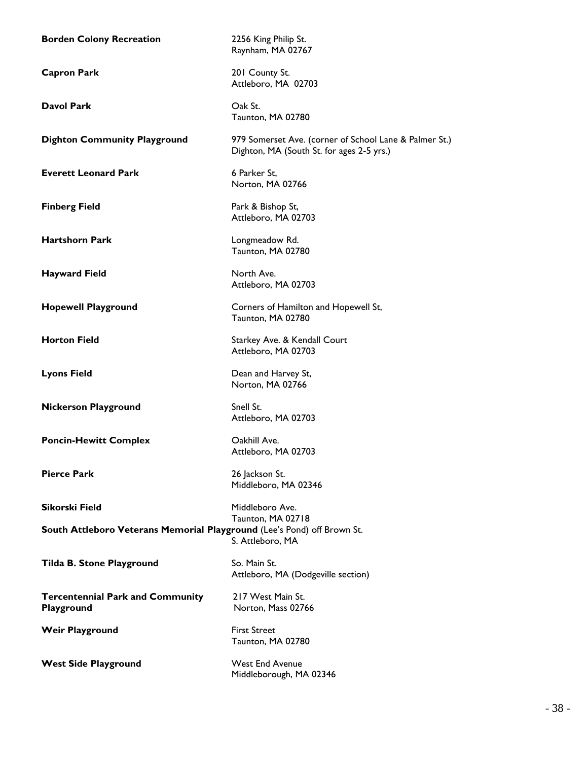**Borden Colony Recreation** 2256 King Philip St. Raynham, MA 02767 **Capron Park** 201 County St. Attleboro, MA 02703 **Davol Park** Oak St. Taunton, MA 02780 **Dighton Community Playground** 979 Somerset Ave. (corner of School Lane & Palmer St.) Dighton, MA (South St. for ages 2-5 yrs.) **Everett Leonard Park** 6 Parker St, Norton, MA 02766 **Finberg Field** Park & Bishop St, Attleboro, MA 02703 **Hartshorn Park Longmeadow Rd.** Taunton, MA 02780 **Hayward Field** North Ave. Attleboro, MA 02703 **Hopewell Playground** Corners of Hamilton and Hopewell St, Taunton, MA 02780 **Horton Field** Starkey Ave. & Kendall Court Attleboro, MA 02703 **Lyons Field** Dean and Harvey St, Norton, MA 02766 **Nickerson Playground** Snell St. Attleboro, MA 02703 **Poncin-Hewitt Complex Calculate Canadian Canadian Calculate Canadian Calculate Calculate Calculate Calculate Calculate Calculate Calculate Calculate Calculate Calculate Calculate Calculate Calculate Calculate Calculate** Attleboro, MA 02703 **Pierce Park** 26 Jackson St. Middleboro, MA 02346 **Sikorski Field** Middleboro Ave. Taunton, MA 02718 **South Attleboro Veterans Memorial Playground** (Lee's Pond) off Brown St. S. Attleboro, MA **Tilda B. Stone Playground** So. Main St. Attleboro, MA (Dodgeville section) **Tercentennial Park and Community** 217 West Main St. **Playground** Norton, Mass 02766 **Weir Playground** First Street Taunton, MA 02780 West Side Playground West End Avenue Middleborough, MA 02346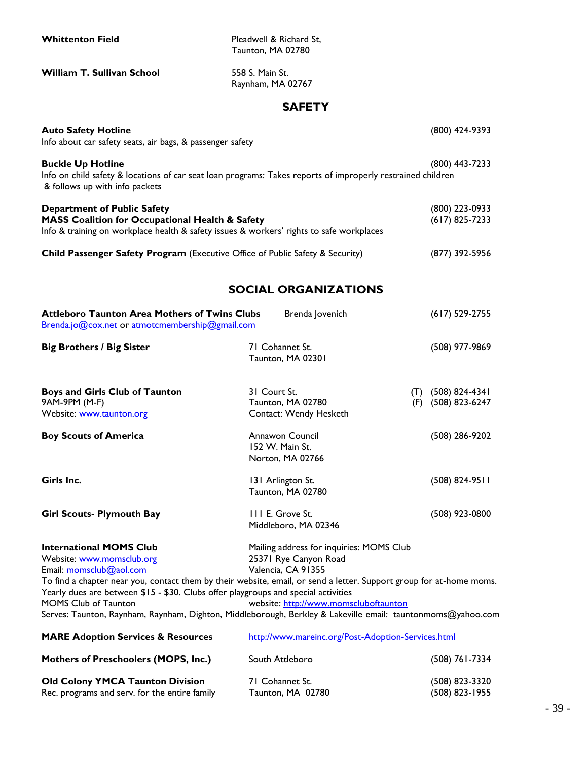**Whittenton Field** Pleadwell & Richard St, Taunton, MA 02780

**William T. Sullivan School** 558 S. Main St.

Raynham, MA 02767

### **SAFETY**

| <b>Auto Safety Hotline</b><br>Info about car safety seats, air bags, & passenger safety                                                                                                                                                                                                                                                                                                                                                           |                                                                                                                                  | (800) 424-9393                             |
|---------------------------------------------------------------------------------------------------------------------------------------------------------------------------------------------------------------------------------------------------------------------------------------------------------------------------------------------------------------------------------------------------------------------------------------------------|----------------------------------------------------------------------------------------------------------------------------------|--------------------------------------------|
| <b>Buckle Up Hotline</b><br>Info on child safety & locations of car seat loan programs: Takes reports of improperly restrained children<br>& follows up with info packets                                                                                                                                                                                                                                                                         |                                                                                                                                  | (800) 443-7233                             |
| <b>Department of Public Safety</b><br><b>MASS Coalition for Occupational Health &amp; Safety</b><br>Info & training on workplace health & safety issues & workers' rights to safe workplaces                                                                                                                                                                                                                                                      |                                                                                                                                  | (800) 223-0933<br>$(617)$ 825-7233         |
| Child Passenger Safety Program (Executive Office of Public Safety & Security)                                                                                                                                                                                                                                                                                                                                                                     |                                                                                                                                  | (877) 392-5956                             |
|                                                                                                                                                                                                                                                                                                                                                                                                                                                   | <b>SOCIAL ORGANIZATIONS</b>                                                                                                      |                                            |
| <b>Attleboro Taunton Area Mothers of Twins Clubs</b><br>Brenda.jo@cox.net or atmotcmembership@gmail.com                                                                                                                                                                                                                                                                                                                                           | Brenda Jovenich                                                                                                                  | $(617)$ 529-2755                           |
| <b>Big Brothers / Big Sister</b>                                                                                                                                                                                                                                                                                                                                                                                                                  | 71 Cohannet St.<br>Taunton, MA 02301                                                                                             | (508) 977-9869                             |
| <b>Boys and Girls Club of Taunton</b><br>9AM-9PM (M-F)<br>Website: www.taunton.org                                                                                                                                                                                                                                                                                                                                                                | 31 Court St.<br>Taunton, MA 02780<br>Contact: Wendy Hesketh                                                                      | $(T)$ (508) 824-4341<br>(F) (508) 823-6247 |
| <b>Boy Scouts of America</b>                                                                                                                                                                                                                                                                                                                                                                                                                      | Annawon Council<br>152 W. Main St.<br>Norton, MA 02766                                                                           | (508) 286-9202                             |
| Girls Inc.                                                                                                                                                                                                                                                                                                                                                                                                                                        | 131 Arlington St.<br>Taunton, MA 02780                                                                                           | $(508) 824 - 9511$                         |
| <b>Girl Scouts- Plymouth Bay</b>                                                                                                                                                                                                                                                                                                                                                                                                                  | III E. Grove St.<br>Middleboro, MA 02346                                                                                         | (508) 923-0800                             |
| <b>International MOMS Club</b><br>Website: www.momsclub.org<br>Email: momsclub@aol.com<br>To find a chapter near you, contact them by their website, email, or send a letter. Support group for at-home moms.<br>Yearly dues are between \$15 - \$30. Clubs offer playgroups and special activities<br><b>MOMS Club of Taunton</b><br>Serves: Taunton, Raynham, Raynham, Dighton, Middleborough, Berkley & Lakeville email: tauntonmoms@yahoo.com | Mailing address for inquiries: MOMS Club<br>25371 Rye Canyon Road<br>Valencia, CA 91355<br>website: http://www.momscluboftaunton |                                            |
| <b>MARE Adoption Services &amp; Resources</b>                                                                                                                                                                                                                                                                                                                                                                                                     | http://www.mareinc.org/Post-Adoption-Services.html                                                                               |                                            |
| <b>Mothers of Preschoolers (MOPS, Inc.)</b>                                                                                                                                                                                                                                                                                                                                                                                                       | South Attleboro                                                                                                                  | (508) 761-7334                             |
| <b>Old Colony YMCA Taunton Division</b><br>Rec. programs and serv. for the entire family                                                                                                                                                                                                                                                                                                                                                          | 71 Cohannet St.<br>Taunton, MA 02780                                                                                             | (508) 823-3320<br>(508) 823-1955           |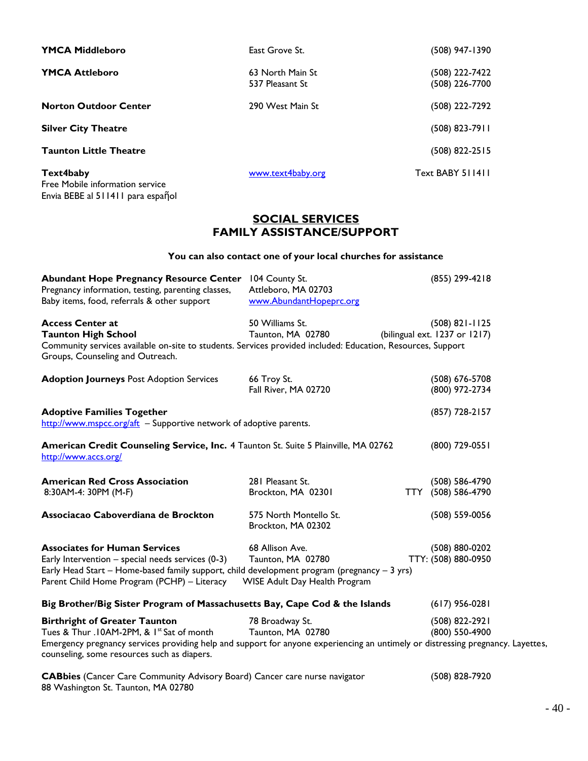| <b>YMCA Middleboro</b>                       | East Grove St.                      | (508) 947-1390                   |
|----------------------------------------------|-------------------------------------|----------------------------------|
| <b>YMCA Attleboro</b>                        | 63 North Main St<br>537 Pleasant St | (508) 222-7422<br>(508) 226-7700 |
| <b>Norton Outdoor Center</b>                 | 290 West Main St                    | (508) 222-7292                   |
| <b>Silver City Theatre</b>                   |                                     | (508) 823-7911                   |
| <b>Taunton Little Theatre</b>                |                                     | (508) 822-2515                   |
| Text4baby<br>Free Mobile information service | www.text4baby.org                   | Text BABY 511411                 |

### **SOCIAL SERVICES FAMILY ASSISTANCE/SUPPORT**

### **You can also contact one of your local churches for assistance**

| <b>Abundant Hope Pregnancy Resource Center</b><br>Pregnancy information, testing, parenting classes,<br>Baby items, food, referrals & other support                                                                                                                 | 104 County St.<br>Attleboro, MA 02703<br>www.AbundantHopeprc.org      | (855) 299-4218                                      |
|---------------------------------------------------------------------------------------------------------------------------------------------------------------------------------------------------------------------------------------------------------------------|-----------------------------------------------------------------------|-----------------------------------------------------|
| <b>Access Center at</b><br><b>Taunton High School</b><br>Community services available on-site to students. Services provided included: Education, Resources, Support<br>Groups, Counseling and Outreach.                                                            | 50 Williams St.<br>Taunton, MA 02780                                  | $(508) 821 - 1125$<br>(bilingual ext. 1237 or 1217) |
| <b>Adoption Journeys Post Adoption Services</b>                                                                                                                                                                                                                     | 66 Troy St.<br>Fall River, MA 02720                                   | (508) 676-5708<br>(800) 972-2734                    |
| <b>Adoptive Families Together</b><br>http://www.mspcc.org/aft - Supportive network of adoptive parents.                                                                                                                                                             |                                                                       | (857) 728-2157                                      |
| American Credit Counseling Service, Inc. 4 Taunton St. Suite 5 Plainville, MA 02762<br>http://www.accs.org/                                                                                                                                                         |                                                                       | (800) 729-0551                                      |
| <b>American Red Cross Association</b><br>8:30AM-4: 30PM (M-F)                                                                                                                                                                                                       | 281 Pleasant St.<br>Brockton, MA 02301                                | (508) 586-4790<br>(508) 586-4790<br>TTY .           |
| Associacao Caboverdiana de Brockton                                                                                                                                                                                                                                 | 575 North Montello St.<br>Brockton, MA 02302                          | (508) 559-0056                                      |
| <b>Associates for Human Services</b><br>Early Intervention $-$ special needs services (0-3)<br>Early Head Start – Home-based family support, child development program (pregnancy – 3 yrs)<br>Parent Child Home Program (PCHP) - Literacy                           | 68 Allison Ave.<br>Taunton, MA 02780<br>WISE Adult Day Health Program | (508) 880-0202<br>TTY: (508) 880-0950               |
| Big Brother/Big Sister Program of Massachusetts Bay, Cape Cod & the Islands                                                                                                                                                                                         |                                                                       | $(617)$ 956-0281                                    |
| <b>Birthright of Greater Taunton</b><br>Tues & Thur .10AM-2PM, & 1st Sat of month<br>Emergency pregnancy services providing help and support for anyone experiencing an untimely or distressing pregnancy. Layettes,<br>counseling, some resources such as diapers. | 78 Broadway St.<br>Taunton, MA 02780                                  | (508) 822-2921<br>(800) 550-4900                    |
| <b>CABbies</b> (Cancer Care Community Advisory Board) Cancer care nurse navigator                                                                                                                                                                                   |                                                                       | (508) 828-7920                                      |

Envia BEBE al 511411 para espaῆol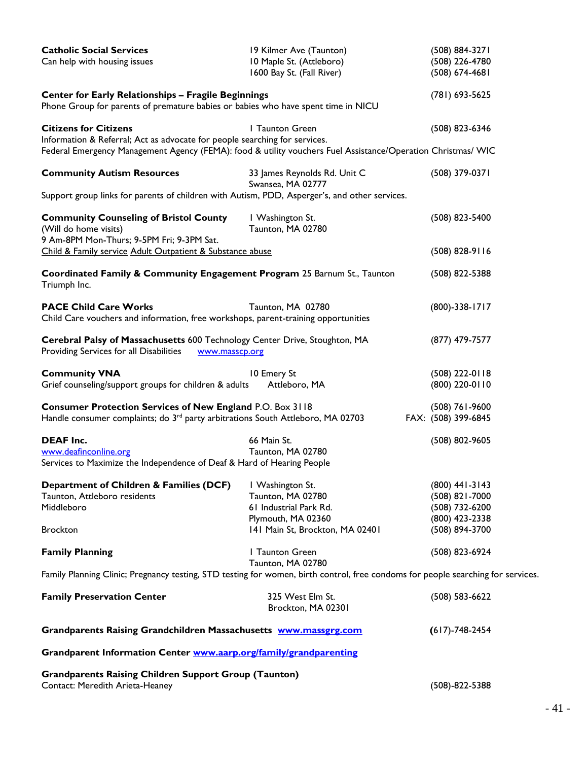| <b>Catholic Social Services</b><br>Can help with housing issues                                                                                                                            | 19 Kilmer Ave (Taunton)<br>10 Maple St. (Attleboro)<br>1600 Bay St. (Fall River) | (508) 884-3271<br>(508) 226-4780<br>(508) 674-4681 |
|--------------------------------------------------------------------------------------------------------------------------------------------------------------------------------------------|----------------------------------------------------------------------------------|----------------------------------------------------|
| <b>Center for Early Relationships - Fragile Beginnings</b><br>Phone Group for parents of premature babies or babies who have spent time in NICU                                            |                                                                                  | (781) 693-5625                                     |
| <b>Citizens for Citizens</b>                                                                                                                                                               | I Taunton Green                                                                  | (508) 823-6346                                     |
| Information & Referral; Act as advocate for people searching for services.<br>Federal Emergency Management Agency (FEMA): food & utility vouchers Fuel Assistance/Operation Christmas/ WIC |                                                                                  |                                                    |
| <b>Community Autism Resources</b>                                                                                                                                                          | 33 James Reynolds Rd. Unit C<br>Swansea, MA 02777                                | (508) 379-0371                                     |
| Support group links for parents of children with Autism, PDD, Asperger's, and other services.                                                                                              |                                                                                  |                                                    |
| <b>Community Counseling of Bristol County</b><br>(Will do home visits)<br>9 Am-8PM Mon-Thurs; 9-5PM Fri; 9-3PM Sat.                                                                        | I Washington St.<br>Taunton, MA 02780                                            | (508) 823-5400                                     |
| Child & Family service Adult Outpatient & Substance abuse                                                                                                                                  |                                                                                  | $(508)$ 828-9116                                   |
| Coordinated Family & Community Engagement Program 25 Barnum St., Taunton<br>Triumph Inc.                                                                                                   |                                                                                  | (508) 822-5388                                     |
| <b>PACE Child Care Works</b><br>Child Care vouchers and information, free workshops, parent-training opportunities                                                                         | Taunton, MA 02780                                                                | $(800) - 338 - 1717$                               |
| Cerebral Palsy of Massachusetts 600 Technology Center Drive, Stoughton, MA<br>Providing Services for all Disabilities<br>www.masscp.org                                                    |                                                                                  | (877) 479-7577                                     |
| <b>Community VNA</b><br>Grief counseling/support groups for children & adults                                                                                                              | 10 Emery St<br>Attleboro, MA                                                     | (508) 222-0118<br>(800) 220-0110                   |
| Consumer Protection Services of New England P.O. Box 3118<br>Handle consumer complaints; do 3 <sup>rd</sup> party arbitrations South Attleboro, MA 02703                                   |                                                                                  | $(508)$ 761-9600<br>FAX: (508) 399-6845            |
| <b>DEAF Inc.</b>                                                                                                                                                                           | 66 Main St.                                                                      | (508) 802-9605                                     |
| www.deafinconline.org                                                                                                                                                                      | Taunton, MA 02780                                                                |                                                    |
| Services to Maximize the Independence of Deaf & Hard of Hearing People                                                                                                                     |                                                                                  |                                                    |
| Department of Children & Families (DCF)                                                                                                                                                    | I Washington St.                                                                 | (800) 441-3143                                     |
| Taunton, Attleboro residents                                                                                                                                                               | Taunton, MA 02780                                                                | (508) 821-7000                                     |
| Middleboro                                                                                                                                                                                 | 61 Industrial Park Rd.                                                           | (508) 732-6200                                     |
|                                                                                                                                                                                            | Plymouth, MA 02360                                                               | (800) 423-2338                                     |
| <b>Brockton</b>                                                                                                                                                                            | 141 Main St, Brockton, MA 02401                                                  | (508) 894-3700                                     |
| <b>Family Planning</b>                                                                                                                                                                     | I Taunton Green<br>Taunton, MA 02780                                             | (508) 823-6924                                     |
| Family Planning Clinic; Pregnancy testing, STD testing for women, birth control, free condoms for people searching for services.                                                           |                                                                                  |                                                    |
| <b>Family Preservation Center</b>                                                                                                                                                          | 325 West Elm St.<br>Brockton, MA 02301                                           | (508) 583-6622                                     |
| Grandparents Raising Grandchildren Massachusetts www.massgrg.com                                                                                                                           |                                                                                  | $(617) - 748 - 2454$                               |
| Grandparent Information Center www.aarp.org/family/grandparenting                                                                                                                          |                                                                                  |                                                    |
| <b>Grandparents Raising Children Support Group (Taunton)</b>                                                                                                                               |                                                                                  |                                                    |
| Contact: Meredith Arieta-Heaney                                                                                                                                                            |                                                                                  | $(508) - 822 - 5388$                               |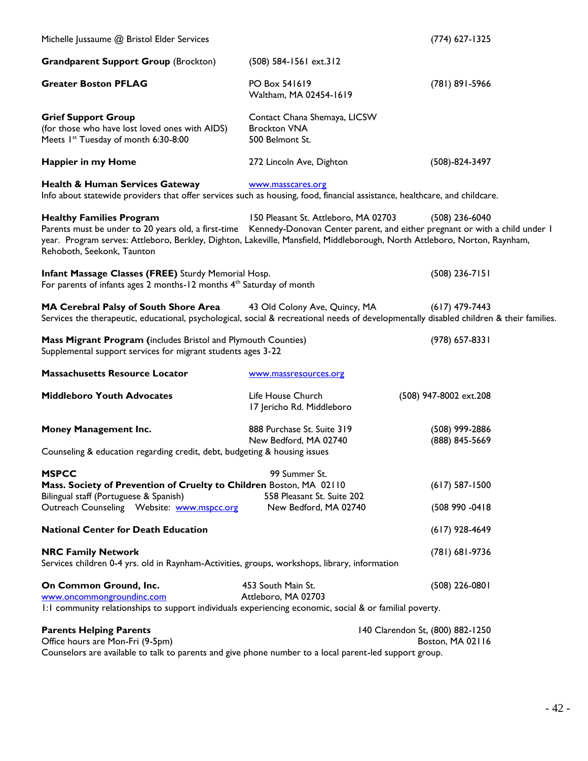| Michelle Jussaume @ Bristol Elder Services                                                                                                                                                                                                                                                                                   |                                                                        | (774) 627-1325                                       |
|------------------------------------------------------------------------------------------------------------------------------------------------------------------------------------------------------------------------------------------------------------------------------------------------------------------------------|------------------------------------------------------------------------|------------------------------------------------------|
| <b>Grandparent Support Group (Brockton)</b>                                                                                                                                                                                                                                                                                  | (508) 584-1561 ext.312                                                 |                                                      |
| <b>Greater Boston PFLAG</b>                                                                                                                                                                                                                                                                                                  | PO Box 541619<br>Waltham, MA 02454-1619                                | (781) 891-5966                                       |
| <b>Grief Support Group</b><br>(for those who have lost loved ones with AIDS)<br>Meets I <sup>st</sup> Tuesday of month 6:30-8:00                                                                                                                                                                                             | Contact Chana Shemaya, LICSW<br><b>Brockton VNA</b><br>500 Belmont St. |                                                      |
| Happier in my Home                                                                                                                                                                                                                                                                                                           | 272 Lincoln Ave, Dighton                                               | $(508) - 824 - 3497$                                 |
| <b>Health &amp; Human Services Gateway</b><br>Info about statewide providers that offer services such as housing, food, financial assistance, healthcare, and childcare.                                                                                                                                                     | www.masscares.org                                                      |                                                      |
| <b>Healthy Families Program</b><br>Parents must be under to 20 years old, a first-time Kennedy-Donovan Center parent, and either pregnant or with a child under I<br>year. Program serves: Attleboro, Berkley, Dighton, Lakeville, Mansfield, Middleborough, North Attleboro, Norton, Raynham,<br>Rehoboth, Seekonk, Taunton | 150 Pleasant St. Attleboro, MA 02703                                   | $(508)$ 236-6040                                     |
| Infant Massage Classes (FREE) Sturdy Memorial Hosp.<br>For parents of infants ages 2 months-12 months 4 <sup>th</sup> Saturday of month                                                                                                                                                                                      |                                                                        | $(508)$ 236-7151                                     |
| MA Cerebral Palsy of South Shore Area<br>Services the therapeutic, educational, psychological, social & recreational needs of developmentally disabled children & their families.                                                                                                                                            | 43 Old Colony Ave, Quincy, MA                                          | $(617)$ 479-7443                                     |
| Mass Migrant Program (includes Bristol and Plymouth Counties)<br>Supplemental support services for migrant students ages 3-22                                                                                                                                                                                                |                                                                        | (978) 657-8331                                       |
| <b>Massachusetts Resource Locator</b>                                                                                                                                                                                                                                                                                        | www.massresources.org                                                  |                                                      |
| <b>Middleboro Youth Advocates</b>                                                                                                                                                                                                                                                                                            | Life House Church<br>17 Jericho Rd. Middleboro                         | (508) 947-8002 ext.208                               |
| Money Management Inc.<br>Counseling & education regarding credit, debt, budgeting & housing issues                                                                                                                                                                                                                           | 888 Purchase St. Suite 319<br>New Bedford, MA 02740                    | (508) 999-2886<br>(888) 845-5669                     |
| <b>MSPCC</b><br>Mass. Society of Prevention of Cruelty to Children Boston, MA 02110<br>Bilingual staff (Portuguese & Spanish)                                                                                                                                                                                                | 99 Summer St.<br>558 Pleasant St. Suite 202                            | $(617)$ 587-1500                                     |
| Outreach Counseling Website: www.mspcc.org                                                                                                                                                                                                                                                                                   | New Bedford, MA 02740                                                  | (508 990 -0418                                       |
| <b>National Center for Death Education</b>                                                                                                                                                                                                                                                                                   |                                                                        | $(617)$ 928-4649                                     |
| <b>NRC Family Network</b><br>Services children 0-4 yrs. old in Raynham-Activities, groups, workshops, library, information                                                                                                                                                                                                   |                                                                        | $(781)$ 681-9736                                     |
| On Common Ground, Inc.<br>www.oncommongroundinc.com<br>I: I community relationships to support individuals experiencing economic, social & or familial poverty.                                                                                                                                                              | 453 South Main St.<br>Attleboro, MA 02703                              | $(508)$ 226-0801                                     |
| <b>Parents Helping Parents</b><br>Office hours are Mon-Fri (9-5pm)                                                                                                                                                                                                                                                           |                                                                        | 140 Clarendon St, (800) 882-1250<br>Boston, MA 02116 |

Counselors are available to talk to parents and give phone number to a local parent-led support group.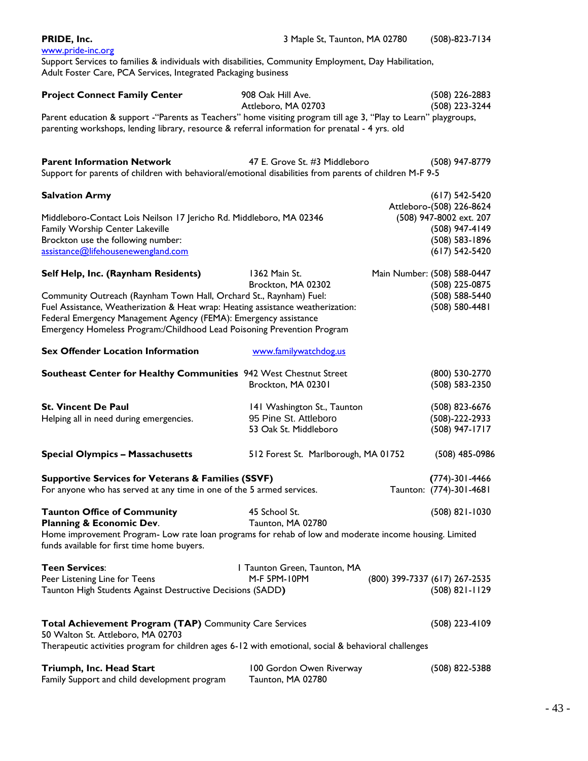| PRIDE, Inc.                                                                                                                                                             | 3 Maple St, Taunton, MA 02780                        |  | $(508) - 823 - 7134$                 |  |
|-------------------------------------------------------------------------------------------------------------------------------------------------------------------------|------------------------------------------------------|--|--------------------------------------|--|
| www.pride-inc.org                                                                                                                                                       |                                                      |  |                                      |  |
| Support Services to families & individuals with disabilities, Community Employment, Day Habilitation,<br>Adult Foster Care, PCA Services, Integrated Packaging business |                                                      |  |                                      |  |
|                                                                                                                                                                         |                                                      |  |                                      |  |
| <b>Project Connect Family Center</b>                                                                                                                                    | 908 Oak Hill Ave.                                    |  | (508) 226-2883                       |  |
|                                                                                                                                                                         | Attleboro, MA 02703                                  |  | (508) 223-3244                       |  |
| Parent education & support -"Parents as Teachers" home visiting program till age 3, "Play to Learn" playgroups,                                                         |                                                      |  |                                      |  |
| parenting workshops, lending library, resource & referral information for prenatal - 4 yrs. old                                                                         |                                                      |  |                                      |  |
|                                                                                                                                                                         |                                                      |  |                                      |  |
| <b>Parent Information Network</b>                                                                                                                                       | 47 E. Grove St. #3 Middleboro                        |  | (508) 947-8779                       |  |
| Support for parents of children with behavioral/emotional disabilities from parents of children M-F 9-5                                                                 |                                                      |  |                                      |  |
|                                                                                                                                                                         |                                                      |  |                                      |  |
| <b>Salvation Army</b>                                                                                                                                                   |                                                      |  | $(617) 542 - 5420$                   |  |
|                                                                                                                                                                         |                                                      |  | Attleboro-(508) 226-8624             |  |
| Middleboro-Contact Lois Neilson 17 Jericho Rd. Middleboro, MA 02346<br>Family Worship Center Lakeville                                                                  |                                                      |  | (508) 947-8002 ext. 207              |  |
|                                                                                                                                                                         |                                                      |  | (508) 947-4149                       |  |
| Brockton use the following number:                                                                                                                                      |                                                      |  | (508) 583-1896<br>$(617) 542 - 5420$ |  |
| assistance@lifehousenewengland.com                                                                                                                                      |                                                      |  |                                      |  |
| Self Help, Inc. (Raynham Residents)                                                                                                                                     | 1362 Main St.                                        |  | Main Number: (508) 588-0447          |  |
|                                                                                                                                                                         | Brockton, MA 02302                                   |  | (508) 225-0875                       |  |
| Community Outreach (Raynham Town Hall, Orchard St., Raynham) Fuel:                                                                                                      |                                                      |  | (508) 588-5440                       |  |
| Fuel Assistance, Weatherization & Heat wrap: Heating assistance weatherization:                                                                                         |                                                      |  | (508) 580-4481                       |  |
| Federal Emergency Management Agency (FEMA): Emergency assistance                                                                                                        |                                                      |  |                                      |  |
| Emergency Homeless Program:/Childhood Lead Poisoning Prevention Program                                                                                                 |                                                      |  |                                      |  |
| <b>Sex Offender Location Information</b>                                                                                                                                | www.familywatchdog.us                                |  |                                      |  |
|                                                                                                                                                                         |                                                      |  |                                      |  |
| Southeast Center for Healthy Communities 942 West Chestnut Street                                                                                                       |                                                      |  | (800) 530-2770                       |  |
|                                                                                                                                                                         | Brockton, MA 02301                                   |  | (508) 583-2350                       |  |
|                                                                                                                                                                         |                                                      |  |                                      |  |
| <b>St. Vincent De Paul</b><br>Helping all in need during emergencies.                                                                                                   | 141 Washington St., Taunton<br>95 Pine St. Attleboro |  | (508) 823-6676<br>$(508)-222-2933$   |  |
|                                                                                                                                                                         | 53 Oak St. Middleboro                                |  | (508) 947-1717                       |  |
|                                                                                                                                                                         |                                                      |  |                                      |  |
| <b>Special Olympics - Massachusetts</b>                                                                                                                                 | 512 Forest St. Marlborough, MA 01752                 |  | (508) 485-0986                       |  |
|                                                                                                                                                                         |                                                      |  |                                      |  |
| <b>Supportive Services for Veterans &amp; Families (SSVF)</b>                                                                                                           |                                                      |  | $(774) - 301 - 4466$                 |  |
| For anyone who has served at any time in one of the 5 armed services.                                                                                                   |                                                      |  | Taunton: (774)-301-4681              |  |
|                                                                                                                                                                         |                                                      |  |                                      |  |
| <b>Taunton Office of Community</b>                                                                                                                                      | 45 School St.<br>Taunton, MA 02780                   |  | $(508)$ 821-1030                     |  |
| Planning & Economic Dev.<br>Home improvement Program- Low rate loan programs for rehab of low and moderate income housing. Limited                                      |                                                      |  |                                      |  |
| funds available for first time home buyers.                                                                                                                             |                                                      |  |                                      |  |
|                                                                                                                                                                         |                                                      |  |                                      |  |
| <b>Teen Services:</b>                                                                                                                                                   | I Taunton Green, Taunton, MA                         |  |                                      |  |
| Peer Listening Line for Teens                                                                                                                                           | M-F 5PM-10PM                                         |  | (800) 399-7337 (617) 267-2535        |  |
| Taunton High Students Against Destructive Decisions (SADD)                                                                                                              |                                                      |  | $(508) 821 - 1129$                   |  |
|                                                                                                                                                                         |                                                      |  |                                      |  |
| <b>Total Achievement Program (TAP)</b> Community Care Services                                                                                                          |                                                      |  | $(508)$ 223-4109                     |  |
| 50 Walton St. Attleboro, MA 02703                                                                                                                                       |                                                      |  |                                      |  |
| Therapeutic activities program for children ages 6-12 with emotional, social & behavioral challenges                                                                    |                                                      |  |                                      |  |
|                                                                                                                                                                         |                                                      |  |                                      |  |
| Triumph, Inc. Head Start                                                                                                                                                | 100 Gordon Owen Riverway                             |  | $(508)$ 822-5388                     |  |
| Family Support and child development program                                                                                                                            | Taunton, MA 02780                                    |  |                                      |  |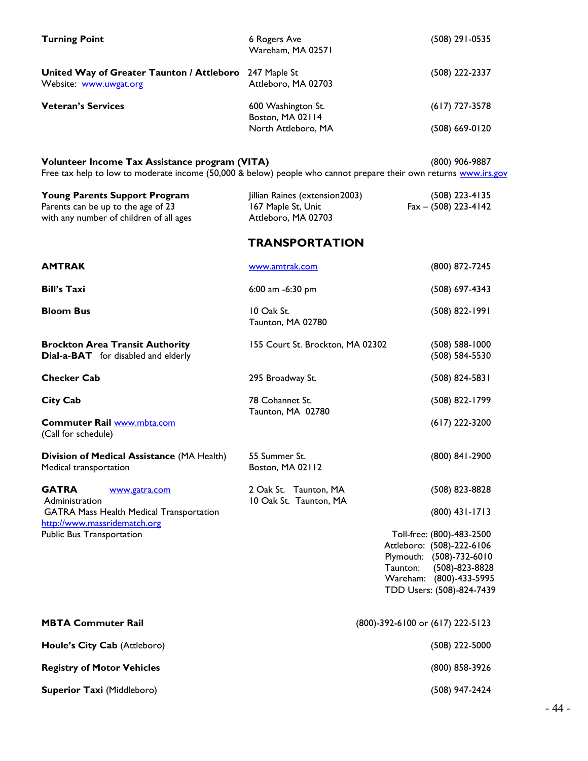| <b>Turning Point</b>                                                                                                                                               | 6 Rogers Ave<br>Wareham, MA 02571                                           | (508) 291-0535                                                                                                                                                 |  |
|--------------------------------------------------------------------------------------------------------------------------------------------------------------------|-----------------------------------------------------------------------------|----------------------------------------------------------------------------------------------------------------------------------------------------------------|--|
| United Way of Greater Taunton / Attleboro 247 Maple St<br>Website: www.uwgat.org                                                                                   | Attleboro, MA 02703                                                         | (508) 222-2337                                                                                                                                                 |  |
| <b>Veteran's Services</b>                                                                                                                                          | 600 Washington St.<br>Boston, MA 02114                                      | $(617)$ 727-3578                                                                                                                                               |  |
|                                                                                                                                                                    | North Attleboro, MA                                                         | (508) 669-0120                                                                                                                                                 |  |
| Volunteer Income Tax Assistance program (VITA)<br>Free tax help to low to moderate income (50,000 & below) people who cannot prepare their own returns www.irs.gov |                                                                             | (800) 906-9887                                                                                                                                                 |  |
| <b>Young Parents Support Program</b><br>Parents can be up to the age of 23<br>with any number of children of all ages                                              | Jillian Raines (extension2003)<br>167 Maple St, Unit<br>Attleboro, MA 02703 | (508) 223-4135<br>$Fax - (508)$ 223-4142                                                                                                                       |  |
|                                                                                                                                                                    | <b>TRANSPORTATION</b>                                                       |                                                                                                                                                                |  |
| <b>AMTRAK</b>                                                                                                                                                      | www.amtrak.com                                                              | (800) 872-7245                                                                                                                                                 |  |
| <b>Bill's Taxi</b>                                                                                                                                                 | 6:00 am $-6:30$ pm                                                          | (508) 697-4343                                                                                                                                                 |  |
| <b>Bloom Bus</b>                                                                                                                                                   | 10 Oak St.<br>Taunton, MA 02780                                             | (508) 822-1991                                                                                                                                                 |  |
| <b>Brockton Area Transit Authority</b><br><b>Dial-a-BAT</b> for disabled and elderly                                                                               | 155 Court St. Brockton, MA 02302                                            | $(508)$ 588-1000<br>(508) 584-5530                                                                                                                             |  |
| <b>Checker Cab</b>                                                                                                                                                 | 295 Broadway St.                                                            | $(508)$ 824-5831                                                                                                                                               |  |
| <b>City Cab</b>                                                                                                                                                    | 78 Cohannet St.<br>Taunton, MA 02780                                        | (508) 822-1799                                                                                                                                                 |  |
| Commuter Rail www.mbta.com<br>(Call for schedule)                                                                                                                  |                                                                             | $(617)$ 222-3200                                                                                                                                               |  |
| Division of Medical Assistance (MA Health)<br>Medical transportation                                                                                               | 55 Summer St.<br>Boston, MA 02112                                           | (800) 841-2900                                                                                                                                                 |  |
| <b>GATRA</b><br>www.gatra.com<br>Administration                                                                                                                    | 2 Oak St. Taunton, MA<br>10 Oak St. Taunton, MA                             | (508) 823-8828                                                                                                                                                 |  |
| <b>GATRA Mass Health Medical Transportation</b><br>http://www.massridematch.org                                                                                    |                                                                             | $(800)$ 431-1713                                                                                                                                               |  |
| Public Bus Transportation                                                                                                                                          | Taunton:                                                                    | Toll-free: (800)-483-2500<br>Attleboro: (508)-222-6106<br>Plymouth: (508)-732-6010<br>$(508)-823-8828$<br>Wareham: (800)-433-5995<br>TDD Users: (508)-824-7439 |  |
| <b>MBTA Commuter Rail</b>                                                                                                                                          | (800)-392-6100 or (617) 222-5123                                            |                                                                                                                                                                |  |
| Houle's City Cab (Attleboro)                                                                                                                                       |                                                                             | (508) 222-5000                                                                                                                                                 |  |
| <b>Registry of Motor Vehicles</b>                                                                                                                                  |                                                                             | (800) 858-3926                                                                                                                                                 |  |
| Superior Taxi (Middleboro)                                                                                                                                         |                                                                             | (508) 947-2424                                                                                                                                                 |  |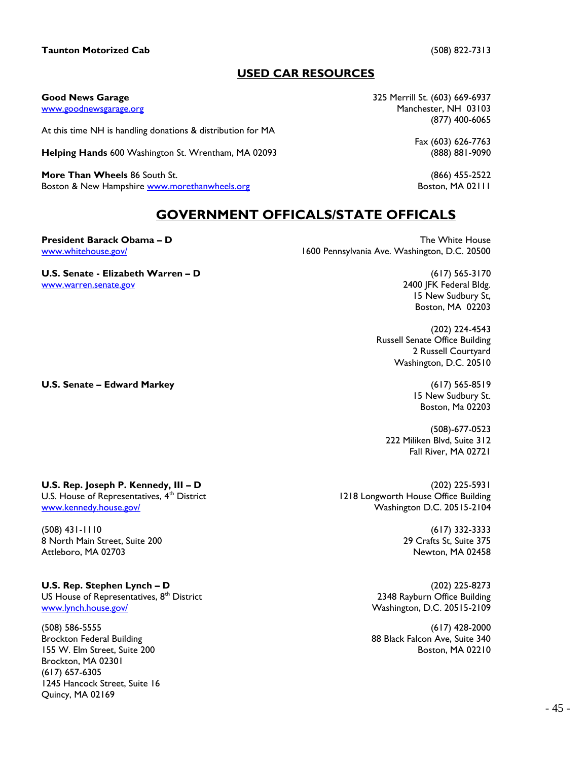### **Taunton Motorized Cab** (508) 822-7313

### **USED CAR RESOURCES**

At this time NH is handling donations & distribution for MA

**Helping Hands 600 Washington St. Wrentham, MA 02093** 

**More Than Wheels** 86 South St. (866) 455-2522 Boston & New Hampshire [www.morethanwheels.org](http://www.morethanwheels.org/) Boston, MA 02111

**Good News Garage** 325 Merrill St. (603) 669-6937 [www.goodnewsgarage.org](http://www.goodnewsgarage.org/) Manchester, NH 03103 (877) 400-6065

Fax (603) 626-7763

15 New Sudbury St, Boston, MA 02203

2 Russell Courtyard Washington, D.C. 20510

> 15 New Sudbury St. Boston, Ma 02203

222 Miliken Blvd, Suite 312 Fall River, MA 02721

(508)-677-0523

Russell Senate Office Building

(202) 224-4543

### **GOVERNMENT OFFICALS/STATE OFFICALS**

**President Barack Obama – D The White House The White House** [www.whitehouse.gov/](http://www.whitehouse.gov/) 1600 Pennsylvania Ave. Washington, D.C. 20500

**U.S. Senate - Elizabeth Warren – D** (617) 565-3170 [www.warren.senate.gov](http://www.warren.senate.gov/) 2400 JFK Federal Bldg.

**U.S. Senate – Edward Markey** (617) 565-8519

Brockton, MA 02301 (617) 657-6305

Quincy, MA 02169

1245 Hancock Street, Suite 16

**U.S. Rep. Joseph P. Kennedy, III – D** (202) 225-5931 U.S. House of Representatives, 4<sup>th</sup> District 1218 Longworth House Office Building [www.kennedy.house.gov/](http://www.kennedy.house.gov/) Washington D.C. 20515-2104

(508) 431-1110 (617) 332-3333 8 North Main Street, Suite 200 29 Crafts St, Suite 375 Attleboro, MA 02703 Newton, MA 02458

**U.S. Rep. Stephen Lynch – D** (202) 225-8273 US House of Representatives, 8<sup>th</sup> District **2348** Rayburn Office Building [www.lynch.house.gov/](http://www.lynch.house.gov/) Washington, D.C. 20515-2109

(508) 586-5555 (617) 428-2000 Brockton Federal Building 88 Black Falcon Ave, Suite 340 155 W. Elm Street, Suite 200 Boston, MA 02210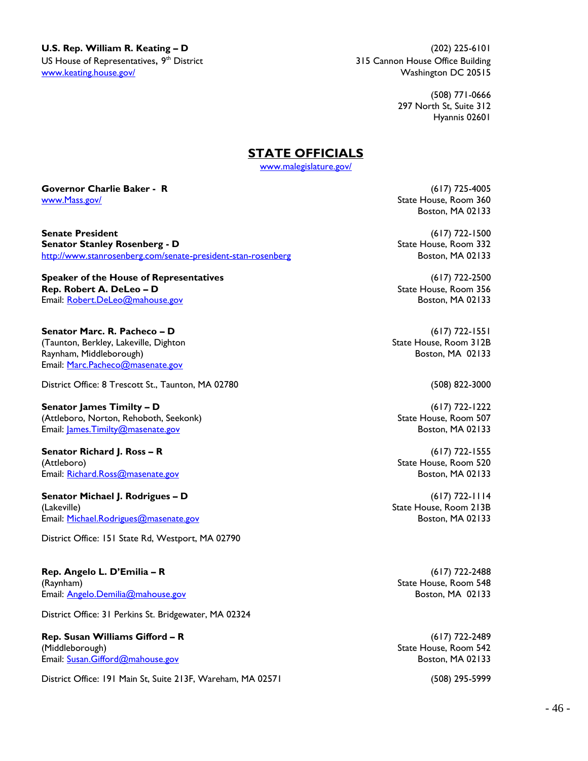**U.S. Rep. William R. Keating – D** (202) 225-6101 US House of Representatives, 9<sup>th</sup> District [www.keating.house.gov/](http://www.keating.house.gov/) Washington DC 20515

315 Cannon House Office Building

(508) 771-0666 297 North St, Suite 312 Hyannis 02601

### **STATE OFFICIALS**

[www.malegislature.gov/](http://www.malegislature.gov/)

**Governor Charlie Baker - R** (617) 725-4005 www.Mass.gov/ State House, Room 360

**Senate President** (617) 722-1500 **Senator Stanley Rosenberg - D**<br>
http://www.stanrosenberg.com/senate-president-stan-rosenberg<br>
Boston, MA 02133 <http://www.stanrosenberg.com/senate-president-stan-rosenberg>

**Speaker of the House of Representatives** (617) 722-2500 **Rep. Robert A. DeLeo – D** State House, Room 356 Email: <u>[Robert.DeLeo@mahouse.gov](mailto:Robert.DeLeo@mahouse.gov)</u> Boston, MA 02133

**Senator Marc. R. Pacheco – D** (617) 722-1551 (Taunton, Berkley, Lakeville, Dighton State House, Room 312B) State House, Room 312B Raynham, Middleborough) Boston, MA 02133 Email: [Marc.Pacheco@masenate.gov](mailto:Marc.Pacheco@masenate.gov)

District Office: 8 Trescott St., Taunton, MA 02780 (508) 822-3000

**Senator James Timilty – D** (617) 722-1222 (Attleboro, Norton, Rehoboth, Seekonk) State House, Room 507 Email: [James.Timilty@masenate.gov](mailto:James.Timilty@masenate.gov) Boston, MA 02133

**Senator Richard J. Ross – R** (617) 722-1555 (Attleboro) State House, Room 520 Email: [Richard.Ross@masenate.gov](mailto:Richard.Ross@masenate.gov) Boston, MA 02133

**Senator Michael J. Rodrigues – D** (617) 722-1114 (Lakeville) State House, Room 213B Email: <u>[Michael.Rodrigues@masenate.gov](mailto:Michael.Rodrigues@masenate.gov)</u> Boston, MA 02133

District Office: 151 State Rd, Westport, MA 02790

**Rep. Angelo L. D'Emilia – R** (617) 722-2488 (Raynham) State House, Room 548 Email: [Angelo.Demilia@mahouse.gov](mailto:Angelo.Demilia@mahouse.gov) Boston, MA 02133

District Office: 31 Perkins St. Bridgewater, MA 02324

**Rep. Susan Williams Gifford – R** (617) 722-2489 (Middleborough) State House, Room 542 Email: [Susan.Gifford@mahouse.gov](mailto:Susan.Gifford@mahouse.gov) Boston, MA 02133

District Office: 191 Main St, Suite 213F, Wareham, MA 02571 (508) 295-5999

Boston, MA 02133